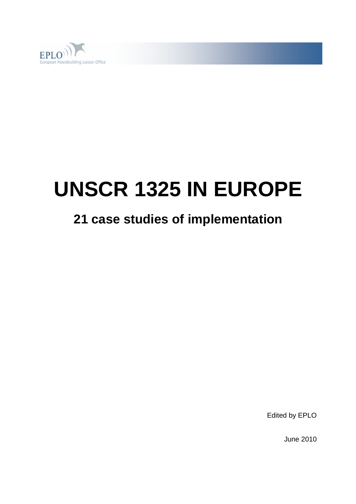

# **UNSCR 1325 IN EUROPE**

## **21 case studies of implementation**

Edited by EPLO

June 2010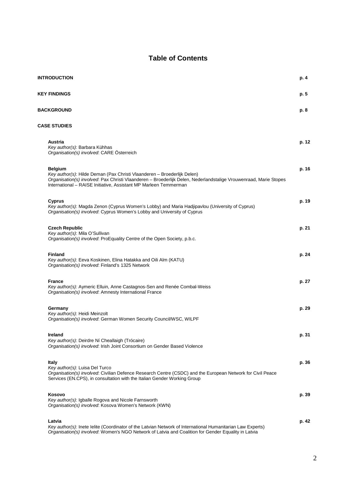### **Table of Contents**

| <b>INTRODUCTION</b>                                                                                                                                                                                                                                                               | p. 4  |
|-----------------------------------------------------------------------------------------------------------------------------------------------------------------------------------------------------------------------------------------------------------------------------------|-------|
| <b>KEY FINDINGS</b>                                                                                                                                                                                                                                                               | p. 5  |
| <b>BACKGROUND</b>                                                                                                                                                                                                                                                                 | p. 8  |
| <b>CASE STUDIES</b>                                                                                                                                                                                                                                                               |       |
| Austria<br>Key author(s): Barbara Kühhas<br>Organisation(s) involved: CARE Österreich                                                                                                                                                                                             | p. 12 |
| <b>Belgium</b><br>Key author(s): Hilde Deman (Pax Christi Vlaanderen - Broederlijk Delen)<br>Organisation(s) involved: Pax Christi Vlaanderen - Broederlijk Delen, Nederlandstalige Vrouwenraad, Marie Stopes<br>International - RAISE Initiative, Assistant MP Marleen Temmerman | p. 16 |
| Cyprus<br>Key author(s): Magda Zenon (Cyprus Women's Lobby) and Maria Hadjipavlou (University of Cyprus)<br>Organisation(s) involved: Cyprus Women's Lobby and University of Cyprus                                                                                               | p. 19 |
| <b>Czech Republic</b><br>Key author(s): Mila O'Sullivan<br>Organisation(s) involved: ProEquality Centre of the Open Society, p.b.c.                                                                                                                                               | p. 21 |
| <b>Finland</b><br>Key author(s): Eeva Koskinen, Elina Hatakka and Oili Alm (KATU)<br>Organisation(s) involved: Finland's 1325 Network                                                                                                                                             | p. 24 |
| <b>France</b><br>Key author(s): Aymeric Elluin, Anne Castagnos-Sen and Renée Combal-Weiss<br>Organisation(s) involved: Amnesty International France                                                                                                                               | p. 27 |
| Germany<br>Key author(s): Heidi Meinzolt<br>Organisation(s) involved: German Women Security Council/WSC, WILPF                                                                                                                                                                    | p. 29 |
| <b>Ireland</b><br>Key author(s): Deirdre Ní Cheallaigh (Trócaire)<br>Organisation(s) involved: Irish Joint Consortium on Gender Based Violence                                                                                                                                    | p. 31 |
| <b>Italy</b><br>Key author(s): Luisa Del Turco<br>Organisation(s) involved: Civilian Defence Research Centre (CSDC) and the European Network for Civil Peace<br>Services (EN.CPS), in consultation with the Italian Gender Working Group                                          | p. 36 |
| Kosovo<br>Key author(s): Igballe Rogova and Nicole Farnsworth<br>Organisation(s) involved: Kosova Women's Network (KWN)                                                                                                                                                           | p. 39 |
| Latvia<br>Key author(s): Inete lelite (Coordinator of the Latvian Network of International Humanitarian Law Experts)<br>Organisation(s) involved: Women's NGO Network of Latvia and Coalition for Gender Equality in Latvia                                                       | p. 42 |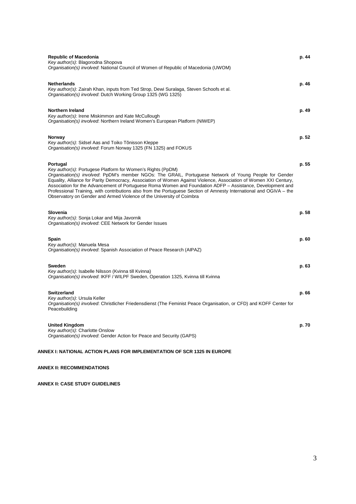| <b>Republic of Macedonia</b><br>Key author(s): Blagorodna Shopova<br>Organisation(s) involved: National Council of Women of Republic of Macedonia (UWOM)                                                                                                                                                                                                                                                                                                                                                                                                                                                             | p. 44 |
|----------------------------------------------------------------------------------------------------------------------------------------------------------------------------------------------------------------------------------------------------------------------------------------------------------------------------------------------------------------------------------------------------------------------------------------------------------------------------------------------------------------------------------------------------------------------------------------------------------------------|-------|
| <b>Netherlands</b><br>Key author(s): Zairah Khan, inputs from Ted Strop, Dewi Suralaga, Steven Schoofs et al.<br>Organisation(s) involved: Dutch Working Group 1325 (WG 1325)                                                                                                                                                                                                                                                                                                                                                                                                                                        | p. 46 |
| <b>Northern Ireland</b><br>Key author(s): Irene Miskimmon and Kate McCullough<br>Organisation(s) involved: Northern Ireland Women's European Platform (NIWEP)                                                                                                                                                                                                                                                                                                                                                                                                                                                        | p. 49 |
| Norway<br>Key author(s): Sidsel Aas and Toiko Tõnisson Kleppe<br>Organisation(s) involved: Forum Norway 1325 (FN 1325) and FOKUS                                                                                                                                                                                                                                                                                                                                                                                                                                                                                     | p. 52 |
| Portugal<br>Key author(s): Portugese Platform for Women's Rights (PpDM)<br>Organisation(s) involved: PpDM's member NGOs: The GRAIL, Portuguese Network of Young People for Gender<br>Equality, Alliance for Parity Democracy, Association of Women Against Violence, Association of Women XXI Century,<br>Association for the Advancement of Portuguese Roma Women and Foundation ADFP - Assistance, Development and<br>Professional Training, with contributions also from the Portuguese Section of Amnesty International and OGiVA - the<br>Observatory on Gender and Armed Violence of the University of Coimbra | p. 55 |
| Slovenia<br>Key author(s): Sonja Lokar and Mija Javornik<br>Organisation(s) involved: CEE Network for Gender Issues                                                                                                                                                                                                                                                                                                                                                                                                                                                                                                  | p. 58 |
| <b>Spain</b><br>Key author(s): Manuela Mesa<br>Organisation(s) involved: Spanish Association of Peace Research (AIPAZ)                                                                                                                                                                                                                                                                                                                                                                                                                                                                                               | p. 60 |
| <b>Sweden</b><br>Key author(s): Isabelle Nilsson (Kvinna till Kvinna)<br>Organisation(s) involved: IKFF / WILPF Sweden, Operation 1325, Kvinna till Kvinna                                                                                                                                                                                                                                                                                                                                                                                                                                                           | p. 63 |
| <b>Switzerland</b><br>Key author(s): Ursula Keller<br>Organisation(s) involved: Christlicher Friedensdienst (The Feminist Peace Organisation, or CFD) and KOFF Center for<br>Peacebuilding                                                                                                                                                                                                                                                                                                                                                                                                                           | p. 66 |
| <b>United Kingdom</b><br>Key author(s): Charlotte Onslow<br>Organisation(s) involved: Gender Action for Peace and Security (GAPS)                                                                                                                                                                                                                                                                                                                                                                                                                                                                                    | p. 70 |

#### **ANNEX I: NATIONAL ACTION PLANS FOR IMPLEMENTATION OF SCR 1325 IN EUROPE**

#### **ANNEX II: RECOMMENDATIONS**

**ANNEX II: CASE STUDY GUIDELINES**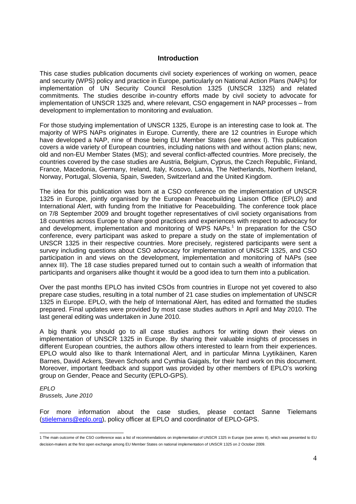### **Introduction**

This case studies publication documents civil society experiences of working on women, peace and security (WPS) policy and practice in Europe, particularly on National Action Plans (NAPs) for implementation of UN Security Council Resolution 1325 (UNSCR 1325) and related commitments. The studies describe in-country efforts made by civil society to advocate for implementation of UNSCR 1325 and, where relevant, CSO engagement in NAP processes – from development to implementation to monitoring and evaluation.

For those studying implementation of UNSCR 1325, Europe is an interesting case to look at. The majority of WPS NAPs originates in Europe. Currently, there are 12 countries in Europe which have developed a NAP, nine of those being EU Member States (see annex I). This publication covers a wide variety of European countries, including nations with and without action plans; new, old and non-EU Member States (MS); and several conflict-affected countries. More precisely, the countries covered by the case studies are Austria, Belgium, Cyprus, the Czech Republic, Finland, France, Macedonia, Germany, Ireland, Italy, Kosovo, Latvia, The Netherlands, Northern Ireland, Norway, Portugal, Slovenia, Spain, Sweden, Switzerland and the United Kingdom.

The idea for this publication was born at a CSO conference on the implementation of UNSCR 1325 in Europe, jointly organised by the European Peacebuilding Liaison Office (EPLO) and International Alert, with funding from the Initiative for Peacebuilding. The conference took place on 7/8 September 2009 and brought together representatives of civil society organisations from 18 countries across Europe to share good practices and experiences with respect to advocacy for and development, implementation and monitoring of WPS NAPs.<sup>1</sup> In preparation for the CSO conference, every participant was asked to prepare a study on the state of implementation of UNSCR 1325 in their respective countries. More precisely, registered participants were sent a survey including questions about CSO advocacy for implementation of UNSCR 1325, and CSO participation in and views on the development, implementation and monitoring of NAPs (see annex III). The 18 case studies prepared turned out to contain such a wealth of information that participants and organisers alike thought it would be a good idea to turn them into a publication.

Over the past months EPLO has invited CSOs from countries in Europe not yet covered to also prepare case studies, resulting in a total number of 21 case studies on implementation of UNSCR 1325 in Europe. EPLO, with the help of International Alert, has edited and formatted the studies prepared. Final updates were provided by most case studies authors in April and May 2010. The last general editing was undertaken in June 2010.

A big thank you should go to all case studies authors for writing down their views on implementation of UNSCR 1325 in Europe. By sharing their valuable insights of processes in different European countries, the authors allow others interested to learn from their experiences. EPLO would also like to thank International Alert, and in particular Minna Lyytikäinen, Karen Barnes, David Ackers, Steven Schoofs and Cynthia Gaigals, for their hard work on this document. Moreover, important feedback and support was provided by other members of EPLO's working group on Gender, Peace and Security (EPLO-GPS).

EPLO Brussels, June 2010

For more information about the case studies, please contact Sanne Tielemans (stielemans@eplo.org), policy officer at EPLO and coordinator of EPLO-GPS.

 1 The main outcome of the CSO conference was a list of recommendations on implementation of UNSCR 1325 in Europe (see annex II), which was presented to EU decision-makers at the first open exchange among EU Member States on national implementation of UNSCR 1325 on 2 October 2009.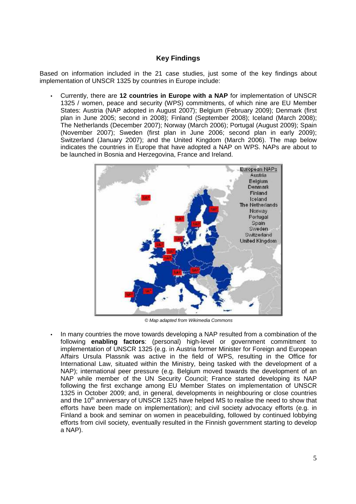### **Key Findings**

Based on information included in the 21 case studies, just some of the key findings about implementation of UNSCR 1325 by countries in Europe include:

• Currently, there are **12 countries in Europe with a NAP** for implementation of UNSCR 1325 / women, peace and security (WPS) commitments, of which nine are EU Member States: Austria (NAP adopted in August 2007); Belgium (February 2009); Denmark (first plan in June 2005; second in 2008); Finland (September 2008); Iceland (March 2008); The Netherlands (December 2007); Norway (March 2006); Portugal (August 2009); Spain (November 2007); Sweden (first plan in June 2006; second plan in early 2009); Switzerland (January 2007); and the United Kingdom (March 2006). The map below indicates the countries in Europe that have adopted a NAP on WPS. NAPs are about to be launched in Bosnia and Herzegovina, France and Ireland.



© Map adapted from Wikimedia Commons

• In many countries the move towards developing a NAP resulted from a combination of the following **enabling factors**: (personal) high-level or government commitment to implementation of UNSCR 1325 (e.g. in Austria former Minister for Foreign and European Affairs Ursula Plassnik was active in the field of WPS, resulting in the Office for International Law, situated within the Ministry, being tasked with the development of a NAP); international peer pressure (e.g. Belgium moved towards the development of an NAP while member of the UN Security Council; France started developing its NAP following the first exchange among EU Member States on implementation of UNSCR 1325 in October 2009; and, in general, developments in neighbouring or close countries and the  $10<sup>th</sup>$  anniversary of UNSCR 1325 have helped MS to realise the need to show that efforts have been made on implementation); and civil society advocacy efforts (e.g. in Finland a book and seminar on women in peacebuilding, followed by continued lobbying efforts from civil society, eventually resulted in the Finnish government starting to develop a NAP).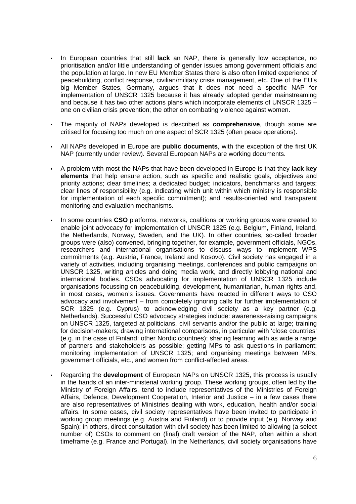- In European countries that still **lack** an NAP, there is generally low acceptance, no prioritisation and/or little understanding of gender issues among government officials and the population at large. In new EU Member States there is also often limited experience of peacebuilding, conflict response, civilian/military crisis management, etc. One of the EU's big Member States, Germany, argues that it does not need a specific NAP for implementation of UNSCR 1325 because it has already adopted gender mainstreaming and because it has two other actions plans which incorporate elements of UNSCR 1325 – one on civilian crisis prevention; the other on combating violence against women.
- The majority of NAPs developed is described as **comprehensive**, though some are critised for focusing too much on one aspect of SCR 1325 (often peace operations).
- All NAPs developed in Europe are **public documents**, with the exception of the first UK NAP (currently under review). Several European NAPs are working documents.
- A problem with most the NAPs that have been developed in Europe is that they **lack key elements** that help ensure action, such as specific and realistic goals, objectives and priority actions; clear timelines; a dedicated budget; indicators, benchmarks and targets; clear lines of responsibility (e.g. indicating which unit within which ministry is responsible for implementation of each specific commitment); and results-oriented and transparent monitoring and evaluation mechanisms.
- In some countries **CSO** platforms, networks, coalitions or working groups were created to enable joint advocacy for implementation of UNSCR 1325 (e.g. Belgium, Finland, Ireland, the Netherlands, Norway, Sweden, and the UK). In other countries, so-called broader groups were (also) convened, bringing together, for example, government officials, NGOs, researchers and international organisations to discuss ways to implement WPS commitments (e.g. Austria, France, Ireland and Kosovo). Civil society has engaged in a variety of activities, including organising meetings, conferences and public campaigns on UNSCR 1325, writing articles and doing media work, and directly lobbying national and international bodies. CSOs advocating for implementation of UNSCR 1325 include organisations focussing on peacebuilding, development, humanitarian, human rights and, in most cases, women's issues. Governments have reacted in different ways to CSO advocacy and involvement – from completely ignoring calls for further implementation of SCR 1325 (e.g. Cyprus) to acknowledging civil society as a key partner (e.g. Netherlands). Successful CSO advocacy strategies include: awareness-raising campaigns on UNSCR 1325, targeted at politicians, civil servants and/or the public at large; training for decision-makers; drawing international comparisons, in particular with 'close countries' (e.g. in the case of Finland: other Nordic countries); sharing learning with as wide a range of partners and stakeholders as possible; getting MPs to ask questions in parliament; monitoring implementation of UNSCR 1325; and organising meetings between MPs, government officials, etc., and women from conflict-affected areas.
- Regarding the **development** of European NAPs on UNSCR 1325, this process is usually in the hands of an inter-ministerial working group. These working groups, often led by the Ministry of Foreign Affairs, tend to include representatives of the Ministries of Foreign Affairs, Defence, Development Cooperation, Interior and Justice – in a few cases there are also representatives of Ministries dealing with work, education, health and/or social affairs. In some cases, civil society representatives have been invited to participate in working group meetings (e.g. Austria and Finland) or to provide input (e.g. Norway and Spain); in others, direct consultation with civil society has been limited to allowing (a select number of) CSOs to comment on (final) draft version of the NAP, often within a short timeframe (e.g. France and Portugal). In the Netherlands, civil society organisations have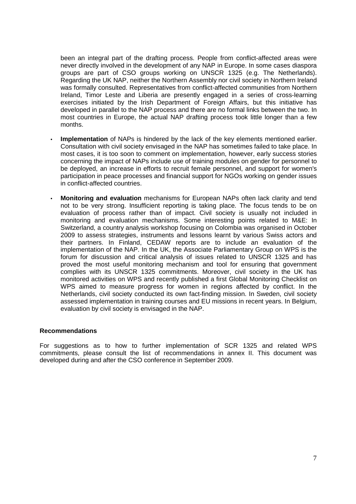been an integral part of the drafting process. People from conflict-affected areas were never directly involved in the development of any NAP in Europe. In some cases diaspora groups are part of CSO groups working on UNSCR 1325 (e.g. The Netherlands). Regarding the UK NAP, neither the Northern Assembly nor civil society in Northern Ireland was formally consulted. Representatives from conflict-affected communities from Northern Ireland, Timor Leste and Liberia are presently engaged in a series of cross-learning exercises initiated by the Irish Department of Foreign Affairs, but this initiative has developed in parallel to the NAP process and there are no formal links between the two. In most countries in Europe, the actual NAP drafting process took little longer than a few months.

- **Implementation** of NAPs is hindered by the lack of the key elements mentioned earlier. Consultation with civil society envisaged in the NAP has sometimes failed to take place. In most cases, it is too soon to comment on implementation, however, early success stories concerning the impact of NAPs include use of training modules on gender for personnel to be deployed, an increase in efforts to recruit female personnel, and support for women's participation in peace processes and financial support for NGOs working on gender issues in conflict-affected countries.
- **Monitoring and evaluation** mechanisms for European NAPs often lack clarity and tend not to be very strong. Insufficient reporting is taking place. The focus tends to be on evaluation of process rather than of impact. Civil society is usually not included in monitoring and evaluation mechanisms. Some interesting points related to M&E: In Switzerland, a country analysis workshop focusing on Colombia was organised in October 2009 to assess strategies, instruments and lessons learnt by various Swiss actors and their partners. In Finland, CEDAW reports are to include an evaluation of the implementation of the NAP. In the UK, the Associate Parliamentary Group on WPS is the forum for discussion and critical analysis of issues related to UNSCR 1325 and has proved the most useful monitoring mechanism and tool for ensuring that government complies with its UNSCR 1325 commitments. Moreover, civil society in the UK has monitored activities on WPS and recently published a first Global Monitoring Checklist on WPS aimed to measure progress for women in regions affected by conflict. In the Netherlands, civil society conducted its own fact-finding mission. In Sweden, civil society assessed implementation in training courses and EU missions in recent years. In Belgium, evaluation by civil society is envisaged in the NAP.

### **Recommendations**

For suggestions as to how to further implementation of SCR 1325 and related WPS commitments, please consult the list of recommendations in annex II. This document was developed during and after the CSO conference in September 2009.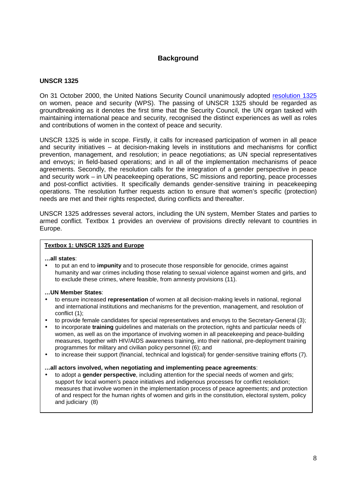### **Background**

### **UNSCR 1325**

On 31 October 2000, the United Nations Security Council unanimously adopted resolution 1325 on women, peace and security (WPS). The passing of UNSCR 1325 should be regarded as groundbreaking as it denotes the first time that the Security Council, the UN organ tasked with maintaining international peace and security, recognised the distinct experiences as well as roles and contributions of women in the context of peace and security.

UNSCR 1325 is wide in scope. Firstly, it calls for increased participation of women in all peace and security initiatives – at decision-making levels in institutions and mechanisms for conflict prevention, management, and resolution; in peace negotiations; as UN special representatives and envoys; in field-based operations; and in all of the implementation mechanisms of peace agreements. Secondly, the resolution calls for the integration of a gender perspective in peace and security work – in UN peacekeeping operations, SC missions and reporting, peace processes and post-conflict activities. It specifically demands gender-sensitive training in peacekeeping operations. The resolution further requests action to ensure that women's specific (protection) needs are met and their rights respected, during conflicts and thereafter.

UNSCR 1325 addresses several actors, including the UN system, Member States and parties to armed conflict. Textbox 1 provides an overview of provisions directly relevant to countries in Europe.

### **Textbox 1: UNSCR 1325 and Europe**

#### **…all states**:

• to put an end to **impunity** and to prosecute those responsible for genocide, crimes against humanity and war crimes including those relating to sexual violence against women and girls, and to exclude these crimes, where feasible, from amnesty provisions (11).

#### **…UN Member States**:

- to ensure increased **representation** of women at all decision-making levels in national, regional and international institutions and mechanisms for the prevention, management, and resolution of conflict (1);
- to provide female candidates for special representatives and envoys to the Secretary-General (3);
- to incorporate **training** guidelines and materials on the protection, rights and particular needs of women, as well as on the importance of involving women in all peacekeeping and peace-building measures, together with HIV/AIDS awareness training, into their national, pre-deployment training programmes for military and civilian policy personnel (6); and
- to increase their support (financial, technical and logistical) for gender-sensitive training efforts (7).

#### **…all actors involved, when negotiating and implementing peace agreements**:

• to adopt a **gender perspective**, including attention for the special needs of women and girls; support for local women's peace initiatives and indigenous processes for conflict resolution; measures that involve women in the implementation process of peace agreements; and protection of and respect for the human rights of women and girls in the constitution, electoral system, policy and judiciary (8)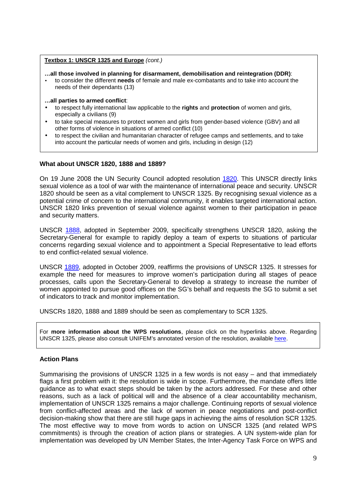#### **Textbox 1: UNSCR 1325 and Europe** (cont.)

**…all those involved in planning for disarmament, demobilisation and reintegration (DDR)**:

- to consider the different **needs** of female and male ex-combatants and to take into account the needs of their dependants (13)
- **…all parties to armed conflict**:
- to respect fully international law applicable to the **rights** and **protection** of women and girls, especially a civilians (9)
- to take special measures to protect women and girls from gender-based violence (GBV) and all other forms of violence in situations of armed conflict (10)
- to respect the civilian and humanitarian character of refugee camps and settlements, and to take into account the particular needs of women and girls, including in design (12)

### **What about UNSCR 1820, 1888 and 1889?**

On 19 June 2008 the UN Security Council adopted resolution 1820. This UNSCR directly links sexual violence as a tool of war with the maintenance of international peace and security. UNSCR 1820 should be seen as a vital complement to UNSCR 1325. By recognising sexual violence as a potential crime of concern to the international community, it enables targeted international action. UNSCR 1820 links prevention of sexual violence against women to their participation in peace and security matters.

UNSCR 1888, adopted in September 2009, specifically strengthens UNSCR 1820, asking the Secretary-General for example to rapidly deploy a team of experts to situations of particular concerns regarding sexual violence and to appointment a Special Representative to lead efforts to end conflict-related sexual violence.

UNSCR 1889, adopted in October 2009, reaffirms the provisions of UNSCR 1325. It stresses for example the need for measures to improve women's participation during all stages of peace processes, calls upon the Secretary-General to develop a strategy to increase the number of women appointed to pursue good offices on the SG's behalf and requests the SG to submit a set of indicators to track and monitor implementation.

UNSCRs 1820, 1888 and 1889 should be seen as complementary to SCR 1325.

For **more information about the WPS resolutions**, please click on the hyperlinks above. Regarding UNSCR 1325, please also consult UNIFEM's annotated version of the resolution, available here.

### **Action Plans**

Summarising the provisions of UNSCR 1325 in a few words is not easy – and that immediately flags a first problem with it: the resolution is wide in scope. Furthermore, the mandate offers little guidance as to what exact steps should be taken by the actors addressed. For these and other reasons, such as a lack of political will and the absence of a clear accountability mechanism, implementation of UNSCR 1325 remains a major challenge. Continuing reports of sexual violence from conflict-affected areas and the lack of women in peace negotiations and post-conflict decision-making show that there are still huge gaps in achieving the aims of resolution SCR 1325. The most effective way to move from words to action on UNSCR 1325 (and related WPS commitments) is through the creation of action plans or strategies. A UN system-wide plan for implementation was developed by UN Member States, the Inter-Agency Task Force on WPS and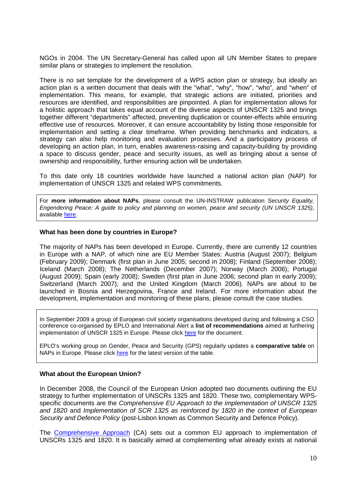NGOs in 2004. The UN Secretary-General has called upon all UN Member States to prepare similar plans or strategies to implement the resolution.

There is no set template for the development of a WPS action plan or strategy, but ideally an action plan is a written document that deals with the "what", "why", "how", "who", and "when" of implementation. This means, for example, that strategic actions are initiated, priorities and resources are identified, and responsibilities are pinpointed. A plan for implementation allows for a holistic approach that takes equal account of the diverse aspects of UNSCR 1325 and brings together different "departments" affected, preventing duplication or counter-effects while ensuring effective use of resources. Moreover, it can ensure accountability by listing those responsible for implementation and setting a clear timeframe. When providing benchmarks and indicators, a strategy can also help monitoring and evaluation processes. And a participatory process of developing an action plan, in turn, enables awareness-raising and capacity-building by providing a space to discuss gender, peace and security issues, as well as bringing about a sense of ownership and responsibility, further ensuring action will be undertaken.

To this date only 18 countries worldwide have launched a national action plan (NAP) for implementation of UNSCR 1325 and related WPS commitments.

For **more information about NAPs**, please consult the UN-INSTRAW publication Security Equality, Engendering Peace: A guide to policy and planning on women, peace and security (UN UNSCR 1325), available here.

#### **What has been done by countries in Europe?**

The majority of NAPs has been developed in Europe. Currently, there are currently 12 countries in Europe with a NAP, of which nine are EU Member States: Austria (August 2007); Belgium (February 2009); Denmark (first plan in June 2005; second in 2008); Finland (September 2008); Iceland (March 2008); The Netherlands (December 2007); Norway (March 2006); Portugal (August 2009); Spain (early 2008); Sweden (first plan in June 2006; second plan in early 2009); Switzerland (March 2007); and the United Kingdom (March 2006). NAPs are about to be launched in Bosnia and Herzegovina, France and Ireland. For more information about the development, implementation and monitoring of these plans, please consult the case studies.

In September 2009 a group of European civil society organisations developed during and following a CSO conference co-organised by EPLO and International Alert a **list of recommendations** aimed at furthering implementation of UNSCR 1325 in Europe. Please click here for the document.

EPLO's working group on Gender, Peace and Security (GPS) regularly updates a **comparative table** on NAPs in Europe. Please click here for the latest version of the table.

#### **What about the European Union?**

In December 2008, the Council of the European Union adopted two documents outlining the EU strategy to further implementation of UNSCRs 1325 and 1820. These two, complementary WPSspecific documents are the Comprehensive EU Approach to the implementation of UNSCR 1325 and 1820 and Implementation of SCR 1325 as reinforced by 1820 in the context of European Security and Defence Policy (post-Lisbon known as Common Security and Defence Policy).

The Comprehensive Approach (CA) sets out a common EU approach to implementation of UNSCRs 1325 and 1820. It is basically aimed at complementing what already exists at national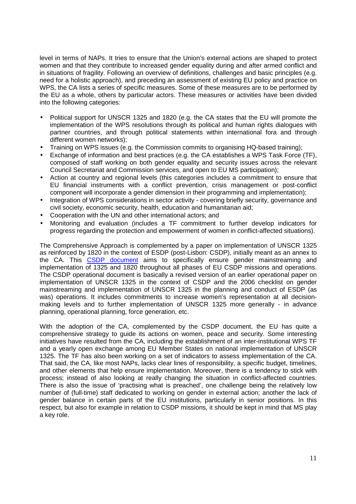level in terms of NAPs. It tries to ensure that the Union's external actions are shaped to protect women and that they contribute to increased gender equality during and after armed conflict and in situations of fragility. Following an overview of definitions, challenges and basic principles (e.g. need for a holistic approach), and preceding an assessment of existing EU policy and practice on WPS, the CA lists a series of specific measures. Some of these measures are to be performed by the EU as a whole, others by particular actors. These measures or activities have been divided into the following categories:

- Political support for UNSCR 1325 and 1820 (e.g. the CA states that the EU will promote the implementation of the WPS resolutions through its political and human rights dialogues with partner countries, and through political statements within international fora and through different women networks);
- Training on WPS issues (e.g. the Commission commits to organising HQ-based training);
- Exchange of information and best practices (e.g. the CA establishes a WPS Task Force (TF), composed of staff working on both gender equality and security issues across the relevant Council Secretariat and Commission services, and open to EU MS participation);
- Action at country and regional levels (this categories includes a commitment to ensure that EU financial instruments with a conflict prevention, crisis management or post-conflict component will incorporate a gender dimension in their programming and implementation);
- Integration of WPS considerations in sector activity covering briefly security, governance and civil society, economic security, health, education and humanitarian aid;
- Cooperation with the UN and other international actors; and
- Monitoring and evaluation (includes a TF commitment to further develop indicators for progress regarding the protection and empowerment of women in conflict-affected situations).

The Comprehensive Approach is complemented by a paper on implementation of UNSCR 1325 as reinforced by 1820 in the context of ESDP (post-Lisbon: CSDP), initially meant as an annex to the CA. This CSDP document aims to specifically ensure gender mainstreaming and implementation of 1325 and 1820 throughout all phases of EU CSDP missions and operations. The CSDP operational document is basically a revised version of an earlier operational paper on implementation of UNSCR 1325 in the context of CSDP and the 2006 checklist on gender mainstreaming and implementation of UNSCR 1325 in the planning and conduct of ESDP (as was) operations. It includes commitments to increase women's representation at all decisionmaking levels and to further implementation of UNSCR 1325 more generally - in advance planning, operational planning, force generation, etc.

With the adoption of the CA, complemented by the CSDP document, the EU has quite a comprehensive strategy to guide its actions on women, peace and security. Some interesting initiatives have resulted from the CA, including the establishment of an inter-institutional WPS TF and a yearly open exchange among EU Member States on national implementation of UNSCR 1325. The TF has also been working on a set of indicators to assess implementation of the CA. That said, the CA, like most NAPs, lacks clear lines of responsibility, a specific budget, timelines, and other elements that help ensure implementation. Moreover, there is a tendency to stick with process; instead of also looking at really changing the situation in conflict-affected countries. There is also the issue of 'practising what is preached', one challenge being the relatively low number of (full-time) staff dedicated to working on gender in external action; another the lack of gender balance in certain parts of the EU institutions, particularly in senior positions. In this respect, but also for example in relation to CSDP missions, it should be kept in mind that MS play a key role.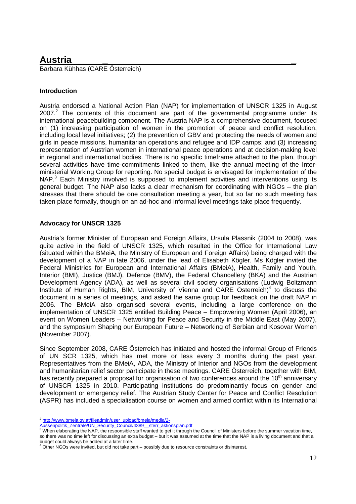### **Austria \_ \_**

Barbara Kühhas (CARE Österreich)

### **Introduction**

Austria endorsed a National Action Plan (NAP) for implementation of UNSCR 1325 in August  $2007<sup>2</sup>$  The contents of this document are part of the governmental programme under its international peacebuilding component. The Austria NAP is a comprehensive document, focused on (1) increasing participation of women in the promotion of peace and conflict resolution, including local level initiatives; (2) the prevention of GBV and protecting the needs of women and girls in peace missions, humanitarian operations and refugee and IDP camps; and (3) increasing representation of Austrian women in international peace operations and at decision-making level in regional and international bodies. There is no specific timeframe attached to the plan, though several activities have time-commitments linked to them, like the annual meeting of the Interministerial Working Group for reporting. No special budget is envisaged for implementation of the NAP.<sup>3</sup> Each Ministry involved is supposed to implement activities and interventions using its general budget. The NAP also lacks a clear mechanism for coordinating with NGOs – the plan stresses that there should be one consultation meeting a year, but so far no such meeting has taken place formally, though on an ad-hoc and informal level meetings take place frequently.

### **Advocacy for UNSCR 1325**

Austria's former Minister of European and Foreign Affairs, Ursula Plassnik (2004 to 2008), was quite active in the field of UNSCR 1325, which resulted in the Office for International Law (situated within the BMeiA, the Ministry of European and Foreign Affairs) being charged with the development of a NAP in late 2006, under the lead of Elisabeth Kögler. Ms Kögler invited the Federal Ministries for European and International Affairs (BMeiA), Health, Family and Youth, Interior (BMI), Justice (BMJ), Defence (BMV), the Federal Chancellery (BKA) and the Austrian Development Agency (ADA), as well as several civil society organisations (Ludwig Boltzmann Institute of Human Rights, BIM, University of Vienna and CARE Österreich)<sup>4</sup> to discuss the document in a series of meetings, and asked the same group for feedback on the draft NAP in 2006. The BMeiA also organised several events, including a large conference on the implementation of UNSCR 1325 entitled Building Peace – Empowering Women (April 2006), an event on Women Leaders – Networking for Peace and Security in the Middle East (May 2007), and the symposium Shaping our European Future – Networking of Serbian and Kosovar Women (November 2007).

Since September 2008, CARE Österreich has initiated and hosted the informal Group of Friends of UN SCR 1325, which has met more or less every 3 months during the past year. Representatives from the BMeiA, ADA, the Ministry of Interior and NGOs from the development and humanitarian relief sector participate in these meetings. CARE Österreich, together with BIM, has recently prepared a proposal for organisation of two conferences around the  $10<sup>th</sup>$  anniversary of UNSCR 1325 in 2010. Participating institutions do predominantly focus on gender and development or emergency relief. The Austrian Study Center for Peace and Conflict Resolution (ASPR) has included a specialisation course on women and armed conflict within its International

\_<br><sup>2</sup> http://www.bmeia.gv.at/fileadmin/user\_upload/bmeia/media/2-

<sup>&</sup>lt;u>Aussenpolitik\_Zentrale/UN\_Security\_Council/4389\_\_sterr\_aktionsplan.pdf</u><br><sup>3</sup> When elaborating the NAP, the responsible staff wanted to get it through the Council of Ministers before the summer vacation time, so there was no time left for discussing an extra budget – but it was assumed at the time that the NAP is a living document and that a budget could always be added at a later time.

<sup>4</sup> Other NGOs were invited, but did not take part – possibly due to resource constraints or disinterest.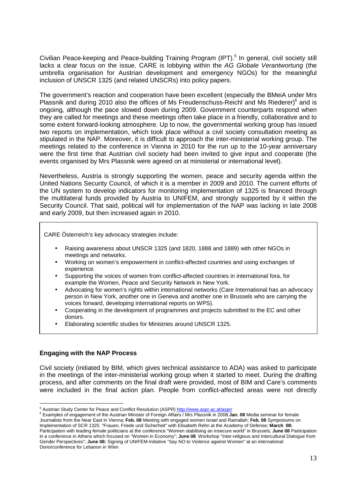Civilian Peace-keeping and Peace-building Training Program (IPT).<sup>5</sup> In general, civil society still lacks a clear focus on the issue. CARE is lobbying within the AG Globale Verantwortung (the umbrella organisation for Austrian development and emergency NGOs) for the meaningful inclusion of UNSCR 1325 (and related UNSCRs) into policy papers.

The government's reaction and cooperation have been excellent (especially the BMeiA under Mrs Plassnik and during 2010 also the offices of Ms Freudenschuss-Reichl and Ms Riederer) $6$  and is ongoing, although the pace slowed down during 2009. Government counterparts respond when they are called for meetings and these meetings often take place in a friendly, collaborative and to some extent forward-looking atmosphere. Up to now, the governmental working group has issued two reports on implementation, which took place without a civil society consultation meeting as stipulated in the NAP. Moreover, it is difficult to approach the inter-ministerial working group. The meetings related to the conference in Vienna in 2010 for the run up to the 10-year anniversary were the first time that Austrian civil society had been invited to give input and cooperate (the events organised by Mrs Plassnik were agreed on at ministerial or international level).

Nevertheless, Austria is strongly supporting the women, peace and security agenda within the United Nations Security Council, of which it is a member in 2009 and 2010. The current efforts of the UN system to develop indicators for monitoring implementation of 1325 is financed through the multilateral funds provided by Austria to UNIFEM, and strongly supported by it within the Security Council. That said, political will for implementation of the NAP was lacking in late 2008 and early 2009, but then increased again in 2010.

CARE Österreich's key advocacy strategies include:

- Raising awareness about UNSCR 1325 (and 1820, 1888 and 1889) with other NGOs in meetings and networks.
- Working on women's empowerment in conflict-affected countries and using exchanges of experience.
- Supporting the voices of women from conflict-affected countries in international fora, for example the Women, Peace and Security Network in New York.
- Advocating for women's rights within international networks (Care International has an advocacy person in New York, another one in Geneva and another one in Brussels who are carrying the voices forward, developing international reports on WPS).
- Cooperating in the development of programmes and projects submitted to the EC and other donors.
- Elaborating scientific studies for Ministries around UNSCR 1325.

### **Engaging with the NAP Process**

Civil society (initiated by BIM, which gives technical assistance to ADA) was asked to participate in the meetings of the inter-ministerial working group when it started to meet. During the drafting process, and after comments on the final draft were provided, most of BIM and Care's comments were included in the final action plan. People from conflict-affected areas were not directly

 5 Austrian Study Center for Peace and Conflict Resolution (ASPR) http://www.aspr.ac.at/aspr/

<sup>6</sup> Examples of engagement of the Austrian Minister of Foreign Affairs / Mrs Plassnik in 2008:**Jan. 08** Media seminar for female Journalists from the Near East in Vienna; **Feb. 08** Meeting with engaged women Israel and Ramallah; **Feb. 08** Symposiums on Implementation of SCR 1325 "Frauen, Friede und Sicherheit" with Elisabeth Rehn at the Academy of Defense; **March 08:**  Participation with leading female politicians at the conference "Women stabilising an insecure world" in Brussels; **June 08** Participation in a conference in Athens which focused on "Women in Economy"; **June 08** Workshop "Inter-religious and Intercultural Dialogue from Gender Perspectives"; **June 08:** Signing of UNIFEM-Initiative "Say NO to Violence against Women" at an international Donorconference for Lebanon in Wien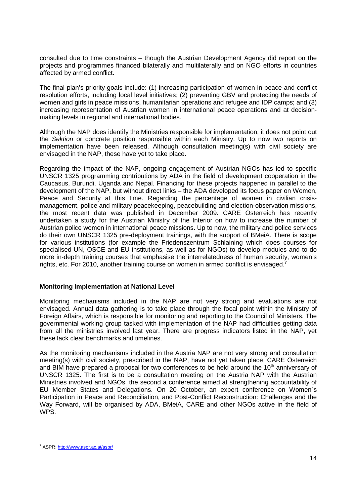consulted due to time constraints – though the Austrian Development Agency did report on the projects and programmes financed bilaterally and multilaterally and on NGO efforts in countries affected by armed conflict.

The final plan's priority goals include: (1) increasing participation of women in peace and conflict resolution efforts, including local level initiatives; (2) preventing GBV and protecting the needs of women and girls in peace missions, humanitarian operations and refugee and IDP camps; and (3) increasing representation of Austrian women in international peace operations and at decisionmaking levels in regional and international bodies.

Although the NAP does identify the Ministries responsible for implementation, it does not point out the Sektion or concrete position responsible within each Ministry. Up to now two reports on implementation have been released. Although consultation meeting(s) with civil society are envisaged in the NAP, these have yet to take place.

Regarding the impact of the NAP, ongoing engagement of Austrian NGOs has led to specific UNSCR 1325 programming contributions by ADA in the field of development cooperation in the Caucasus, Burundi, Uganda and Nepal. Financing for these projects happened in parallel to the development of the NAP, but without direct links – the ADA developed its focus paper on Women, Peace and Security at this time. Regarding the percentage of women in civilian crisismanagement, police and military peacekeeping, peacebuilding and election-observation missions, the most recent data was published in December 2009. CARE Österreich has recently undertaken a study for the Austrian Ministry of the Interior on how to increase the number of Austrian police women in international peace missions. Up to now, the military and police services do their own UNSCR 1325 pre-deployment trainings, with the support of BMeiA. There is scope for various institutions (for example the Friedenszentrum Schlaining which does courses for specialised UN, OSCE and EU institutions, as well as for NGOs) to develop modules and to do more in-depth training courses that emphasise the interrelatedness of human security, women's rights, etc. For 2010, another training course on women in armed conflict is envisaged.<sup>7</sup>

### **Monitoring Implementation at National Level**

Monitoring mechanisms included in the NAP are not very strong and evaluations are not envisaged. Annual data gathering is to take place through the focal point within the Ministry of Foreign Affairs, which is responsible for monitoring and reporting to the Council of Ministers. The governmental working group tasked with implementation of the NAP had difficulties getting data from all the ministries involved last year. There are progress indicators listed in the NAP, yet these lack clear benchmarks and timelines.

As the monitoring mechanisms included in the Austria NAP are not very strong and consultation meeting(s) with civil society, prescribed in the NAP, have not yet taken place, CARE Österreich and BIM have prepared a proposal for two conferences to be held around the 10<sup>th</sup> anniversary of UNSCR 1325. The first is to be a consultation meeting on the Austria NAP with the Austrian Ministries involved and NGOs, the second a conference aimed at strengthening accountability of EU Member States and Delegations. On 20 October, an expert conference on Women´s Participation in Peace and Reconciliation, and Post-Conflict Reconstruction: Challenges and the Way Forward, will be organised by ADA, BMeiA, CARE and other NGOs active in the field of WPS.

<sup>-</sup><sup>7</sup> ASPR: http://www.aspr.ac.at/aspr/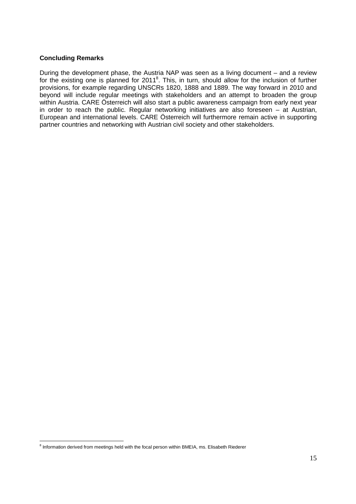### **Concluding Remarks**

During the development phase, the Austria NAP was seen as a living document – and a review for the existing one is planned for 2011<sup>8</sup>. This, in turn, should allow for the inclusion of further provisions, for example regarding UNSCRs 1820, 1888 and 1889. The way forward in 2010 and beyond will include regular meetings with stakeholders and an attempt to broaden the group within Austria. CARE Österreich will also start a public awareness campaign from early next year in order to reach the public. Regular networking initiatives are also foreseen – at Austrian, European and international levels. CARE Österreich will furthermore remain active in supporting partner countries and networking with Austrian civil society and other stakeholders.

<sup>-</sup><sup>8</sup> Information derived from meetings held with the focal person within BMEIA, ms. Elisabeth Riederer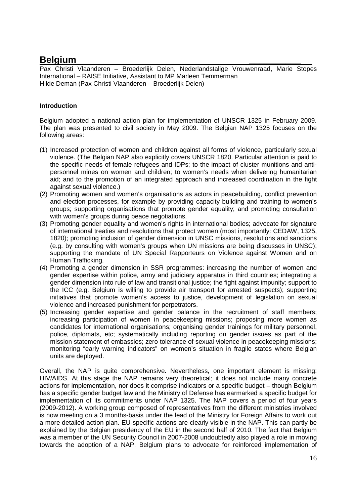### **Belgium \_\_\_\_\_\_\_\_\_\_**

Pax Christi Vlaanderen – Broederlijk Delen, Nederlandstalige Vrouwenraad, Marie Stopes International – RAISE Initiative, Assistant to MP Marleen Temmerman Hilde Deman (Pax Christi Vlaanderen – Broederlijk Delen)

### **Introduction**

Belgium adopted a national action plan for implementation of UNSCR 1325 in February 2009. The plan was presented to civil society in May 2009. The Belgian NAP 1325 focuses on the following areas:

- (1) Increased protection of women and children against all forms of violence, particularly sexual violence. (The Belgian NAP also explicitly covers UNSCR 1820. Particular attention is paid to the specific needs of female refugees and IDPs; to the impact of cluster munitions and antipersonnel mines on women and children; to women's needs when delivering humanitarian aid; and to the promotion of an integrated approach and increased coordination in the fight against sexual violence.)
- (2) Promoting women and women's organisations as actors in peacebuilding, conflict prevention and election processes, for example by providing capacity building and training to women's groups; supporting organisations that promote gender equality; and promoting consultation with women's groups during peace negotiations.
- (3) Promoting gender equality and women's rights in international bodies; advocate for signature of international treaties and resolutions that protect women (most importantly: CEDAW, 1325, 1820); promoting inclusion of gender dimension in UNSC missions, resolutions and sanctions (e.g. by consulting with women's groups when UN missions are being discusses in UNSC); supporting the mandate of UN Special Rapporteurs on Violence against Women and on Human Trafficking.
- (4) Promoting a gender dimension in SSR programmes: increasing the number of women and gender expertise within police, army and judiciary apparatus in third countries; integrating a gender dimension into rule of law and transitional justice; the fight against impunity; support to the ICC (e.g. Belgium is willing to provide air transport for arrested suspects); supporting initiatives that promote women's access to justice, development of legislation on sexual violence and increased punishment for perpetrators.
- (5) Increasing gender expertise and gender balance in the recruitment of staff members; increasing participation of women in peacekeeping missions; proposing more women as candidates for international organisations; organising gender trainings for military personnel, police, diplomats, etc; systematically including reporting on gender issues as part of the mission statement of embassies; zero tolerance of sexual violence in peacekeeping missions; monitoring "early warning indicators" on women's situation in fragile states where Belgian units are deployed.

Overall, the NAP is quite comprehensive. Nevertheless, one important element is missing: HIV/AIDS. At this stage the NAP remains very theoretical; it does not include many concrete actions for implementation, nor does it comprise indicators or a specific budget – though Belgium has a specific gender budget law and the Ministry of Defense has earmarked a specific budget for implementation of its commitments under NAP 1325. The NAP covers a period of four years (2009-2012). A working group composed of representatives from the different ministries involved is now meeting on a 3 months-basis under the lead of the Ministry for Foreign Affairs to work out a more detailed action plan. EU-specific actions are clearly visible in the NAP. This can partly be explained by the Belgian presidency of the EU in the second half of 2010. The fact that Belgium was a member of the UN Security Council in 2007-2008 undoubtedly also played a role in moving towards the adoption of a NAP. Belgium plans to advocate for reinforced implementation of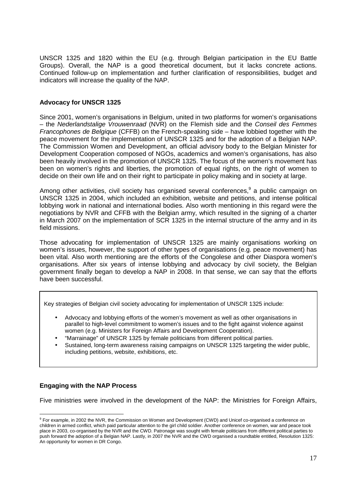UNSCR 1325 and 1820 within the EU (e.g. through Belgian participation in the EU Battle Groups). Overall, the NAP is a good theoretical document, but it lacks concrete actions. Continued follow-up on implementation and further clarification of responsibilities, budget and indicators will increase the quality of the NAP.

### **Advocacy for UNSCR 1325**

Since 2001, women's organisations in Belgium, united in two platforms for women's organisations – the Nederlandstalige Vrouwenraad (NVR) on the Flemish side and the Conseil des Femmes Francophones de Belgique (CFFB) on the French-speaking side – have lobbied together with the peace movement for the implementation of UNSCR 1325 and for the adoption of a Belgian NAP. The Commission Women and Development, an official advisory body to the Belgian Minister for Development Cooperation composed of NGOs, academics and women's organisations, has also been heavily involved in the promotion of UNSCR 1325. The focus of the women's movement has been on women's rights and liberties, the promotion of equal rights, on the right of women to decide on their own life and on their right to participate in policy making and in society at large.

Among other activities, civil society has organised several conferences,<sup>9</sup> a public campaign on UNSCR 1325 in 2004, which included an exhibition, website and petitions, and intense political lobbying work in national and international bodies. Also worth mentioning in this regard were the negotiations by NVR and CFFB with the Belgian army, which resulted in the signing of a charter in March 2007 on the implementation of SCR 1325 in the internal structure of the army and in its field missions.

Those advocating for implementation of UNSCR 1325 are mainly organisations working on women's issues, however, the support of other types of organisations (e.g. peace movement) has been vital. Also worth mentioning are the efforts of the Congolese and other Diaspora women's organisations. After six years of intense lobbying and advocacy by civil society, the Belgian government finally began to develop a NAP in 2008. In that sense, we can say that the efforts have been successful.

Key strategies of Belgian civil society advocating for implementation of UNSCR 1325 include:

- Advocacy and lobbying efforts of the women's movement as well as other organisations in parallel to high-level commitment to women's issues and to the fight against violence against women (e.g. Ministers for Foreign Affairs and Development Cooperation).
- "Marrainage" of UNSCR 1325 by female politicians from different political parties.
- Sustained, long-term awareness raising campaigns on UNSCR 1325 targeting the wider public, including petitions, website, exhibitions, etc.

### **Engaging with the NAP Process**

Five ministries were involved in the development of the NAP: the Ministries for Foreign Affairs,

 9 For example, in 2002 the NVR, the Commission on Women and Development (CWD) and Unicef co-organised a conference on children in armed conflict, which paid particular attention to the girl child soldier. Another conference on women, war and peace took place in 2003, co-organised by the NVR and the CWD. Patronage was sought with female politicians from different political parties to push forward the adoption of a Belgian NAP. Lastly, in 2007 the NVR and the CWD organised a roundtable entitled, Resolution 1325: An opportunity for women in DR Congo.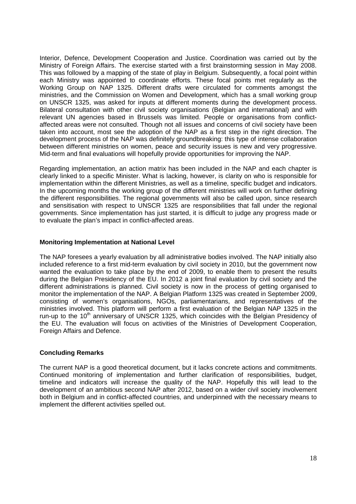Interior, Defence, Development Cooperation and Justice. Coordination was carried out by the Ministry of Foreign Affairs. The exercise started with a first brainstorming session in May 2008. This was followed by a mapping of the state of play in Belgium. Subsequently, a focal point within each Ministry was appointed to coordinate efforts. These focal points met regularly as the Working Group on NAP 1325. Different drafts were circulated for comments amongst the ministries, and the Commission on Women and Development, which has a small working group on UNSCR 1325, was asked for inputs at different moments during the development process. Bilateral consultation with other civil society organisations (Belgian and international) and with relevant UN agencies based in Brussels was limited. People or organisations from conflictaffected areas were not consulted. Though not all issues and concerns of civil society have been taken into account, most see the adoption of the NAP as a first step in the right direction. The development process of the NAP was definitely groundbreaking: this type of intense collaboration between different ministries on women, peace and security issues is new and very progressive. Mid-term and final evaluations will hopefully provide opportunities for improving the NAP.

Regarding implementation, an action matrix has been included in the NAP and each chapter is clearly linked to a specific Minister. What is lacking, however, is clarity on who is responsible for implementation within the different Ministries, as well as a timeline, specific budget and indicators. In the upcoming months the working group of the different ministries will work on further defining the different responsibilities. The regional governments will also be called upon, since research and sensitisation with respect to UNSCR 1325 are responsibilities that fall under the regional governments. Since implementation has just started, it is difficult to judge any progress made or to evaluate the plan's impact in conflict-affected areas.

### **Monitoring Implementation at National Level**

The NAP foresees a yearly evaluation by all administrative bodies involved. The NAP initially also included reference to a first mid-term evaluation by civil society in 2010, but the government now wanted the evaluation to take place by the end of 2009, to enable them to present the results during the Belgian Presidency of the EU. In 2012 a joint final evaluation by civil society and the different administrations is planned. Civil society is now in the process of getting organised to monitor the implementation of the NAP. A Belgian Platform 1325 was created in September 2009, consisting of women's organisations, NGOs, parliamentarians, and representatives of the ministries involved. This platform will perform a first evaluation of the Belgian NAP 1325 in the run-up to the  $10<sup>th</sup>$  anniversary of UNSCR 1325, which coincides with the Belgian Presidency of the EU. The evaluation will focus on activities of the Ministries of Development Cooperation, Foreign Affairs and Defence.

### **Concluding Remarks**

The current NAP is a good theoretical document, but it lacks concrete actions and commitments. Continued monitoring of implementation and further clarification of responsibilities, budget, timeline and indicators will increase the quality of the NAP. Hopefully this will lead to the development of an ambitious second NAP after 2012, based on a wider civil society involvement both in Belgium and in conflict-affected countries, and underpinned with the necessary means to implement the different activities spelled out.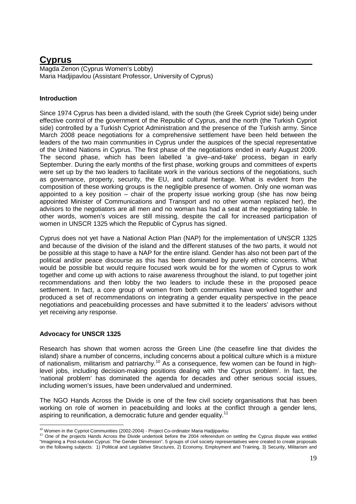### **Cyprus**

Magda Zenon (Cyprus Women's Lobby) Maria Hadjipavlou (Assistant Professor, University of Cyprus)

### **Introduction**

Since 1974 Cyprus has been a divided island, with the south (the Greek Cypriot side) being under effective control of the government of the Republic of Cyprus, and the north (the Turkish Cypriot side) controlled by a Turkish Cypriot Administration and the presence of the Turkish army. Since March 2008 peace negotiations for a comprehensive settlement have been held between the leaders of the two main communities in Cyprus under the auspices of the special representative of the United Nations in Cyprus. The first phase of the negotiations ended in early August 2009. The second phase, which has been labelled 'a give–and-take' process, began in early September. During the early months of the first phase, working groups and committees of experts were set up by the two leaders to facilitate work in the various sections of the negotiations, such as governance, property, security, the EU, and cultural heritage. What is evident from the composition of these working groups is the negligible presence of women. Only one woman was appointed to a key position – chair of the property issue working group (she has now being appointed Minister of Communications and Transport and no other woman replaced her), the advisors to the negotiators are all men and no woman has had a seat at the negotiating table. In other words, women's voices are still missing, despite the call for increased participation of women in UNSCR 1325 which the Republic of Cyprus has signed.

Cyprus does not yet have a National Action Plan (NAP) for the implementation of UNSCR 1325 and because of the division of the island and the different statuses of the two parts, it would not be possible at this stage to have a NAP for the entire island. Gender has also not been part of the political and/or peace discourse as this has been dominated by purely ethnic concerns. What would be possible but would require focused work would be for the women of Cyprus to work together and come up with actions to raise awareness throughout the island, to put together joint recommendations and then lobby the two leaders to include these in the proposed peace settlement. In fact, a core group of women from both communities have worked together and produced a set of recommendations on integrating a gender equality perspective in the peace negotiations and peacebuilding processes and have submitted it to the leaders' advisors without yet receiving any response.

### **Advocacy for UNSCR 1325**

Research has shown that women across the Green Line (the ceasefire line that divides the island) share a number of concerns, including concerns about a political culture which is a mixture of nationalism, militarism and patriarchy.<sup>10</sup> As a consequence, few women can be found in highlevel jobs, including decision-making positions dealing with 'the Cyprus problem'. In fact, the 'national problem' has dominated the agenda for decades and other serious social issues, including women's issues, have been undervalued and undermined.

The NGO Hands Across the Divide is one of the few civil society organisations that has been working on role of women in peacebuilding and looks at the conflict through a gender lens, aspiring to reunification, a democratic future and gender equality.<sup>11</sup>

<sup>-</sup><sup>10</sup> Women in the Cypriot Communities (2002-2004) - Project Co-ordinator Maria Hadjipavlou

<sup>&</sup>lt;sup>11</sup> One of the projects Hands Across the Divide undertook before the 2004 referendum on settling the Cyprus dispute was entitled "Imagining a Post-solution Cyprus: The Gender Dimension". 5 groups of civil society representatives were created to create proposals on the following subjects: 1) Political and Legislative Structures, 2) Economy, Employment and Training, 3) Security, Militarism and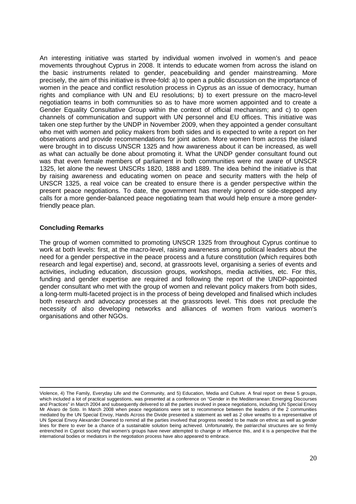An interesting initiative was started by individual women involved in women's and peace movements throughout Cyprus in 2008. It intends to educate women from across the island on the basic instruments related to gender, peacebuilding and gender mainstreaming. More precisely, the aim of this initiative is three-fold: a) to open a public discussion on the importance of women in the peace and conflict resolution process in Cyprus as an issue of democracy, human rights and compliance with UN and EU resolutions; b) to exert pressure on the macro-level negotiation teams in both communities so as to have more women appointed and to create a Gender Equality Consultative Group within the context of official mechanism; and c) to open channels of communication and support with UN personnel and EU offices. This initiative was taken one step further by the UNDP in November 2009, when they appointed a gender consultant who met with women and policy makers from both sides and is expected to write a report on her observations and provide recommendations for joint action. More women from across the island were brought in to discuss UNSCR 1325 and how awareness about it can be increased, as well as what can actually be done about promoting it. What the UNDP gender consultant found out was that even female members of parliament in both communities were not aware of UNSCR 1325, let alone the newest UNSCRs 1820, 1888 and 1889. The idea behind the initiative is that by raising awareness and educating women on peace and security matters with the help of UNSCR 1325, a real voice can be created to ensure there is a gender perspective within the present peace negotiations. To date, the government has merely ignored or side-stepped any calls for a more gender-balanced peace negotiating team that would help ensure a more genderfriendly peace plan.

### **Concluding Remarks**

l

The group of women committed to promoting UNSCR 1325 from throughout Cyprus continue to work at both levels: first, at the macro-level, raising awareness among political leaders about the need for a gender perspective in the peace process and a future constitution (which requires both research and legal expertise) and, second, at grassroots level, organising a series of events and activities, including education, discussion groups, workshops, media activities, etc. For this, funding and gender expertise are required and following the report of the UNDP-appointed gender consultant who met with the group of women and relevant policy makers from both sides, a long-term multi-faceted project is in the process of being developed and finalised which includes both research and advocacy processes at the grassroots level. This does not preclude the necessity of also developing networks and alliances of women from various women's organisations and other NGOs.

Violence, 4) The Family, Everyday Life and the Community, and 5) Education, Media and Culture. A final report on these 5 groups, which included a lot of practical suggestions, was presented at a conference on "Gender in the Mediterranean: Emerging Discourses and Practices" in March 2004 and subsequently delivered to all the parties involved in peace negotiations, including UN Special Envoy Mr Alvaro de Soto. In March 2008 when peace negotiations were set to recommence between the leaders of the 2 communities mediated by the UN Special Envoy, Hands Across the Divide presented a statement as well as 2 olive wreaths to a representative of UN Special Envoy Alexander Downed to remind all the parties involved that progress needed to be made on ethnic as well as gender lines for there to ever be a chance of a sustainable solution being achieved. Unfortunately, the patriarchal structures are so firmly entrenched in Cypriot society that women's groups have never attempted to change or influence this, and it is a perspective that the international bodies or mediators in the negotiation process have also appeared to embrace.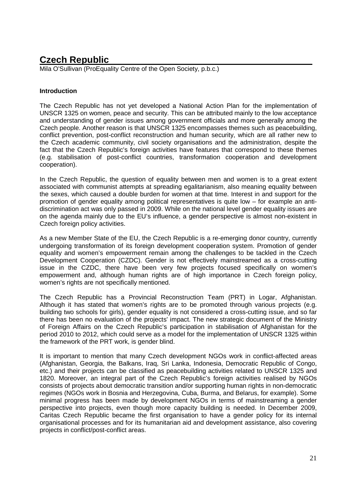### **Czech Republic**

Mila O'Sullivan (ProEquality Centre of the Open Society, p.b.c.)

### **Introduction**

The Czech Republic has not yet developed a National Action Plan for the implementation of UNSCR 1325 on women, peace and security. This can be attributed mainly to the low acceptance and understanding of gender issues among government officials and more generally among the Czech people. Another reason is that UNSCR 1325 encompasses themes such as peacebuilding, conflict prevention, post-conflict reconstruction and human security, which are all rather new to the Czech academic community, civil society organisations and the administration, despite the fact that the Czech Republic's foreign activities have features that correspond to these themes (e.g. stabilisation of post-conflict countries, transformation cooperation and development cooperation).

In the Czech Republic, the question of equality between men and women is to a great extent associated with communist attempts at spreading egalitarianism, also meaning equality between the sexes, which caused a double burden for women at that time. Interest in and support for the promotion of gender equality among political representatives is quite low – for example an antidiscrimination act was only passed in 2009. While on the national level gender equality issues are on the agenda mainly due to the EU's influence, a gender perspective is almost non-existent in Czech foreign policy activities.

As a new Member State of the EU, the Czech Republic is a re-emerging donor country, currently undergoing transformation of its foreign development cooperation system. Promotion of gender equality and women's empowerment remain among the challenges to be tackled in the Czech Development Cooperation (CZDC). Gender is not effectively mainstreamed as a cross-cutting issue in the CZDC, there have been very few projects focused specifically on women's empowerment and, although human rights are of high importance in Czech foreign policy, women's rights are not specifically mentioned.

The Czech Republic has a Provincial Reconstruction Team (PRT) in Logar, Afghanistan. Although it has stated that women's rights are to be promoted through various projects (e.g. building two schools for girls), gender equality is not considered a cross-cutting issue, and so far there has been no evaluation of the projects' impact. The new strategic document of the Ministry of Foreign Affairs on the Czech Republic's participation in stabilisation of Afghanistan for the period 2010 to 2012, which could serve as a model for the implementation of UNSCR 1325 within the framework of the PRT work, is gender blind.

It is important to mention that many Czech development NGOs work in conflict-affected areas (Afghanistan, Georgia, the Balkans, Iraq, Sri Lanka, Indonesia, Democratic Republic of Congo, etc.) and their projects can be classified as peacebuilding activities related to UNSCR 1325 and 1820. Moreover, an integral part of the Czech Republic's foreign activities realised by NGOs consists of projects about democratic transition and/or supporting human rights in non-democratic regimes (NGOs work in Bosnia and Herzegovina, Cuba, Burma, and Belarus, for example). Some minimal progress has been made by development NGOs in terms of mainstreaming a gender perspective into projects, even though more capacity building is needed. In December 2009, Caritas Czech Republic became the first organisation to have a gender policy for its internal organisational processes and for its humanitarian aid and development assistance, also covering projects in conflict/post-conflict areas.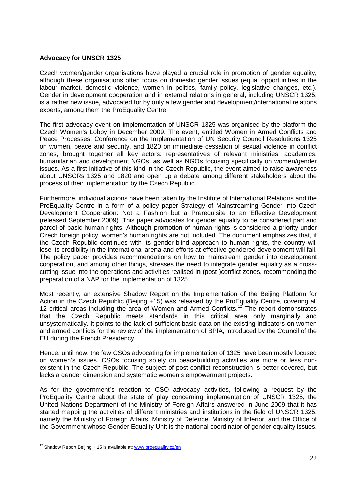### **Advocacy for UNSCR 1325**

Czech women/gender organisations have played a crucial role in promotion of gender equality, although these organisations often focus on domestic gender issues (equal opportunities in the labour market, domestic violence, women in politics, family policy, legislative changes, etc.). Gender in development cooperation and in external relations in general, including UNSCR 1325, is a rather new issue, advocated for by only a few gender and development/international relations experts, among them the ProEquality Centre.

The first advocacy event on implementation of UNSCR 1325 was organised by the platform the Czech Women's Lobby in December 2009. The event, entitled Women in Armed Conflicts and Peace Processes: Conference on the Implementation of UN Security Council Resolutions 1325 on women, peace and security, and 1820 on immediate cessation of sexual violence in conflict zones, brought together all key actors: representatives of relevant ministries, academics, humanitarian and development NGOs, as well as NGOs focusing specifically on women/gender issues. As a first initiative of this kind in the Czech Republic, the event aimed to raise awareness about UNSCRs 1325 and 1820 and open up a debate among different stakeholders about the process of their implementation by the Czech Republic.

Furthermore, individual actions have been taken by the Institute of International Relations and the ProEquality Centre in a form of a policy paper Strategy of Mainstreaming Gender into Czech Development Cooperation: Not a Fashion but a Prerequisite to an Effective Development (released September 2009). This paper advocates for gender equality to be considered part and parcel of basic human rights. Although promotion of human rights is considered a priority under Czech foreign policy, women's human rights are not included. The document emphasizes that, if the Czech Republic continues with its gender-blind approach to human rights, the country will lose its credibility in the international arena and efforts at effective gendered development will fail. The policy paper provides recommendations on how to mainstream gender into development cooperation, and among other things, stresses the need to integrate gender equality as a crosscutting issue into the operations and activities realised in (post-)conflict zones, recommending the preparation of a NAP for the implementation of 1325.

Most recently, an extensive Shadow Report on the Implementation of the Beijing Platform for Action in the Czech Republic (Beijing +15) was released by the ProEquality Centre, covering all 12 critical areas including the area of Women and Armed Conflicts.<sup>12</sup> The report demonstrates that the Czech Republic meets standards in this critical area only marginally and unsystematically. It points to the lack of sufficient basic data on the existing indicators on women and armed conflicts for the review of the implementation of BPfA, introduced by the Council of the EU during the French Presidency.

Hence, until now, the few CSOs advocating for implementation of 1325 have been mostly focused on women's issues. CSOs focusing solely on peacebuilding activities are more or less nonexistent in the Czech Republic. The subject of post-conflict reconstruction is better covered, but lacks a gender dimension and systematic women's empowerment projects.

As for the government's reaction to CSO advocacy activities, following a request by the ProEquality Centre about the state of play concerning implementation of UNSCR 1325, the United Nations Department of the Ministry of Foreign Affairs answered in June 2009 that it has started mapping the activities of different ministries and institutions in the field of UNSCR 1325, namely the Ministry of Foreign Affairs, Ministry of Defence, Ministry of Interior, and the Office of the Government whose Gender Equality Unit is the national coordinator of gender equality issues.

-

 $12$  Shadow Report Beijing  $+15$  is available at: www.proequality.cz/en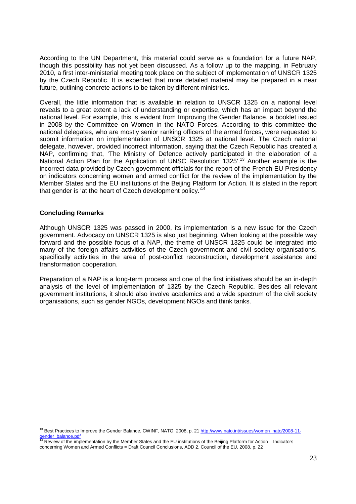According to the UN Department, this material could serve as a foundation for a future NAP, though this possibility has not yet been discussed. As a follow up to the mapping, in February 2010, a first inter-ministerial meeting took place on the subject of implementation of UNSCR 1325 by the Czech Republic. It is expected that more detailed material may be prepared in a near future, outlining concrete actions to be taken by different ministries.

Overall, the little information that is available in relation to UNSCR 1325 on a national level reveals to a great extent a lack of understanding or expertise, which has an impact beyond the national level. For example, this is evident from Improving the Gender Balance, a booklet issued in 2008 by the Committee on Women in the NATO Forces. According to this committee the national delegates, who are mostly senior ranking officers of the armed forces, were requested to submit information on implementation of UNSCR 1325 at national level. The Czech national delegate, however, provided incorrect information, saying that the Czech Republic has created a NAP, confirming that, 'The Ministry of Defence actively participated in the elaboration of a National Action Plan for the Application of UNSC Resolution 1325'.<sup>13</sup> Another example is the incorrect data provided by Czech government officials for the report of the French EU Presidency on indicators concerning women and armed conflict for the review of the implementation by the Member States and the EU institutions of the Beijing Platform for Action. It is stated in the report that gender is 'at the heart of Czech development policy.<sup>14</sup>

### **Concluding Remarks**

Although UNSCR 1325 was passed in 2000, its implementation is a new issue for the Czech government. Advocacy on UNSCR 1325 is also just beginning. When looking at the possible way forward and the possible focus of a NAP, the theme of UNSCR 1325 could be integrated into many of the foreign affairs activities of the Czech government and civil society organisations, specifically activities in the area of post-conflict reconstruction, development assistance and transformation cooperation.

Preparation of a NAP is a long-term process and one of the first initiatives should be an in-depth analysis of the level of implementation of 1325 by the Czech Republic. Besides all relevant government institutions, it should also involve academics and a wide spectrum of the civil society organisations, such as gender NGOs, development NGOs and think tanks.

<sup>-</sup><sup>13</sup> Best Practices to Improve the Gender Balance, CWINF, NATO, 2008, p. 21 http://www.nato.int/issues/women\_nato/2008-11ender\_balance.pd

Review of the implementation by the Member States and the EU institutions of the Beijing Platform for Action – Indicators concerning Women and Armed Conflicts = Draft Council Conclusions, ADD 2, Council of the EU, 2008, p. 22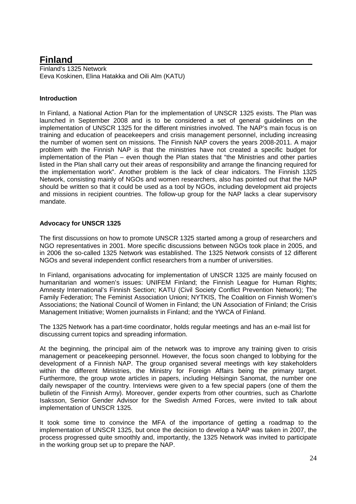### **Finland**

Finland's 1325 Network Eeva Koskinen, Elina Hatakka and Oili Alm (KATU)

### **Introduction**

In Finland, a National Action Plan for the implementation of UNSCR 1325 exists. The Plan was launched in September 2008 and is to be considered a set of general guidelines on the implementation of UNSCR 1325 for the different ministries involved. The NAP's main focus is on training and education of peacekeepers and crisis management personnel, including increasing the number of women sent on missions. The Finnish NAP covers the years 2008-2011. A major problem with the Finnish NAP is that the ministries have not created a specific budget for implementation of the Plan – even though the Plan states that "the Ministries and other parties listed in the Plan shall carry out their areas of responsibility and arrange the financing required for the implementation work". Another problem is the lack of clear indicators. The Finnish 1325 Network, consisting mainly of NGOs and women researchers, also has pointed out that the NAP should be written so that it could be used as a tool by NGOs, including development aid projects and missions in recipient countries. The follow-up group for the NAP lacks a clear supervisory mandate.

### **Advocacy for UNSCR 1325**

The first discussions on how to promote UNSCR 1325 started among a group of researchers and NGO representatives in 2001. More specific discussions between NGOs took place in 2005, and in 2006 the so-called 1325 Network was established. The 1325 Network consists of 12 different NGOs and several independent conflict researchers from a number of universities.

In Finland, organisations advocating for implementation of UNSCR 1325 are mainly focused on humanitarian and women's issues: UNIFEM Finland; the Finnish League for Human Rights; Amnesty International's Finnish Section; KATU (Civil Society Conflict Prevention Network); The Family Federation; The Feminist Association Unioni; NYTKIS, The Coalition on Finnish Women's Associations; the National Council of Women in Finland; the UN Association of Finland; the Crisis Management Initiative; Women journalists in Finland; and the YWCA of Finland.

The 1325 Network has a part-time coordinator, holds regular meetings and has an e-mail list for discussing current topics and spreading information.

At the beginning, the principal aim of the network was to improve any training given to crisis management or peacekeeping personnel. However, the focus soon changed to lobbying for the development of a Finnish NAP. The group organised several meetings with key stakeholders within the different Ministries, the Ministry for Foreign Affairs being the primary target. Furthermore, the group wrote articles in papers, including Helsingin Sanomat, the number one daily newspaper of the country. Interviews were given to a few special papers (one of them the bulletin of the Finnish Army). Moreover, gender experts from other countries, such as Charlotte Isaksson, Senior Gender Advisor for the Swedish Armed Forces, were invited to talk about implementation of UNSCR 1325.

It took some time to convince the MFA of the importance of getting a roadmap to the implementation of UNSCR 1325, but once the decision to develop a NAP was taken in 2007, the process progressed quite smoothly and, importantly, the 1325 Network was invited to participate in the working group set up to prepare the NAP.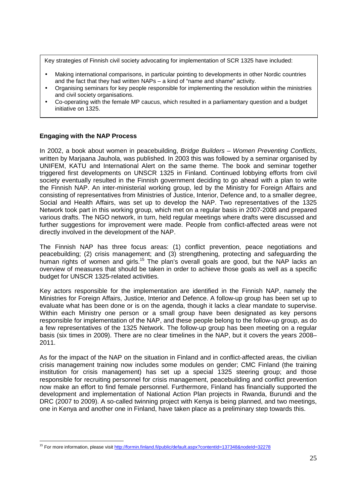Key strategies of Finnish civil society advocating for implementation of SCR 1325 have included:

- Making international comparisons, in particular pointing to developments in other Nordic countries and the fact that they had written NAPs – a kind of "name and shame" activity.
- Organising seminars for key people responsible for implementing the resolution within the ministries and civil society organisations.
- Co-operating with the female MP caucus, which resulted in a parliamentary question and a budget initiative on 1325.

### **Engaging with the NAP Process**

In 2002, a book about women in peacebuilding, Bridge Builders - Women Preventing Conflicts, written by Marjaana Jauhola, was published. In 2003 this was followed by a seminar organised by UNIFEM, KATU and International Alert on the same theme. The book and seminar together triggered first developments on UNSCR 1325 in Finland. Continued lobbying efforts from civil society eventually resulted in the Finnish government deciding to go ahead with a plan to write the Finnish NAP. An inter-ministerial working group, led by the Ministry for Foreign Affairs and consisting of representatives from Ministries of Justice, Interior, Defence and, to a smaller degree, Social and Health Affairs, was set up to develop the NAP. Two representatives of the 1325 Network took part in this working group, which met on a regular basis in 2007-2008 and prepared various drafts. The NGO network, in turn, held regular meetings where drafts were discussed and further suggestions for improvement were made. People from conflict-affected areas were not directly involved in the development of the NAP.

The Finnish NAP has three focus areas: (1) conflict prevention, peace negotiations and peacebuilding; (2) crisis management; and (3) strengthening, protecting and safeguarding the human rights of women and girls.<sup>15</sup> The plan's overall goals are good, but the NAP lacks an overview of measures that should be taken in order to achieve those goals as well as a specific budget for UNSCR 1325-related activities.

Key actors responsible for the implementation are identified in the Finnish NAP, namely the Ministries for Foreign Affairs, Justice, Interior and Defence. A follow-up group has been set up to evaluate what has been done or is on the agenda, though it lacks a clear mandate to supervise. Within each Ministry one person or a small group have been designated as key persons responsible for implementation of the NAP, and these people belong to the follow-up group, as do a few representatives of the 1325 Network. The follow-up group has been meeting on a regular basis (six times in 2009). There are no clear timelines in the NAP, but it covers the years 2008– 2011.

As for the impact of the NAP on the situation in Finland and in conflict-affected areas, the civilian crisis management training now includes some modules on gender; CMC Finland (the training institution for crisis management) has set up a special 1325 steering group; and those responsible for recruiting personnel for crisis management, peacebuilding and conflict prevention now make an effort to find female personnel. Furthermore, Finland has financially supported the development and implementation of National Action Plan projects in Rwanda, Burundi and the DRC (2007 to 2009). A so-called twinning project with Kenya is being planned, and two meetings, one in Kenya and another one in Finland, have taken place as a preliminary step towards this.

<sup>-</sup><sup>15</sup> For more information, please visit http://formin.finland.fi/public/default.aspx?contentId=137348&nodeId=32278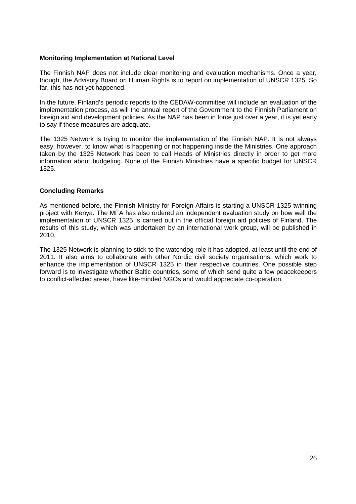### **Monitoring Implementation at National Level**

The Finnish NAP does not include clear monitoring and evaluation mechanisms. Once a year, though, the Advisory Board on Human Rights is to report on implementation of UNSCR 1325. So far, this has not yet happened.

In the future, Finland's periodic reports to the CEDAW-committee will include an evaluation of the implementation process, as will the annual report of the Government to the Finnish Parliament on foreign aid and development policies. As the NAP has been in force just over a year, it is yet early to say if these measures are adequate.

The 1325 Network is trying to monitor the implementation of the Finnish NAP. It is not always easy, however, to know what is happening or not happening inside the Ministries. One approach taken by the 1325 Network has been to call Heads of Ministries directly in order to get more information about budgeting. None of the Finnish Ministries have a specific budget for UNSCR 1325.

### **Concluding Remarks**

As mentioned before, the Finnish Ministry for Foreign Affairs is starting a UNSCR 1325 twinning project with Kenya. The MFA has also ordered an independent evaluation study on how well the implementation of UNSCR 1325 is carried out in the official foreign aid policies of Finland. The results of this study, which was undertaken by an international work group, will be published in 2010.

The 1325 Network is planning to stick to the watchdog role it has adopted, at least until the end of 2011. It also aims to collaborate with other Nordic civil society organisations, which work to enhance the implementation of UNSCR 1325 in their respective countries. One possible step forward is to investigate whether Baltic countries, some of which send quite a few peacekeepers to conflict-affected areas, have like-minded NGOs and would appreciate co-operation.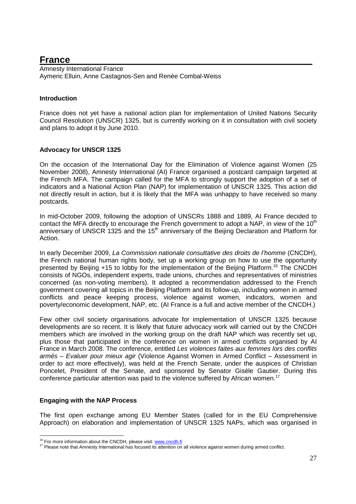### **France**

Amnesty International France Aymeric Elluin, Anne Castagnos-Sen and Renée Combal-Weiss

### **Introduction**

France does not yet have a national action plan for implementation of United Nations Security Council Resolution (UNSCR) 1325, but is currently working on it in consultation with civil society and plans to adopt it by June 2010.

### **Advocacy for UNSCR 1325**

On the occasion of the International Day for the Elimination of Violence against Women (25 November 2008), Amnesty International (AI) France organised a postcard campaign targeted at the French MFA. The campaign called for the MFA to strongly support the adoption of a set of indicators and a National Action Plan (NAP) for implementation of UNSCR 1325. This action did not directly result in action, but it is likely that the MFA was unhappy to have received so many postcards.

In mid-October 2009, following the adoption of UNSCRs 1888 and 1889, AI France decided to contact the MFA directly to encourage the French government to adopt a NAP, in view of the  $10<sup>th</sup>$ anniversary of UNSCR 1325 and the  $15<sup>th</sup>$  anniversary of the Beijing Declaration and Platform for Action.

In early December 2009, La Commission nationale consultative des droits de l'homme (CNCDH), the French national human rights body, set up a working group on how to use the opportunity presented by Beijing +15 to lobby for the implementation of the Beijing Platform.<sup>16</sup> The CNCDH consists of NGOs, independent experts, trade unions, churches and representatives of ministries concerned (as non-voting members). It adopted a recommendation addressed to the French government covering all topics in the Beijing Platform and its follow-up, including women in armed conflicts and peace keeping process, violence against women, indicators, women and poverty/economic development, NAP, etc. (AI France is a full and active member of the CNCDH.)

Few other civil society organisations advocate for implementation of UNSCR 1325 because developments are so recent. It is likely that future advocacy work will carried out by the CNCDH members which are involved in the working group on the draft NAP which was recently set up, plus those that participated in the conference on women in armed conflicts organised by AI France in March 2008. The conference, entitled Les violences faites aux femmes lors des conflits armés – Evaluer pour mieux agir (Violence Against Women in Armed Conflict – Assessment in order to act more effectively), was held at the French Senate, under the auspices of Christian Poncelet, President of the Senate, and sponsored by Senator Gisèle Gautier. During this conference particular attention was paid to the violence suffered by African women.<sup>17</sup>

### **Engaging with the NAP Process**

-

The first open exchange among EU Member States (called for in the EU Comprehensive Approach) on elaboration and implementation of UNSCR 1325 NAPs, which was organised in

<sup>&</sup>lt;sup>16</sup> For more information about the CNCDH, please visit: www.cncdh.fr

<sup>&</sup>lt;sup>17</sup> Please note that Amnesty International has focused its attention on all violence against women during armed conflict.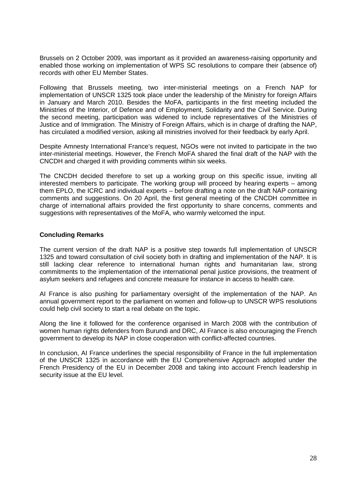Brussels on 2 October 2009, was important as it provided an awareness-raising opportunity and enabled those working on implementation of WPS SC resolutions to compare their (absence of) records with other EU Member States.

Following that Brussels meeting, two inter-ministerial meetings on a French NAP for implementation of UNSCR 1325 took place under the leadership of the Ministry for foreign Affairs in January and March 2010. Besides the MoFA, participants in the first meeting included the Ministries of the Interior, of Defence and of Employment, Solidarity and the Civil Service. During the second meeting, participation was widened to include representatives of the Ministries of Justice and of Immigration. The Ministry of Foreign Affairs, which is in charge of drafting the NAP, has circulated a modified version, asking all ministries involved for their feedback by early April.

Despite Amnesty International France's request, NGOs were not invited to participate in the two inter-ministerial meetings. However, the French MoFA shared the final draft of the NAP with the CNCDH and charged it with providing comments within six weeks.

The CNCDH decided therefore to set up a working group on this specific issue, inviting all interested members to participate. The working group will proceed by hearing experts – among them EPLO, the ICRC and individual experts – before drafting a note on the draft NAP containing comments and suggestions. On 20 April, the first general meeting of the CNCDH committee in charge of international affairs provided the first opportunity to share concerns, comments and suggestions with representatives of the MoFA, who warmly welcomed the input.

### **Concluding Remarks**

The current version of the draft NAP is a positive step towards full implementation of UNSCR 1325 and toward consultation of civil society both in drafting and implementation of the NAP. It is still lacking clear reference to international human rights and humanitarian law, strong commitments to the implementation of the international penal justice provisions, the treatment of asylum seekers and refugees and concrete measure for instance in access to health care.

AI France is also pushing for parliamentary oversight of the implementation of the NAP. An annual government report to the parliament on women and follow-up to UNSCR WPS resolutions could help civil society to start a real debate on the topic.

Along the line it followed for the conference organised in March 2008 with the contribution of women human rights defenders from Burundi and DRC, AI France is also encouraging the French government to develop its NAP in close cooperation with conflict-affected countries.

In conclusion, AI France underlines the special responsibility of France in the full implementation of the UNSCR 1325 in accordance with the EU Comprehensive Approach adopted under the French Presidency of the EU in December 2008 and taking into account French leadership in security issue at the EU level.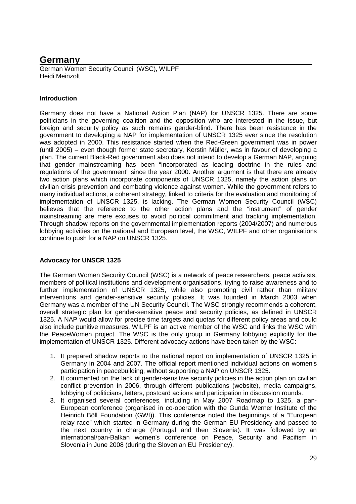### **Germany**

German Women Security Council (WSC), WILPF Heidi Meinzolt

### **Introduction**

Germany does not have a National Action Plan (NAP) for UNSCR 1325. There are some politicians in the governing coalition and the opposition who are interested in the issue, but foreign and security policy as such remains gender-blind. There has been resistance in the government to developing a NAP for implementation of UNSCR 1325 ever since the resolution was adopted in 2000. This resistance started when the Red-Green government was in power (until 2005) – even though former state secretary, Kerstin Müller, was in favour of developing a plan. The current Black-Red government also does not intend to develop a German NAP, arguing that gender mainstreaming has been "incorporated as leading doctrine in the rules and regulations of the government" since the year 2000. Another argument is that there are already two action plans which incorporate components of UNSCR 1325, namely the action plans on civilian crisis prevention and combating violence against women. While the government refers to many individual actions, a coherent strategy, linked to criteria for the evaluation and monitoring of implementation of UNSCR 1325, is lacking. The German Women Security Council (WSC) believes that the reference to the other action plans and the "instrument" of gender mainstreaming are mere excuses to avoid political commitment and tracking implementation. Through shadow reports on the governmental implementation reports (2004/2007) and numerous lobbying activities on the national and European level, the WSC, WILPF and other organisations continue to push for a NAP on UNSCR 1325.

### **Advocacy for UNSCR 1325**

The German Women Security Council (WSC) is a network of peace researchers, peace activists, members of political institutions and development organisations, trying to raise awareness and to further implementation of UNSCR 1325, while also promoting civil rather than military interventions and gender-sensitive security policies. It was founded in March 2003 when Germany was a member of the UN Security Council. The WSC strongly recommends a coherent, overall strategic plan for gender-sensitive peace and security policies, as defined in UNSCR 1325. A NAP would allow for precise time targets and quotas for different policy areas and could also include punitive measures. WILPF is an active member of the WSC and links the WSC with the PeaceWomen project. The WSC is the only group in Germany lobbying explicitly for the implementation of UNSCR 1325. Different advocacy actions have been taken by the WSC:

- 1. It prepared shadow reports to the national report on implementation of UNSCR 1325 in Germany in 2004 and 2007. The official report mentioned individual actions on women's participation in peacebuilding, without supporting a NAP on UNSCR 1325.
- 2. It commented on the lack of gender-sensitive security policies in the action plan on civilian conflict prevention in 2006, through different publications (website), media campaigns, lobbying of politicians, letters, postcard actions and participation in discussion rounds.
- 3. It organised several conferences, including in May 2007 Roadmap to 1325, a pan-European conference (organised in co-operation with the Gunda Werner Institute of the Heinrich Böll Foundation (GWI)). This conference noted the beginnings of a "European relay race" which started in Germany during the German EU Presidency and passed to the next country in charge (Portugal and then Slovenia). It was followed by an international/pan-Balkan women's conference on Peace, Security and Pacifism in Slovenia in June 2008 (during the Slovenian EU Presidency).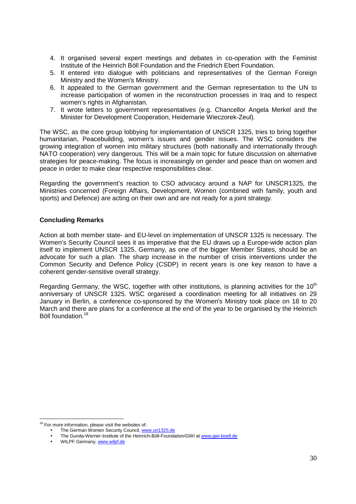- 4. It organised several expert meetings and debates in co-operation with the Feminist Institute of the Heinrich Böll Foundation and the Friedrich Ebert Foundation.
- 5. It entered into dialogue with politicians and representatives of the German Foreign Ministry and the Women's Ministry.
- 6. It appealed to the German government and the German representation to the UN to increase participation of women in the reconstruction processes in Iraq and to respect women's rights in Afghanistan.
- 7. It wrote letters to government representatives (e.g. Chancellor Angela Merkel and the Minister for Development Cooperation, Heidemarie Wieczorek-Zeul).

The WSC, as the core group lobbying for implementation of UNSCR 1325, tries to bring together humanitarian, Peacebuilding, women's issues and gender issues. The WSC considers the growing integration of women into military structures (both nationally and internationally through NATO cooperation) very dangerous. This will be a main topic for future discussion on alternative strategies for peace-making. The focus is increasingly on gender and peace than on women and peace in order to make clear respective responsibilities clear.

Regarding the government's reaction to CSO advocacy around a NAP for UNSCR1325, the Ministries concerned (Foreign Affairs, Development, Women (combined with family, youth and sports) and Defence) are acting on their own and are not ready for a joint strategy.

### **Concluding Remarks**

Action at both member state- and EU-level on implementation of UNSCR 1325 is necessary. The Women's Security Council sees it as imperative that the EU draws up a Europe-wide action plan itself to implement UNSCR 1325. Germany, as one of the bigger Member States, should be an advocate for such a plan. The sharp increase in the number of crisis interventions under the Common Security and Defence Policy (CSDP) in recent years is one key reason to have a coherent gender-sensitive overall strategy.

Regarding Germany, the WSC, together with other institutions, is planning activities for the  $10<sup>th</sup>$ anniversary of UNSCR 1325. WSC organised a coordination meeting for all initiatives on 29 January in Berlin, a conference co-sponsored by the Women's Ministry took place on 18 to 20 March and there are plans for a conference at the end of the year to be organised by the Heinrich Böll foundation.<sup>18</sup>

<sup>&</sup>lt;u>.</u> <sup>18</sup> For more information, please visit the websites of:

The German Women Security Council, www.un1325.de

<sup>•</sup> The Gunda-Werner-Institute of the Heinrich-Böll-Foundation/GWI at www.gwi-boell.de

WILPF Germany, www.wilpf.de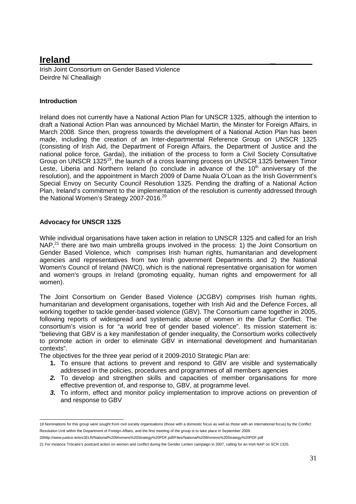### **Ireland \_**

Irish Joint Consortium on Gender Based Violence Deirdre Ní Cheallaigh

### **Introduction**

Ireland does not currently have a National Action Plan for UNSCR 1325, although the intention to draft a National Action Plan was announced by Micháel Martin, the Minster for Foreign Affairs, in March 2008. Since then, progress towards the development of a National Action Plan has been made, including the creation of an Inter-departmental Reference Group on UNSCR 1325 (consisting of Irish Aid, the Department of Foreign Affairs, the Department of Justice and the national police force, Gardai), the initiation of the process to form a Civil Society Consultative Group on UNSCR 1325<sup>19</sup>, the launch of a cross learning process on UNSCR 1325 between Timor Leste, Liberia and Northern Ireland (to conclude in advance of the  $10<sup>th</sup>$  anniversary of the resolution), and the appointment in March 2009 of Dame Nuala O'Loan as the Irish Government's Special Envoy on Security Council Resolution 1325. Pending the drafting of a National Action Plan, Ireland's commitment to the implementation of the resolution is currently addressed through the National Women's Strategy 2007-2016.<sup>20</sup>

### **Advocacy for UNSCR 1325**

While individual organisations have taken action in relation to UNSCR 1325 and called for an Irish NAP,<sup>21</sup> there are two main umbrella groups involved in the process: 1) the Joint Consortium on Gender Based Violence, which comprises Irish human rights, humanitarian and development agencies and representatives from two Irish government Departments and 2) the National Women's Council of Ireland (NWCI), which is the national representative organisation for women and women's groups in Ireland (promoting equality, human rights and empowerment for all women).

The Joint Consortium on Gender Based Violence (JCGBV) comprises Irish human rights, humanitarian and development organisations, together with Irish Aid and the Defence Forces, all working together to tackle gender-based violence (GBV). The Consortium came together in 2005, following reports of widespread and systematic abuse of women in the Darfur Conflict. The consortium's vision is for "a world free of gender based violence". Its mission statement is: "believing that GBV is a key manifestation of gender inequality, the Consortium works collectively to promote action in order to eliminate GBV in international development and humanitarian contexts".

The objectives for the three year period of it 2009-2010 Strategic Plan are:

- **1.** To ensure that actions to prevent and respond to GBV are visible and systematically addressed in the policies, procedures and programmes of all members agencies
- **2.** To develop and strengthen skills and capacities of member organisations for more effective prevention of, and response to, GBV, at programme level.
- **3.** To inform, effect and monitor policy implementation to improve actions on prevention of and response to GBV

 19 Nominations for this group were sought from civil society organisations (those with a domestic focus as well as those with an international focus) by the Conflict Resolution Unit within the Department of Foreign Affairs, and the first meeting of the group is to take place in September 2009.

<sup>20</sup>http://www.justice.ie/en/JELR/National%20Womens%20Strategy%20PDF.pdf/Files/National%20Womens%20Strategy%20PDF.pdf

<sup>21</sup> For instance Trócaire's postcard action on women and conflict during the Gender Lenten campaign in 2007, calling for an Irish NAP on SCR 1325.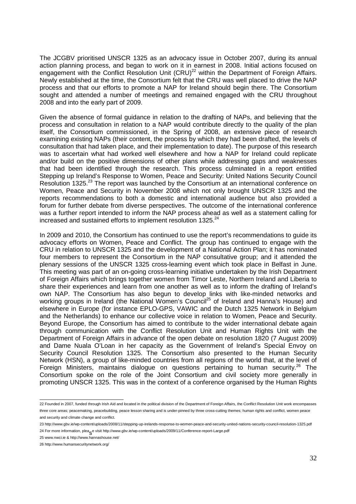The JCGBV prioritised UNSCR 1325 as an advocacy issue in October 2007, during its annual action planning process, and began to work on it in earnest in 2008. Initial actions focused on engagement with the Conflict Resolution Unit (CRU)<sup>22</sup> within the Department of Foreign Affairs. Newly established at the time, the Consortium felt that the CRU was well placed to drive the NAP process and that our efforts to promote a NAP for Ireland should begin there. The Consortium sought and attended a number of meetings and remained engaged with the CRU throughout 2008 and into the early part of 2009.

Given the absence of formal guidance in relation to the drafting of NAPs, and believing that the process and consultation in relation to a NAP would contribute directly to the quality of the plan itself, the Consortium commissioned, in the Spring of 2008, an extensive piece of research examining existing NAPs (their content, the process by which they had been drafted, the levels of consultation that had taken place, and their implementation to date). The purpose of this research was to ascertain what had worked well elsewhere and how a NAP for Ireland could replicate and/or build on the positive dimensions of other plans while addressing gaps and weaknesses that had been identified through the research. This process culminated in a report entitled Stepping up Ireland's Response to Women, Peace and Security: United Nations Security Council Resolution 1325.<sup>23</sup> The report was launched by the Consortium at an international conference on Women, Peace and Security in November 2008 which not only brought UNSCR 1325 and the reports recommendations to both a domestic and international audience but also provided a forum for further debate from diverse perspectives. The outcome of the international conference was a further report intended to inform the NAP process ahead as well as a statement calling for increased and sustained efforts to implement resolution 1325. $^{24}$ 

In 2009 and 2010, the Consortium has continued to use the report's recommendations to guide its advocacy efforts on Women, Peace and Conflict. The group has continued to engage with the CRU in relation to UNSCR 1325 and the development of a National Action Plan; it has nominated four members to represent the Consortium in the NAP consultative group; and it attended the plenary sessions of the UNSCR 1325 cross-learning event which took place in Belfast in June. This meeting was part of an on-going cross-learning initiative undertaken by the Irish Department of Foreign Affairs which brings together women from Timor Leste, Northern Ireland and Liberia to share their experiences and learn from one another as well as to inform the drafting of Ireland's own NAP. The Consortium has also begun to develop links with like-minded networks and working groups in Ireland (the National Women's Council<sup>25</sup> of Ireland and Hanna's House) and elsewhere in Europe (for instance EPLO-GPS, VAWIC and the Dutch 1325 Network in Belgium and the Netherlands) to enhance our collective voice in relation to Women, Peace and Security. Beyond Europe, the Consortium has aimed to contribute to the wider international debate again through communication with the Conflict Resolution Unit and Human Rights Unit with the Department of Foreign Affairs in advance of the open debate on resolution 1820 (7 August 2009) and Dame Nuala O'Loan in her capacity as the Government of Ireland's Special Envoy on Security Council Resolution 1325. The Consortium also presented to the Human Security Network (HSN), a group of like-minded countries from all regions of the world that, at the level of Foreign Ministers, maintains dialogue on questions pertaining to human security.<sup>26</sup> The Consortium spoke on the role of the Joint Consortium and civil society more generally in promoting UNSCR 1325. This was in the context of a conference organised by the Human Rights

 22 Founded in 2007, funded through Irish Aid and located in the political division of the Department of Foreign Affairs, the Conflict Resolution Unit work encompasses three core areas; peacemaking, peacebuilding, peace lesson sharing and is under-pinned by three cross-cutting themes; human rights and conflict, women peace and security and climate change and conflict.

<sup>23</sup> http://www.gbv.ie/wp-content/uploads/2008/11/stepping-up-irelands-response-to-women-peace-and-security-united-nations-security-council-resolution-1325.pdf 24 For more information, plea<sub>S</sub>e visit http://www.gbv.ie/wp-content/uploads/2009/11/Conference-report-Large.pdf

<sup>25</sup> www.nwci.ie & http://www.hannashouse.net/

<sup>26</sup> http://www.humansecuritynetwork.org/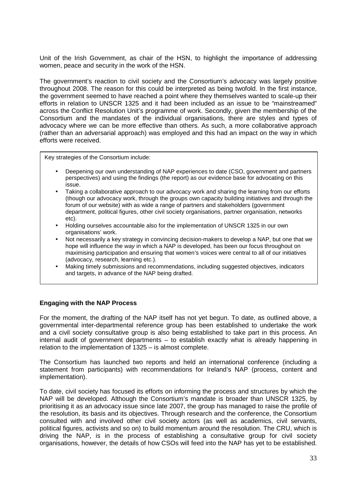Unit of the Irish Government, as chair of the HSN, to highlight the importance of addressing women, peace and security in the work of the HSN.

The government's reaction to civil society and the Consortium's advocacy was largely positive throughout 2008. The reason for this could be interpreted as being twofold. In the first instance, the government seemed to have reached a point where they themselves wanted to scale-up their efforts in relation to UNSCR 1325 and it had been included as an issue to be "mainstreamed" across the Conflict Resolution Unit's programme of work. Secondly, given the membership of the Consortium and the mandates of the individual organisations, there are styles and types of advocacy where we can be more effective than others. As such, a more collaborative approach (rather than an adversarial approach) was employed and this had an impact on the way in which efforts were received.

Key strategies of the Consortium include:

- Deepening our own understanding of NAP experiences to date (CSO, government and partners perspectives) and using the findings (the report) as our evidence base for advocating on this issue.
- Taking a collaborative approach to our advocacy work and sharing the learning from our efforts (though our advocacy work, through the groups own capacity building initiatives and through the forum of our website) with as wide a range of partners and stakeholders (government department, political figures, other civil society organisations, partner organisation, networks etc).
- Holding ourselves accountable also for the implementation of UNSCR 1325 in our own organisations' work.
- Not necessarily a key strategy in convincing decision-makers to develop a NAP, but one that we hope will influence the way in which a NAP is developed, has been our focus throughout on maximising participation and ensuring that women's voices were central to all of our initiatives (advocacy, research, learning etc.).
- Making timely submissions and recommendations, including suggested objectives, indicators and targets, in advance of the NAP being drafted.

### **Engaging with the NAP Process**

For the moment, the drafting of the NAP itself has not yet begun. To date, as outlined above, a governmental inter-departmental reference group has been established to undertake the work and a civil society consultative group is also being established to take part in this process. An internal audit of government departments – to establish exactly what is already happening in relation to the implementation of 1325 – is almost complete.

The Consortium has launched two reports and held an international conference (including a statement from participants) with recommendations for Ireland's NAP (process, content and implementation).

To date, civil society has focused its efforts on informing the process and structures by which the NAP will be developed. Although the Consortium's mandate is broader than UNSCR 1325, by prioritising it as an advocacy issue since late 2007, the group has managed to raise the profile of the resolution, its basis and its objectives. Through research and the conference, the Consortium consulted with and involved other civil society actors (as well as academics, civil servants, political figures, activists and so on) to build momentum around the resolution. The CRU, which is driving the NAP, is in the process of establishing a consultative group for civil society organisations, however, the details of how CSOs will feed into the NAP has yet to be established.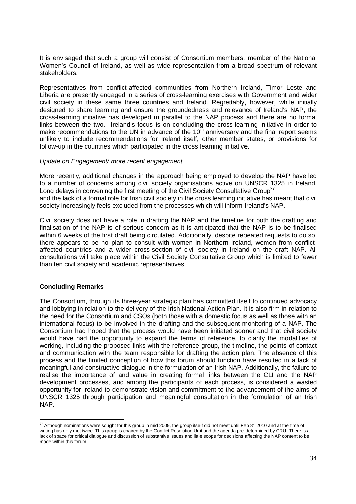It is envisaged that such a group will consist of Consortium members, member of the National Women's Council of Ireland, as well as wide representation from a broad spectrum of relevant stakeholders.

Representatives from conflict-affected communities from Northern Ireland, Timor Leste and Liberia are presently engaged in a series of cross-learning exercises with Government and wider civil society in these same three countries and Ireland. Regrettably, however, while initially designed to share learning and ensure the groundedness and relevance of Ireland's NAP, the cross-learning initiative has developed in parallel to the NAP process and there are no formal links between the two. Ireland's focus is on concluding the cross-learning initiative in order to make recommendations to the UN in advance of the  $10<sup>th</sup>$  anniversary and the final report seems unlikely to include recommendations for Ireland itself, other member states, or provisions for follow-up in the countries which participated in the cross learning initiative.

#### Update on Engagement/ more recent engagement

More recently, additional changes in the approach being employed to develop the NAP have led to a number of concerns among civil society organisations active on UNSCR 1325 in Ireland. Long delays in convening the first meeting of the Civil Society Consultative Group<sup>27</sup>

and the lack of a formal role for Irish civil society in the cross learning initiative has meant that civil society increasingly feels excluded from the processes which will inform Ireland's NAP.

Civil society does not have a role in drafting the NAP and the timeline for both the drafting and finalisation of the NAP is of serious concern as it is anticipated that the NAP is to be finalised within 6 weeks of the first draft being circulated. Additionally, despite repeated requests to do so, there appears to be no plan to consult with women in Northern Ireland, women from conflictaffected countries and a wider cross-section of civil society in Ireland on the draft NAP. All consultations will take place within the Civil Society Consultative Group which is limited to fewer than ten civil society and academic representatives.

### **Concluding Remarks**

The Consortium, through its three-year strategic plan has committed itself to continued advocacy and lobbying in relation to the delivery of the Irish National Action Plan. It is also firm in relation to the need for the Consortium and CSOs (both those with a domestic focus as well as those with an international focus) to be involved in the drafting and the subsequent monitoring of a NAP. The Consortium had hoped that the process would have been initiated sooner and that civil society would have had the opportunity to expand the terms of reference, to clarify the modalities of working, including the proposed links with the reference group, the timeline, the points of contact and communication with the team responsible for drafting the action plan. The absence of this process and the limited conception of how this forum should function have resulted in a lack of meaningful and constructive dialogue in the formulation of an Irish NAP. Additionally, the failure to realise the importance of and value in creating formal links between the CLI and the NAP development processes, and among the participants of each process, is considered a wasted opportunity for Ireland to demonstrate vision and commitment to the advancement of the aims of UNSCR 1325 through participation and meaningful consultation in the formulation of an Irish NAP.

<sup>-</sup><sup>27</sup> Although nominations were sought for this group in mid 2009, the group itself did not meet until Feb 8<sup>th</sup> 2010 and at the time of writing has only met twice. This group is chaired by the Conflict Resolution Unit and the agenda pre-determined by CRU. There is a lack of space for critical dialogue and discussion of substantive issues and little scope for decisions affecting the NAP content to be made within this forum.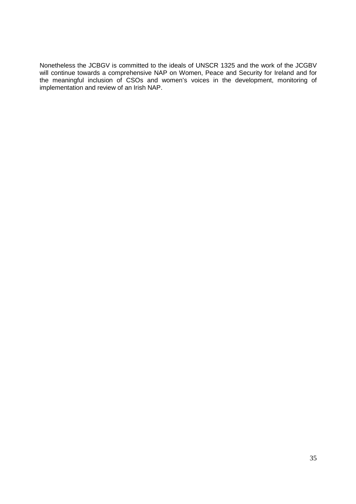Nonetheless the JCBGV is committed to the ideals of UNSCR 1325 and the work of the JCGBV will continue towards a comprehensive NAP on Women, Peace and Security for Ireland and for the meaningful inclusion of CSOs and women's voices in the development, monitoring of implementation and review of an Irish NAP.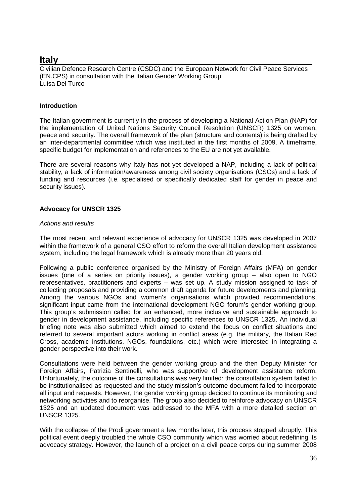### **Italy**

Civilian Defence Research Centre (CSDC) and the European Network for Civil Peace Services (EN.CPS) in consultation with the Italian Gender Working Group Luisa Del Turco

### **Introduction**

The Italian government is currently in the process of developing a National Action Plan (NAP) for the implementation of United Nations Security Council Resolution (UNSCR) 1325 on women, peace and security. The overall framework of the plan (structure and contents) is being drafted by an inter-departmental committee which was instituted in the first months of 2009. A timeframe, specific budget for implementation and references to the EU are not yet available.

There are several reasons why Italy has not yet developed a NAP, including a lack of political stability, a lack of information/awareness among civil society organisations (CSOs) and a lack of funding and resources (i.e. specialised or specifically dedicated staff for gender in peace and security issues).

### **Advocacy for UNSCR 1325**

### Actions and results

The most recent and relevant experience of advocacy for UNSCR 1325 was developed in 2007 within the framework of a general CSO effort to reform the overall Italian development assistance system, including the legal framework which is already more than 20 years old.

Following a public conference organised by the Ministry of Foreign Affairs (MFA) on gender issues (one of a series on priority issues), a gender working group – also open to NGO representatives, practitioners and experts – was set up. A study mission assigned to task of collecting proposals and providing a common draft agenda for future developments and planning. Among the various NGOs and women's organisations which provided recommendations, significant input came from the international development NGO forum's gender working group. This group's submission called for an enhanced, more inclusive and sustainable approach to gender in development assistance, including specific references to UNSCR 1325. An individual briefing note was also submitted which aimed to extend the focus on conflict situations and referred to several important actors working in conflict areas (e.g. the military, the Italian Red Cross, academic institutions, NGOs, foundations, etc.) which were interested in integrating a gender perspective into their work.

Consultations were held between the gender working group and the then Deputy Minister for Foreign Affairs, Patrizia Sentinelli, who was supportive of development assistance reform. Unfortunately, the outcome of the consultations was very limited: the consultation system failed to be institutionalised as requested and the study mission's outcome document failed to incorporate all input and requests. However, the gender working group decided to continue its monitoring and networking activities and to reorganise. The group also decided to reinforce advocacy on UNSCR 1325 and an updated document was addressed to the MFA with a more detailed section on UNSCR 1325.

With the collapse of the Prodi government a few months later, this process stopped abruptly. This political event deeply troubled the whole CSO community which was worried about redefining its advocacy strategy. However, the launch of a project on a civil peace corps during summer 2008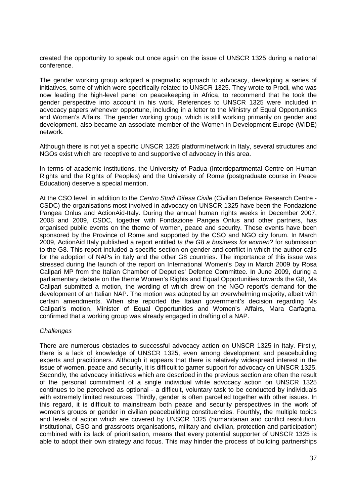created the opportunity to speak out once again on the issue of UNSCR 1325 during a national conference.

The gender working group adopted a pragmatic approach to advocacy, developing a series of initiatives, some of which were specifically related to UNSCR 1325. They wrote to Prodi, who was now leading the high-level panel on peacekeeping in Africa, to recommend that he took the gender perspective into account in his work. References to UNSCR 1325 were included in advocacy papers whenever opportune, including in a letter to the Ministry of Equal Opportunities and Women's Affairs. The gender working group, which is still working primarily on gender and development, also became an associate member of the Women in Development Europe (WIDE) network.

Although there is not yet a specific UNSCR 1325 platform/network in Italy, several structures and NGOs exist which are receptive to and supportive of advocacy in this area.

In terms of academic institutions, the University of Padua (Interdepartmental Centre on Human Rights and the Rights of Peoples) and the University of Rome (postgraduate course in Peace Education) deserve a special mention.

At the CSO level, in addition to the Centro Studi Difesa Civile (Civilian Defence Research Centre - CSDC) the organisations most involved in advocacy on UNSCR 1325 have been the Fondazione Pangea Onlus and ActionAid-Italy. During the annual human rights weeks in December 2007, 2008 and 2009, CSDC, together with Fondazione Pangea Onlus and other partners, has organised public events on the theme of women, peace and security. These events have been sponsored by the Province of Rome and supported by the CSO and NGO city forum. In March 2009, ActionAid Italy published a report entitled Is the G8 a business for women? for submission to the G8. This report included a specific section on gender and conflict in which the author calls for the adoption of NAPs in Italy and the other G8 countries. The importance of this issue was stressed during the launch of the report on International Women's Day in March 2009 by Rosa Calipari MP from the Italian Chamber of Deputies' Defence Committee. In June 2009, during a parliamentary debate on the theme Women's Rights and Equal Opportunities towards the G8, Ms Calipari submitted a motion, the wording of which drew on the NGO report's demand for the development of an Italian NAP. The motion was adopted by an overwhelming majority, albeit with certain amendments. When she reported the Italian government's decision regarding Ms Calipari's motion, Minister of Equal Opportunities and Women's Affairs, Mara Carfagna, confirmed that a working group was already engaged in drafting of a NAP.

#### **Challenges**

There are numerous obstacles to successful advocacy action on UNSCR 1325 in Italy. Firstly, there is a lack of knowledge of UNSCR 1325, even among development and peacebuilding experts and practitioners. Although it appears that there is relatively widespread interest in the issue of women, peace and security, it is difficult to garner support for advocacy on UNSCR 1325. Secondly, the advocacy initiatives which are described in the previous section are often the result of the personal commitment of a single individual while advocacy action on UNSCR 1325 continues to be perceived as optional - a difficult, voluntary task to be conducted by individuals with extremely limited resources. Thirdly, gender is often parcelled together with other issues. In this regard, it is difficult to mainstream both peace and security perspectives in the work of women's groups or gender in civilian peacebuilding constituencies. Fourthly, the multiple topics and levels of action which are covered by UNSCR 1325 (humanitarian and conflict resolution, institutional, CSO and grassroots organisations, military and civilian, protection and participation) combined with its lack of prioritisation, means that every potential supporter of UNSCR 1325 is able to adopt their own strategy and focus. This may hinder the process of building partnerships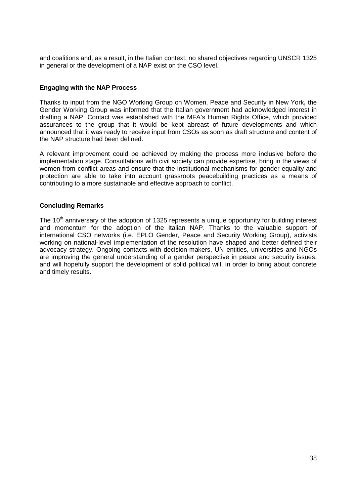and coalitions and, as a result, in the Italian context, no shared objectives regarding UNSCR 1325 in general or the development of a NAP exist on the CSO level.

#### **Engaging with the NAP Process**

Thanks to input from the NGO Working Group on Women, Peace and Security in New York**,** the Gender Working Group was informed that the Italian government had acknowledged interest in drafting a NAP. Contact was established with the MFA's Human Rights Office, which provided assurances to the group that it would be kept abreast of future developments and which announced that it was ready to receive input from CSOs as soon as draft structure and content of the NAP structure had been defined.

A relevant improvement could be achieved by making the process more inclusive before the implementation stage. Consultations with civil society can provide expertise, bring in the views of women from conflict areas and ensure that the institutional mechanisms for gender equality and protection are able to take into account grassroots peacebuilding practices as a means of contributing to a more sustainable and effective approach to conflict.

### **Concluding Remarks**

The 10<sup>th</sup> anniversary of the adoption of 1325 represents a unique opportunity for building interest and momentum for the adoption of the Italian NAP. Thanks to the valuable support of international CSO networks (i.e. EPLO Gender, Peace and Security Working Group), activists working on national-level implementation of the resolution have shaped and better defined their advocacy strategy. Ongoing contacts with decision-makers, UN entities, universities and NGOs are improving the general understanding of a gender perspective in peace and security issues, and will hopefully support the development of solid political will, in order to bring about concrete and timely results.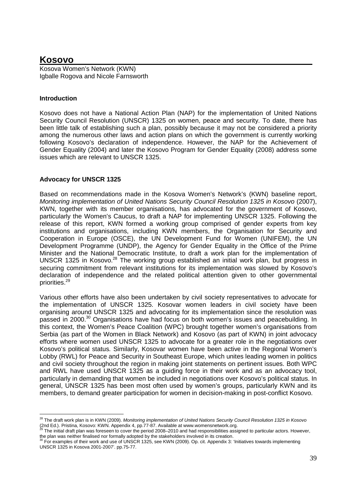# **Kosovo**

Kosova Women's Network (KWN) Igballe Rogova and Nicole Farnsworth

# **Introduction**

Kosovo does not have a National Action Plan (NAP) for the implementation of United Nations Security Council Resolution (UNSCR) 1325 on women, peace and security. To date, there has been little talk of establishing such a plan, possibly because it may not be considered a priority among the numerous other laws and action plans on which the government is currently working following Kosovo's declaration of independence. However, the NAP for the Achievement of Gender Equality (2004) and later the Kosovo Program for Gender Equality (2008) address some issues which are relevant to UNSCR 1325.

# **Advocacy for UNSCR 1325**

Based on recommendations made in the Kosova Women's Network's (KWN) baseline report, Monitoring implementation of United Nations Security Council Resolution 1325 in Kosovo (2007), KWN, together with its member organisations, has advocated for the government of Kosovo, particularly the Women's Caucus, to draft a NAP for implementing UNSCR 1325. Following the release of this report, KWN formed a working group comprised of gender experts from key institutions and organisations, including KWN members, the Organisation for Security and Cooperation in Europe (OSCE), the UN Development Fund for Women (UNIFEM), the UN Development Programme (UNDP), the Agency for Gender Equality in the Office of the Prime Minister and the National Democratic Institute, to draft a work plan for the implementation of UNSCR 1325 in Kosovo.<sup>28</sup> The working group established an initial work plan, but progress in securing commitment from relevant institutions for its implementation was slowed by Kosovo's declaration of independence and the related political attention given to other governmental priorities.<sup>29</sup>

Various other efforts have also been undertaken by civil society representatives to advocate for the implementation of UNSCR 1325. Kosovar women leaders in civil society have been organising around UNSCR 1325 and advocating for its implementation since the resolution was passed in 2000.<sup>30</sup> Organisations have had focus on both women's issues and peacebuilding. In this context, the Women's Peace Coalition (WPC) brought together women's organisations from Serbia (as part of the Women in Black Network) and Kosovo (as part of KWN) in joint advocacy efforts where women used UNSCR 1325 to advocate for a greater role in the negotiations over Kosovo's political status. Similarly, Kosovar women have been active in the Regional Women's Lobby (RWL) for Peace and Security in Southeast Europe, which unites leading women in politics and civil society throughout the region in making joint statements on pertinent issues. Both WPC and RWL have used UNSCR 1325 as a guiding force in their work and as an advocacy tool, particularly in demanding that women be included in negotiations over Kosovo's political status. In general, UNSCR 1325 has been most often used by women's groups, particularly KWN and its members, to demand greater participation for women in decision-making in post-conflict Kosovo.

<sup>-</sup><sup>28</sup> The draft work plan is in KWN (2009). Monitoring implementation of United Nations Security Council Resolution 1325 in Kosovo (2nd Ed.). Pristina, Kosovo: KWN. Appendix 4, pp.77-87. Available at www.womensnetwork.org.

The initial draft plan was foreseen to cover the period 2008–2010 and had responsibilities assigned to particular actors. However, the plan was neither finalised nor formally adopted by the stakeholders involved in its creation.

<sup>&</sup>lt;sup>30</sup> For examples of their work and use of UNSCR 1325, see KWN (2009). Op. cit. Appendix 3: 'Initiatives towards implementing UNSCR 1325 in Kosova 2001-2007'. pp.75-77.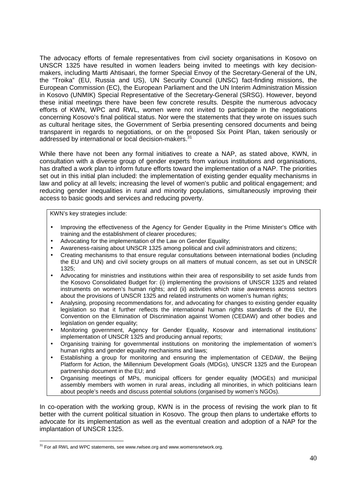The advocacy efforts of female representatives from civil society organisations in Kosovo on UNSCR 1325 have resulted in women leaders being invited to meetings with key decisionmakers, including Martti Ahtisaari, the former Special Envoy of the Secretary-General of the UN, the "Troika" (EU, Russia and US), UN Security Council (UNSC) fact-finding missions, the European Commission (EC), the European Parliament and the UN Interim Administration Mission in Kosovo (UNMIK) Special Representative of the Secretary-General (SRSG). However, beyond these initial meetings there have been few concrete results. Despite the numerous advocacy efforts of KWN, WPC and RWL, women were not invited to participate in the negotiations concerning Kosovo's final political status. Nor were the statements that they wrote on issues such as cultural heritage sites, the Government of Serbia presenting censored documents and being transparent in regards to negotiations, or on the proposed Six Point Plan, taken seriously or addressed by international or local decision-makers.<sup>31</sup>

While there have not been any formal initiatives to create a NAP, as stated above, KWN, in consultation with a diverse group of gender experts from various institutions and organisations, has drafted a work plan to inform future efforts toward the implementation of a NAP. The priorities set out in this initial plan included: the implementation of existing gender equality mechanisms in law and policy at all levels; increasing the level of women's public and political engagement; and reducing gender inequalities in rural and minority populations, simultaneously improving their access to basic goods and services and reducing poverty.

KWN's key strategies include:

- Improving the effectiveness of the Agency for Gender Equality in the Prime Minister's Office with training and the establishment of clearer procedures;
- Advocating for the implementation of the Law on Gender Equality;
- Awareness-raising about UNSCR 1325 among political and civil administrators and citizens;
- Creating mechanisms to that ensure regular consultations between international bodies (including the EU and UN) and civil society groups on all matters of mutual concern, as set out in UNSCR 1325;
- Advocating for ministries and institutions within their area of responsibility to set aside funds from the Kosovo Consolidated Budget for: (i) implementing the provisions of UNSCR 1325 and related instruments on women's human rights; and (ii) activities which raise awareness across sectors about the provisions of UNSCR 1325 and related instruments on women's human rights;
- Analysing, proposing recommendations for, and advocating for changes to existing gender equality legislation so that it further reflects the international human rights standards of the EU, the Convention on the Elimination of Discrimination against Women (CEDAW) and other bodies and legislation on gender equality;
- Monitoring government, Agency for Gender Equality, Kosovar and international institutions' implementation of UNSCR 1325 and producing annual reports;
- Organising training for governmental institutions on monitoring the implementation of women's human rights and gender equality mechanisms and laws;
- Establishing a group for monitoring and ensuring the implementation of CEDAW, the Beijing Platform for Action, the Millennium Development Goals (MDGs), UNSCR 1325 and the European partnership document in the EU; and
- Organising meetings of MPs, municipal officers for gender equality (MOGEs) and municipal assembly members with women in rural areas, including all minorities, in which politicians learn about people's needs and discuss potential solutions (organised by women's NGOs).

In co-operation with the working group, KWN is in the process of revising the work plan to fit better with the current political situation in Kosovo. The group then plans to undertake efforts to advocate for its implementation as well as the eventual creation and adoption of a NAP for the implantation of UNSCR 1325.

<sup>-</sup> $31$  For all RWL and WPC statements, see www.rwlsee.org and www.womensnetwork.org.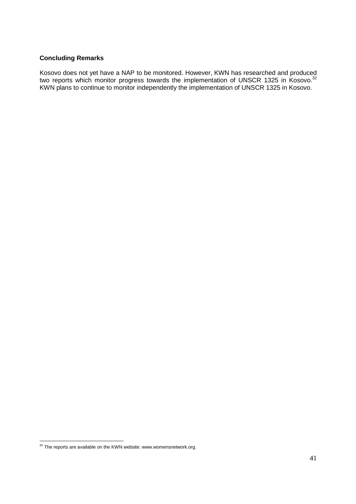### **Concluding Remarks**

Kosovo does not yet have a NAP to be monitored. However, KWN has researched and produced two reports which monitor progress towards the implementation of UNSCR 1325 in Kosovo.<sup>32</sup> KWN plans to continue to monitor independently the implementation of UNSCR 1325 in Kosovo.

<sup>-</sup> $32$  The reports are available on the KWN website: www.womensnetwork.org.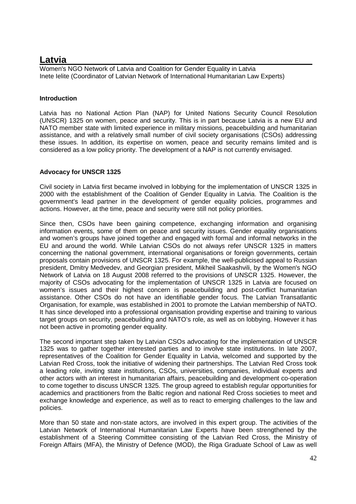# **Latvia**

Women's NGO Network of Latvia and Coalition for Gender Equality in Latvia Inete Ielite (Coordinator of Latvian Network of International Humanitarian Law Experts)

# **Introduction**

Latvia has no National Action Plan (NAP) for United Nations Security Council Resolution (UNSCR) 1325 on women, peace and security. This is in part because Latvia is a new EU and NATO member state with limited experience in military missions, peacebuilding and humanitarian assistance, and with a relatively small number of civil society organisations (CSOs) addressing these issues. In addition, its expertise on women, peace and security remains limited and is considered as a low policy priority. The development of a NAP is not currently envisaged.

# **Advocacy for UNSCR 1325**

Civil society in Latvia first became involved in lobbying for the implementation of UNSCR 1325 in 2000 with the establishment of the Coalition of Gender Equality in Latvia. The Coalition is the government's lead partner in the development of gender equality policies, programmes and actions. However, at the time, peace and security were still not policy priorities.

Since then, CSOs have been gaining competence, exchanging information and organising information events, some of them on peace and security issues. Gender equality organisations and women's groups have joined together and engaged with formal and informal networks in the EU and around the world. While Latvian CSOs do not always refer UNSCR 1325 in matters concerning the national government, international organisations or foreign governments, certain proposals contain provisions of UNSCR 1325. For example, the well-publicised appeal to Russian president, Dmitry Medvedev, and Georgian president, Mikheil Saakashvili, by the Women's NGO Network of Latvia on 18 August 2008 referred to the provisions of UNSCR 1325. However, the majority of CSOs advocating for the implementation of UNSCR 1325 in Latvia are focused on women's issues and their highest concern is peacebuilding and post-conflict humanitarian assistance. Other CSOs do not have an identifiable gender focus. The Latvian Transatlantic Organisation, for example, was established in 2001 to promote the Latvian membership of NATO. It has since developed into a professional organisation providing expertise and training to various target groups on security, peacebuilding and NATO's role, as well as on lobbying. However it has not been active in promoting gender equality.

The second important step taken by Latvian CSOs advocating for the implementation of UNSCR 1325 was to gather together interested parties and to involve state institutions. In late 2007, representatives of the Coalition for Gender Equality in Latvia, welcomed and supported by the Latvian Red Cross, took the initiative of widening their partnerships. The Latvian Red Cross took a leading role, inviting state institutions, CSOs, universities, companies, individual experts and other actors with an interest in humanitarian affairs, peacebuilding and development co-operation to come together to discuss UNSCR 1325. The group agreed to establish regular opportunities for academics and practitioners from the Baltic region and national Red Cross societies to meet and exchange knowledge and experience, as well as to react to emerging challenges to the law and policies.

More than 50 state and non-state actors, are involved in this expert group. The activities of the Latvian Network of International Humanitarian Law Experts have been strengthened by the establishment of a Steering Committee consisting of the Latvian Red Cross, the Ministry of Foreign Affairs (MFA), the Ministry of Defence (MOD), the Riga Graduate School of Law as well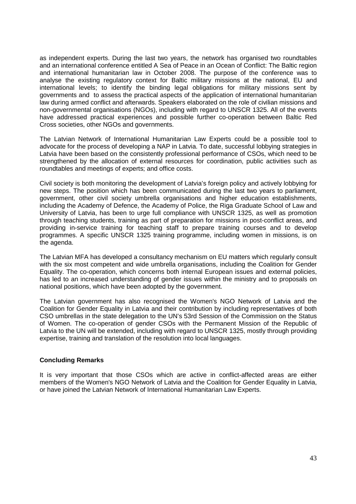as independent experts. During the last two years, the network has organised two roundtables and an international conference entitled A Sea of Peace in an Ocean of Conflict: The Baltic region and international humanitarian law in October 2008. The purpose of the conference was to analyse the existing regulatory context for Baltic military missions at the national, EU and international levels; to identify the binding legal obligations for military missions sent by governments and to assess the practical aspects of the application of international humanitarian law during armed conflict and afterwards. Speakers elaborated on the role of civilian missions and non-governmental organisations (NGOs), including with regard to UNSCR 1325. All of the events have addressed practical experiences and possible further co-operation between Baltic Red Cross societies, other NGOs and governments.

The Latvian Network of International Humanitarian Law Experts could be a possible tool to advocate for the process of developing a NAP in Latvia. To date, successful lobbying strategies in Latvia have been based on the consistently professional performance of CSOs, which need to be strengthened by the allocation of external resources for coordination, public activities such as roundtables and meetings of experts; and office costs.

Civil society is both monitoring the development of Latvia's foreign policy and actively lobbying for new steps. The position which has been communicated during the last two years to parliament, government, other civil society umbrella organisations and higher education establishments, including the Academy of Defence, the Academy of Police, the Riga Graduate School of Law and University of Latvia, has been to urge full compliance with UNSCR 1325, as well as promotion through teaching students, training as part of preparation for missions in post-conflict areas, and providing in-service training for teaching staff to prepare training courses and to develop programmes. A specific UNSCR 1325 training programme, including women in missions, is on the agenda.

The Latvian MFA has developed a consultancy mechanism on EU matters which regularly consult with the six most competent and wide umbrella organisations, including the Coalition for Gender Equality. The co-operation, which concerns both internal European issues and external policies, has led to an increased understanding of gender issues within the ministry and to proposals on national positions, which have been adopted by the government.

The Latvian government has also recognised the Women's NGO Network of Latvia and the Coalition for Gender Equality in Latvia and their contribution by including representatives of both CSO umbrellas in the state delegation to the UN's 53rd Session of the Commission on the Status of Women. The co-operation of gender CSOs with the Permanent Mission of the Republic of Latvia to the UN will be extended, including with regard to UNSCR 1325, mostly through providing expertise, training and translation of the resolution into local languages.

#### **Concluding Remarks**

It is very important that those CSOs which are active in conflict-affected areas are either members of the Women's NGO Network of Latvia and the Coalition for Gender Equality in Latvia, or have joined the Latvian Network of International Humanitarian Law Experts.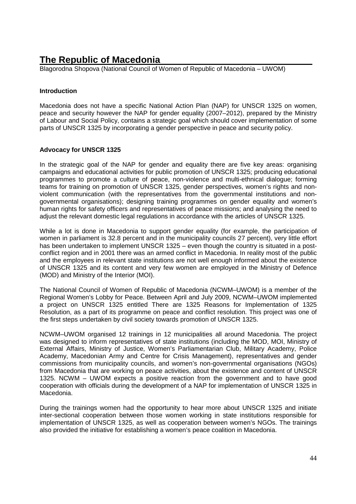# **The Republic of Macedonia**

Blagorodna Shopova (National Council of Women of Republic of Macedonia – UWOM)

## **Introduction**

Macedonia does not have a specific National Action Plan (NAP) for UNSCR 1325 on women, peace and security however the NAP for gender equality (2007–2012), prepared by the Ministry of Labour and Social Policy, contains a strategic goal which should cover implementation of some parts of UNSCR 1325 by incorporating a gender perspective in peace and security policy.

### **Advocacy for UNSCR 1325**

In the strategic goal of the NAP for gender and equality there are five key areas: organising campaigns and educational activities for public promotion of UNSCR 1325; producing educational programmes to promote a culture of peace, non-violence and multi-ethnical dialogue; forming teams for training on promotion of UNSCR 1325, gender perspectives, women's rights and nonviolent communication (with the representatives from the governmental institutions and nongovernmental organisations); designing training programmes on gender equality and women's human rights for safety officers and representatives of peace missions; and analysing the need to adjust the relevant domestic legal regulations in accordance with the articles of UNSCR 1325.

While a lot is done in Macedonia to support gender equality (for example, the participation of women in parliament is 32.8 percent and in the municipality councils 27 percent), very little effort has been undertaken to implement UNSCR 1325 – even though the country is situated in a postconflict region and in 2001 there was an armed conflict in Macedonia. In reality most of the public and the employees in relevant state institutions are not well enough informed about the existence of UNSCR 1325 and its content and very few women are employed in the Ministry of Defence (MOD) and Ministry of the Interior (MOI).

The National Council of Women of Republic of Macedonia (NCWM–UWOM) is a member of the Regional Women's Lobby for Peace. Between April and July 2009, NCWM–UWOM implemented a project on UNSCR 1325 entitled There are 1325 Reasons for Implementation of 1325 Resolution, as a part of its programme on peace and conflict resolution. This project was one of the first steps undertaken by civil society towards promotion of UNSCR 1325.

NCWM–UWOM organised 12 trainings in 12 municipalities all around Macedonia. The project was designed to inform representatives of state institutions (including the MOD, MOI, Ministry of External Affairs, Ministry of Justice, Women's Parliamentarian Club, Military Academy, Police Academy, Macedonian Army and Centre for Crisis Management), representatives and gender commissions from municipality councils, and women's non-governmental organisations (NGOs) from Macedonia that are working on peace activities, about the existence and content of UNSCR 1325. NCWM – UWOM expects a positive reaction from the government and to have good cooperation with officials during the development of a NAP for implementation of UNSCR 1325 in Macedonia.

During the trainings women had the opportunity to hear more about UNSCR 1325 and initiate inter-sectional cooperation between those women working in state institutions responsible for implementation of UNSCR 1325, as well as cooperation between women's NGOs. The trainings also provided the initiative for establishing a women's peace coalition in Macedonia.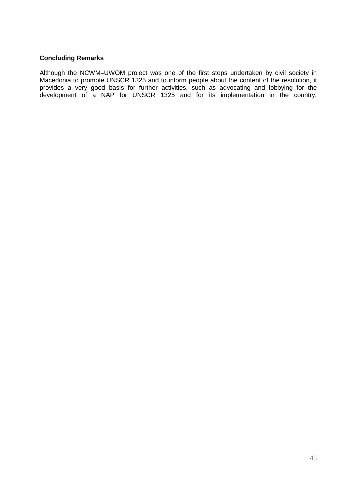## **Concluding Remarks**

Although the NCWM–UWOM project was one of the first steps undertaken by civil society in Macedonia to promote UNSCR 1325 and to inform people about the content of the resolution, it provides a very good basis for further activities, such as advocating and lobbying for the development of a NAP for UNSCR 1325 and for its implementation in the country.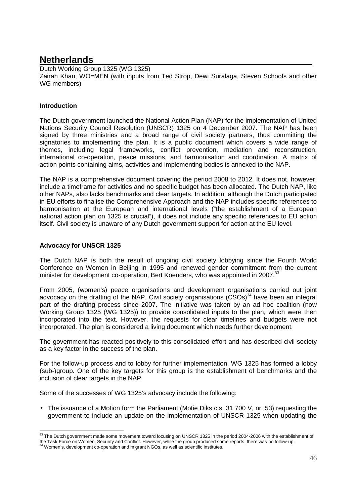# **Netherlands**

Dutch Working Group 1325 (WG 1325) Zairah Khan, WO=MEN (with inputs from Ted Strop, Dewi Suralaga, Steven Schoofs and other WG members)

# **Introduction**

The Dutch government launched the National Action Plan (NAP) for the implementation of United Nations Security Council Resolution (UNSCR) 1325 on 4 December 2007. The NAP has been signed by three ministries and a broad range of civil society partners, thus committing the signatories to implementing the plan. It is a public document which covers a wide range of themes, including legal frameworks, conflict prevention, mediation and reconstruction, international co-operation, peace missions, and harmonisation and coordination. A matrix of action points containing aims, activities and implementing bodies is annexed to the NAP.

The NAP is a comprehensive document covering the period 2008 to 2012. It does not, however, include a timeframe for activities and no specific budget has been allocated. The Dutch NAP, like other NAPs, also lacks benchmarks and clear targets. In addition, although the Dutch participated in EU efforts to finalise the Comprehensive Approach and the NAP includes specific references to harmonisation at the European and international levels ("the establishment of a European national action plan on 1325 is crucial"), it does not include any specific references to EU action itself. Civil society is unaware of any Dutch government support for action at the EU level.

# **Advocacy for UNSCR 1325**

The Dutch NAP is both the result of ongoing civil society lobbying since the Fourth World Conference on Women in Beijing in 1995 and renewed gender commitment from the current minister for development co-operation, Bert Koenders, who was appointed in 2007.<sup>33</sup>

From 2005, (women's) peace organisations and development organisations carried out joint advocacy on the drafting of the NAP. Civil society organisations  $(CSOS)^{34}$  have been an integral part of the drafting process since 2007. The initiative was taken by an ad hoc coalition (now Working Group 1325 (WG 1325)) to provide consolidated inputs to the plan, which were then incorporated into the text. However, the requests for clear timelines and budgets were not incorporated. The plan is considered a living document which needs further development.

The government has reacted positively to this consolidated effort and has described civil society as a key factor in the success of the plan.

For the follow-up process and to lobby for further implementation, WG 1325 has formed a lobby (sub-)group. One of the key targets for this group is the establishment of benchmarks and the inclusion of clear targets in the NAP.

Some of the successes of WG 1325's advocacy include the following:

• The issuance of a Motion form the Parliament (Motie Diks c.s. 31 700 V, nr. 53) requesting the government to include an update on the implementation of UNSCR 1325 when updating the

<sup>-</sup> $33$  The Dutch government made some movement toward focusing on UNSCR 1325 in the period 2004-2006 with the establishment of the Task Force on Women, Security and Conflict. However, while the group produced some reports, there was no follow-up.

Women's, development co-operation and migrant NGOs, as well as scientific institutes.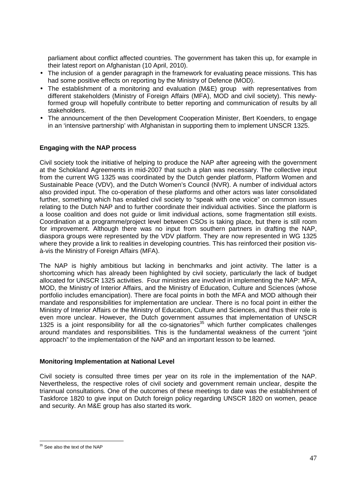parliament about conflict affected countries. The government has taken this up, for example in their latest report on Afghanistan (10 April, 2010).

- The inclusion of a gender paragraph in the framework for evaluating peace missions. This has had some positive effects on reporting by the Ministry of Defence (MOD).
- The establishment of a monitoring and evaluation (M&E) group with representatives from different stakeholders (Ministry of Foreign Affairs (MFA), MOD and civil society). This newlyformed group will hopefully contribute to better reporting and communication of results by all stakeholders.
- The announcement of the then Development Cooperation Minister, Bert Koenders, to engage in an 'intensive partnership' with Afghanistan in supporting them to implement UNSCR 1325.

# **Engaging with the NAP process**

Civil society took the initiative of helping to produce the NAP after agreeing with the government at the Schokland Agreements in mid-2007 that such a plan was necessary. The collective input from the current WG 1325 was coordinated by the Dutch gender platform, Platform Women and Sustainable Peace (VDV), and the Dutch Women's Council (NVR). A number of individual actors also provided input. The co-operation of these platforms and other actors was later consolidated further, something which has enabled civil society to "speak with one voice" on common issues relating to the Dutch NAP and to further coordinate their individual activities. Since the platform is a loose coalition and does not guide or limit individual actions, some fragmentation still exists. Coordination at a programme/project level between CSOs is taking place, but there is still room for improvement. Although there was no input from southern partners in drafting the NAP, diaspora groups were represented by the VDV platform. They are now represented in WG 1325 where they provide a link to realities in developing countries. This has reinforced their position visà-vis the Ministry of Foreign Affairs (MFA).

The NAP is highly ambitious but lacking in benchmarks and joint activity. The latter is a shortcoming which has already been highlighted by civil society, particularly the lack of budget allocated for UNSCR 1325 activities. Four ministries are involved in implementing the NAP: MFA, MOD, the Ministry of Interior Affairs, and the Ministry of Education, Culture and Sciences (whose portfolio includes emancipation). There are focal points in both the MFA and MOD although their mandate and responsibilities for implementation are unclear. There is no focal point in either the Ministry of Interior Affairs or the Ministry of Education, Culture and Sciences, and thus their role is even more unclear. However, the Dutch government assumes that implementation of UNSCR 1325 is a joint responsibility for all the co-signatories<sup>35</sup> which further complicates challenges around mandates and responsibilities. This is the fundamental weakness of the current "joint approach" to the implementation of the NAP and an important lesson to be learned.

#### **Monitoring Implementation at National Level**

Civil society is consulted three times per year on its role in the implementation of the NAP. Nevertheless, the respective roles of civil society and government remain unclear, despite the triannual consultations. One of the outcomes of these meetings to date was the establishment of Taskforce 1820 to give input on Dutch foreign policy regarding UNSCR 1820 on women, peace and security. An M&E group has also started its work.

<sup>-</sup><sup>35</sup> See also the text of the NAP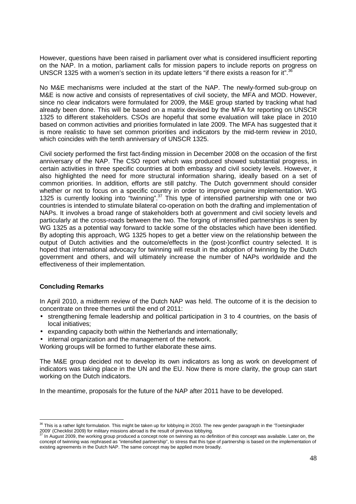However, questions have been raised in parliament over what is considered insufficient reporting on the NAP. In a motion, parliament calls for mission papers to include reports on progress on UNSCR 1325 with a women's section in its update letters "if there exists a reason for it" 36

No M&E mechanisms were included at the start of the NAP. The newly-formed sub-group on M&E is now active and consists of representatives of civil society, the MFA and MOD. However, since no clear indicators were formulated for 2009, the M&E group started by tracking what had already been done. This will be based on a matrix devised by the MFA for reporting on UNSCR 1325 to different stakeholders. CSOs are hopeful that some evaluation will take place in 2010 based on common activities and priorities formulated in late 2009. The MFA has suggested that it is more realistic to have set common priorities and indicators by the mid-term review in 2010, which coincides with the tenth anniversary of UNSCR 1325.

Civil society performed the first fact-finding mission in December 2008 on the occasion of the first anniversary of the NAP. The CSO report which was produced showed substantial progress, in certain activities in three specific countries at both embassy and civil society levels. However, it also highlighted the need for more structural information sharing, ideally based on a set of common priorities. In addition, efforts are still patchy. The Dutch government should consider whether or not to focus on a specific country in order to improve genuine implementation. WG 1325 is currently looking into "twinning".<sup>37</sup> This type of intensified partnership with one or two countries is intended to stimulate bilateral co-operation on both the drafting and implementation of NAPs. It involves a broad range of stakeholders both at government and civil society levels and particularly at the cross-roads between the two. The forging of intensified partnerships is seen by WG 1325 as a potential way forward to tackle some of the obstacles which have been identified. By adopting this approach, WG 1325 hopes to get a better view on the relationship between the output of Dutch activities and the outcome/effects in the (post-)conflict country selected. It is hoped that international advocacy for twinning will result in the adoption of twinning by the Dutch government and others, and will ultimately increase the number of NAPs worldwide and the effectiveness of their implementation.

# **Concluding Remarks**

In April 2010, a midterm review of the Dutch NAP was held. The outcome of it is the decision to concentrate on three themes until the end of 2011:

- strengthening female leadership and political participation in 3 to 4 countries, on the basis of local initiatives;
- expanding capacity both within the Netherlands and internationally;
- internal organization and the management of the network.

Working groups will be formed to further elaborate these aims.

The M&E group decided not to develop its own indicators as long as work on development of indicators was taking place in the UN and the EU. Now there is more clarity, the group can start working on the Dutch indicators.

In the meantime, proposals for the future of the NAP after 2011 have to be developed.

<sup>-</sup> $36$  This is a rather light formulation. This might be taken up for lobbying in 2010. The new gender paragraph in the 'Toetsingkader 2009' (Checklist 2009) for military missions abroad is the result of previous lobbying.<br><sup>37</sup> In August 2009, the working group produced a concept pate on twinning as no def

<sup>37</sup> In August 2009, the working group produced a concept note on twinning as no definition of this concept was available. Later on, the concept of twinning was rephrased as "intensified partnership", to stress that this type of partnership is based on the implementation of existing agreements in the Dutch NAP. The same concept may be applied more broadly.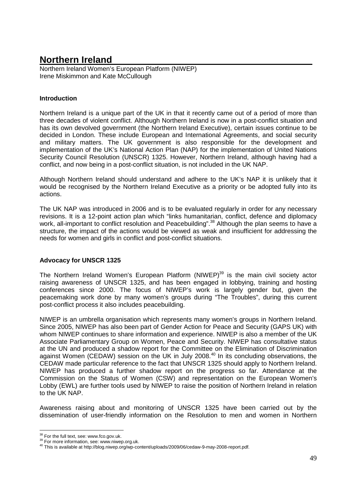# **Northern Ireland**

Northern Ireland Women's European Platform (NIWEP) Irene Miskimmon and Kate McCullough

# **Introduction**

Northern Ireland is a unique part of the UK in that it recently came out of a period of more than three decades of violent conflict. Although Northern Ireland is now in a post-conflict situation and has its own devolved government (the Northern Ireland Executive), certain issues continue to be decided in London. These include European and International Agreements, and social security and military matters. The UK government is also responsible for the development and implementation of the UK's National Action Plan (NAP) for the implementation of United Nations Security Council Resolution (UNSCR) 1325. However, Northern Ireland, although having had a conflict, and now being in a post-conflict situation, is not included in the UK NAP.

Although Northern Ireland should understand and adhere to the UK's NAP it is unlikely that it would be recognised by the Northern Ireland Executive as a priority or be adopted fully into its actions.

The UK NAP was introduced in 2006 and is to be evaluated regularly in order for any necessary revisions. It is a 12-point action plan which "links humanitarian, conflict, defence and diplomacy work, all-important to conflict resolution and Peacebuilding".<sup>38</sup> Although the plan seems to have a structure, the impact of the actions would be viewed as weak and insufficient for addressing the needs for women and girls in conflict and post-conflict situations.

# **Advocacy for UNSCR 1325**

The Northern Ireland Women's European Platform (NIWEP)<sup>39</sup> is the main civil society actor raising awareness of UNSCR 1325, and has been engaged in lobbying, training and hosting conferences since 2000. The focus of NIWEP's work is largely gender but, given the peacemaking work done by many women's groups during "The Troubles", during this current post-conflict process it also includes peacebuilding.

NIWEP is an umbrella organisation which represents many women's groups in Northern Ireland. Since 2005, NIWEP has also been part of Gender Action for Peace and Security (GAPS UK) with whom NIWEP continues to share information and experience. NIWEP is also a member of the UK Associate Parliamentary Group on Women, Peace and Security. NIWEP has consultative status at the UN and produced a shadow report for the Committee on the Elimination of Discrimination against Women (CEDAW) session on the UK in July 2008.<sup>40</sup> In its concluding observations, the CEDAW made particular reference to the fact that UNSCR 1325 should apply to Northern Ireland. NIWEP has produced a further shadow report on the progress so far. Attendance at the Commission on the Status of Women (CSW) and representation on the European Women's Lobby (EWL) are further tools used by NIWEP to raise the position of Northern Ireland in relation to the UK NAP.

Awareness raising about and monitoring of UNSCR 1325 have been carried out by the dissemination of user-friendly information on the Resolution to men and women in Northern

-

 $38$  For the full text, see: www.fco.gov.uk.

<sup>&</sup>lt;sup>39</sup> For more information, see: www.niwep.org.uk.

<sup>40</sup> This is available at http://blog.niwep.org/wp-content/uploads/2009/06/cedaw-9-may-2008-report.pdf.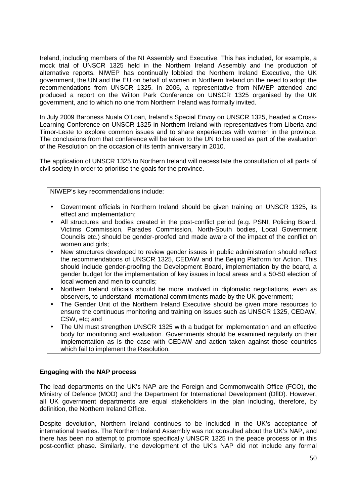Ireland, including members of the NI Assembly and Executive. This has included, for example, a mock trial of UNSCR 1325 held in the Northern Ireland Assembly and the production of alternative reports. NIWEP has continually lobbied the Northern Ireland Executive, the UK government, the UN and the EU on behalf of women in Northern Ireland on the need to adopt the recommendations from UNSCR 1325. In 2006, a representative from NIWEP attended and produced a report on the Wilton Park Conference on UNSCR 1325 organised by the UK government, and to which no one from Northern Ireland was formally invited.

In July 2009 Baroness Nuala O'Loan, Ireland's Special Envoy on UNSCR 1325, headed a Cross-Learning Conference on UNSCR 1325 in Northern Ireland with representatives from Liberia and Timor-Leste to explore common issues and to share experiences with women in the province. The conclusions from that conference will be taken to the UN to be used as part of the evaluation of the Resolution on the occasion of its tenth anniversary in 2010.

The application of UNSCR 1325 to Northern Ireland will necessitate the consultation of all parts of civil society in order to prioritise the goals for the province.

NIWEP's key recommendations include:

- Government officials in Northern Ireland should be given training on UNSCR 1325, its effect and implementation;
- All structures and bodies created in the post-conflict period (e.g. PSNI, Policing Board, Victims Commission, Parades Commission, North-South bodies, Local Government Councils etc.) should be gender-proofed and made aware of the impact of the conflict on women and girls;
- New structures developed to review gender issues in public administration should reflect the recommendations of UNSCR 1325, CEDAW and the Beijing Platform for Action. This should include gender-proofing the Development Board, implementation by the board, a gender budget for the implementation of key issues in local areas and a 50-50 election of local women and men to councils;
- Northern Ireland officials should be more involved in diplomatic negotiations, even as observers, to understand international commitments made by the UK government;
- The Gender Unit of the Northern Ireland Executive should be given more resources to ensure the continuous monitoring and training on issues such as UNSCR 1325, CEDAW, CSW, etc; and
- The UN must strengthen UNSCR 1325 with a budget for implementation and an effective body for monitoring and evaluation. Governments should be examined regularly on their implementation as is the case with CEDAW and action taken against those countries which fail to implement the Resolution.

# **Engaging with the NAP process**

The lead departments on the UK's NAP are the Foreign and Commonwealth Office (FCO), the Ministry of Defence (MOD) and the Department for International Development (DflD). However, all UK government departments are equal stakeholders in the plan including, therefore, by definition, the Northern Ireland Office.

Despite devolution, Northern Ireland continues to be included in the UK's acceptance of international treaties. The Northern Ireland Assembly was not consulted about the UK's NAP, and there has been no attempt to promote specifically UNSCR 1325 in the peace process or in this post-conflict phase. Similarly, the development of the UK's NAP did not include any formal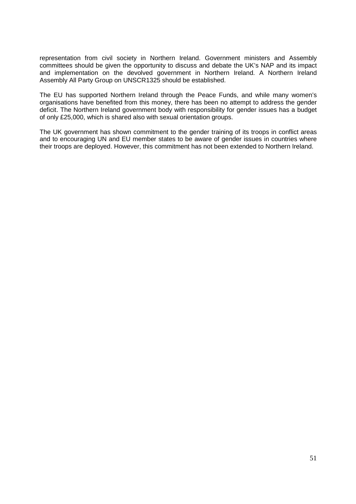representation from civil society in Northern Ireland. Government ministers and Assembly committees should be given the opportunity to discuss and debate the UK's NAP and its impact and implementation on the devolved government in Northern Ireland. A Northern Ireland Assembly All Party Group on UNSCR1325 should be established.

The EU has supported Northern Ireland through the Peace Funds, and while many women's organisations have benefited from this money, there has been no attempt to address the gender deficit. The Northern Ireland government body with responsibility for gender issues has a budget of only £25,000, which is shared also with sexual orientation groups.

The UK government has shown commitment to the gender training of its troops in conflict areas and to encouraging UN and EU member states to be aware of gender issues in countries where their troops are deployed. However, this commitment has not been extended to Northern Ireland.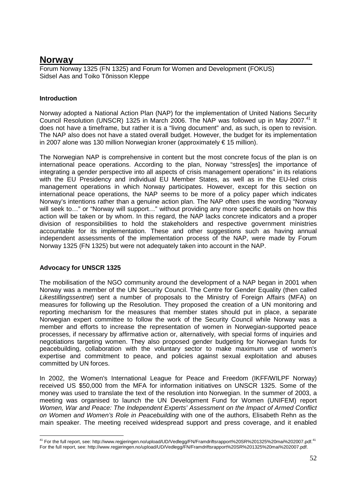# **Norway**

Forum Norway 1325 (FN 1325) and Forum for Women and Development (FOKUS) Sidsel Aas and Toiko Tõnisson Kleppe

# **Introduction**

Norway adopted a National Action Plan (NAP) for the implementation of United Nations Security Council Resolution (UNSCR) 1325 in March 2006. The NAP was followed up in May 2007.<sup>41</sup> It does not have a timeframe, but rather it is a "living document" and, as such, is open to revision. The NAP also does not have a stated overall budget. However, the budget for its implementation in 2007 alone was 130 million Norwegian kroner (approximately € 15 million).

The Norwegian NAP is comprehensive in content but the most concrete focus of the plan is on international peace operations. According to the plan, Norway "stress[es] the importance of integrating a gender perspective into all aspects of crisis management operations" in its relations with the EU Presidency and individual EU Member States, as well as in the EU-led crisis management operations in which Norway participates. However, except for this section on international peace operations, the NAP seems to be more of a policy paper which indicates Norway's intentions rather than a genuine action plan. The NAP often uses the wording "Norway will seek to..." or "Norway will support..." without providing any more specific details on how this action will be taken or by whom. In this regard, the NAP lacks concrete indicators and a proper division of responsibilities to hold the stakeholders and respective government ministries accountable for its implementation. These and other suggestions such as having annual independent assessments of the implementation process of the NAP, were made by Forum Norway 1325 (FN 1325) but were not adequately taken into account in the NAP.

# **Advocacy for UNSCR 1325**

The mobilisation of the NGO community around the development of a NAP began in 2001 when Norway was a member of the UN Security Council. The Centre for Gender Equality (then called Likestillingssentret) sent a number of proposals to the Ministry of Foreign Affairs (MFA) on measures for following up the Resolution. They proposed the creation of a UN monitoring and reporting mechanism for the measures that member states should put in place, a separate Norwegian expert committee to follow the work of the Security Council while Norway was a member and efforts to increase the representation of women in Norwegian-supported peace processes, if necessary by affirmative action or, alternatively, with special forms of inquiries and negotiations targeting women. They also proposed gender budgeting for Norwegian funds for peacebuilding, collaboration with the voluntary sector to make maximum use of women's expertise and commitment to peace, and policies against sexual exploitation and abuses committed by UN forces.

In 2002, the Women's International League for Peace and Freedom (IKFF/WILPF Norway) received US \$50,000 from the MFA for information initiatives on UNSCR 1325. Some of the money was used to translate the text of the resolution into Norwegian. In the summer of 2003, a meeting was organised to launch the UN Development Fund for Women (UNIFEM) report Women, War and Peace: The Independent Experts' Assessment on the Impact of Armed Conflict on Women and Women's Role in Peacebuilding with one of the authors, Elisabeth Rehn as the main speaker. The meeting received widespread support and press coverage, and it enabled

<sup>-</sup><sup>41</sup> For the full report, see: http://www.regjeringen.no/upload/UD/Vedlegg/FN/Framdriftsrapport%20SR%201325%20mai%202007.pdf.<sup>41</sup> For the full report, see: http://www.regjeringen.no/upload/UD/Vedlegg/FN/Framdriftsrapport%20SR%201325%20mai%202007.pdf.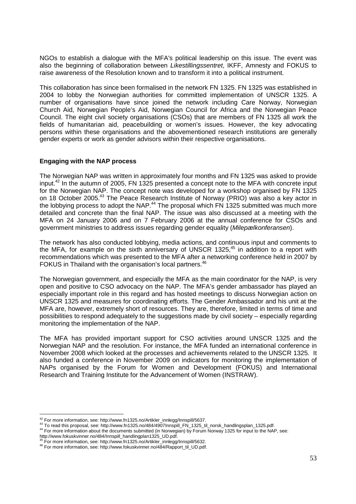NGOs to establish a dialogue with the MFA's political leadership on this issue. The event was also the beginning of collaboration between Likestillingssentret, IKFF, Amnesty and FOKUS to raise awareness of the Resolution known and to transform it into a political instrument.

This collaboration has since been formalised in the network FN 1325. FN 1325 was established in 2004 to lobby the Norwegian authorities for committed implementation of UNSCR 1325. A number of organisations have since joined the network including Care Norway, Norwegian Church Aid, Norwegian People's Aid, Norwegian Council for Africa and the Norwegian Peace Council. The eight civil society organisations (CSOs) that are members of FN 1325 all work the fields of humanitarian aid, peacebuilding or women's issues. However, the key advocating persons within these organisations and the abovementioned research institutions are generally gender experts or work as gender advisors within their respective organisations.

#### **Engaging with the NAP process**

The Norwegian NAP was written in approximately four months and FN 1325 was asked to provide input.<sup>42</sup> In the autumn of 2005, FN 1325 presented a concept note to the MFA with concrete input for the Norwegian NAP. The concept note was developed for a workshop organised by FN 1325 on 18 October 2005.<sup>43</sup> The Peace Research Institute of Norway (PRIO) was also a key actor in the lobbying process to adopt the NAP.<sup>44</sup> The proposal which FN 1325 submitted was much more detailed and concrete than the final NAP. The issue was also discussed at a meeting with the MFA on 24 January 2006 and on 7 February 2006 at the annual conference for CSOs and government ministries to address issues regarding gender equality (Milepælkonferansen).

The network has also conducted lobbying, media actions, and continuous input and comments to the MFA, for example on the sixth anniversary of UNSCR 1325,<sup>45</sup> in addition to a report with recommendations which was presented to the MFA after a networking conference held in 2007 by FOKUS in Thailand with the organisation's local partners.<sup>46</sup>

The Norwegian government, and especially the MFA as the main coordinator for the NAP, is very open and positive to CSO advocacy on the NAP. The MFA's gender ambassador has played an especially important role in this regard and has hosted meetings to discuss Norwegian action on UNSCR 1325 and measures for coordinating efforts. The Gender Ambassador and his unit at the MFA are, however, extremely short of resources. They are, therefore, limited in terms of time and possibilities to respond adequately to the suggestions made by civil society – especially regarding monitoring the implementation of the NAP.

The MFA has provided important support for CSO activities around UNSCR 1325 and the Norwegian NAP and the resolution. For instance, the MFA funded an international conference in November 2008 which looked at the processes and achievements related to the UNSCR 1325. It also funded a conference in November 2009 on indicators for monitoring the implementation of NAPs organised by the Forum for Women and Development (FOKUS) and International Research and Training Institute for the Advancement of Women (INSTRAW).

-

 $42$  For more information, see: http://www.fn1325.no/Artikler\_innlegg/Innspill/5637.

<sup>43</sup> To read this proposal, see: http://www.fn1325.no/484/4907Innspill\_FN\_1325\_til\_norsk\_handlingsplan\_1325.pdf.

<sup>44</sup> For more information about the documents submitted (in Norwegian) by Forum Norway 1325 for input to the NAP, see: http://www.fokuskvinner.no/484/Innspill\_handlingplan1325\_UD.pdf.

<sup>&</sup>lt;sup>45</sup> For more information, see: http://www.fn1325.no/Artikler\_innlegg/Innspill/5632.

<sup>46</sup> For more information, see: http://www.fokuskvinner.no/484/Rapport\_til\_UD.pdf.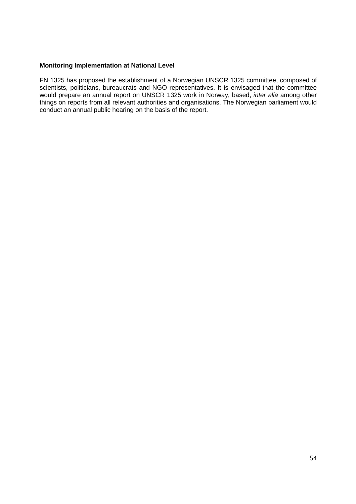## **Monitoring Implementation at National Level**

FN 1325 has proposed the establishment of a Norwegian UNSCR 1325 committee, composed of scientists, politicians, bureaucrats and NGO representatives. It is envisaged that the committee would prepare an annual report on UNSCR 1325 work in Norway, based, inter alia among other things on reports from all relevant authorities and organisations. The Norwegian parliament would conduct an annual public hearing on the basis of the report.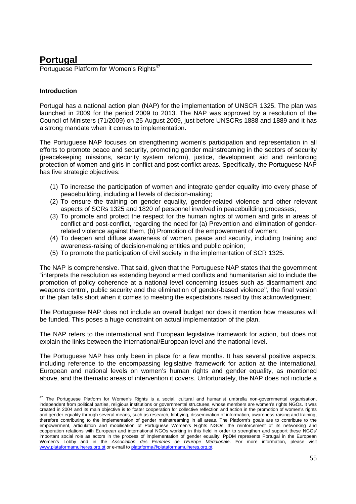# **Portugal**

Portuguese Platform for Women's Rights<sup>47</sup>

# **Introduction**

-

Portugal has a national action plan (NAP) for the implementation of UNSCR 1325. The plan was launched in 2009 for the period 2009 to 2013. The NAP was approved by a resolution of the Council of Ministers (71/2009) on 25 August 2009, just before UNSCRs 1888 and 1889 and it has a strong mandate when it comes to implementation.

The Portuguese NAP focuses on strengthening women's participation and representation in all efforts to promote peace and security, promoting gender mainstreaming in the sectors of security (peacekeeping missions, security system reform), justice, development aid and reinforcing protection of women and girls in conflict and post-conflict areas. Specifically, the Portuguese NAP has five strategic objectives:

- (1) To increase the participation of women and integrate gender equality into every phase of peacebuilding, including all levels of decision-making;
- (2) To ensure the training on gender equality, gender-related violence and other relevant aspects of SCRs 1325 and 1820 of personnel involved in peacebuilding processes;
- (3) To promote and protect the respect for the human rights of women and girls in areas of conflict and post-conflict, regarding the need for (a) Prevention and elimination of genderrelated violence against them, (b) Promotion of the empowerment of women;
- (4) To deepen and diffuse awareness of women, peace and security, including training and awareness-raising of decision-making entities and public opinion;
- (5) To promote the participation of civil society in the implementation of SCR 1325.

The NAP is comprehensive. That said, given that the Portuguese NAP states that the government "interprets the resolution as extending beyond armed conflicts and humanitarian aid to include the promotion of policy coherence at a national level concerning issues such as disarmament and weapons control, public security and the elimination of gender-based violence'', the final version of the plan falls short when it comes to meeting the expectations raised by this acknowledgment.

The Portuguese NAP does not include an overall budget nor does it mention how measures will be funded. This poses a huge constraint on actual implementation of the plan.

The NAP refers to the international and European legislative framework for action, but does not explain the links between the international/European level and the national level.

The Portuguese NAP has only been in place for a few months. It has several positive aspects, including reference to the encompassing legislative framework for action at the international, European and national levels on women's human rights and gender equality, as mentioned above, and the thematic areas of intervention it covers. Unfortunately, the NAP does not include a

 $47$  The Portuguese Platform for Women's Rights is a social, cultural and humanist umbrella non-governmental organisation, independent from political parties, religious institutions or governmental structures, whose members are women's rights NGOs. It was created in 2004 and its main objective is to foster cooperation for collective reflection and action in the promotion of women's rights and gender equality through several means, such as research, lobbying, dissemination of information, awareness-raising and training, therefore contributing to the implementation of gender mainstreaming in all areas. The Platform's goals are to contribute to the empowerment, articulation and mobilisation of Portuguese Women's Rights NGOs; the reinforcement of its networking and cooperation relations with European and international NGOs working in this field in order to strengthen and support these NGOs' important social role as actors in the process of implementation of gender equality. PpDM represents Portugal in the European Women's Lobby and in the Association des Femmes de l'Europe Méridionale. For more information, please visit www.plataformamulheres.org.pt or e-mail to plataforma@plataformamulheres.org.pt.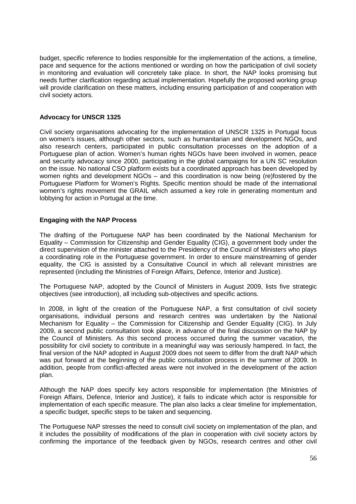budget, specific reference to bodies responsible for the implementation of the actions, a timeline, pace and sequence for the actions mentioned or wording on how the participation of civil society in monitoring and evaluation will concretely take place. In short, the NAP looks promising but needs further clarification regarding actual implementation. Hopefully the proposed working group will provide clarification on these matters, including ensuring participation of and cooperation with civil society actors.

## **Advocacy for UNSCR 1325**

Civil society organisations advocating for the implementation of UNSCR 1325 in Portugal focus on women's issues, although other sectors, such as humanitarian and development NGOs, and also research centers, participated in public consultation processes on the adoption of a Portuguese plan of action. Women's human rights NGOs have been involved in women, peace and security advocacy since 2000, participating in the global campaigns for a UN SC resolution on the issue. No national CSO platform exists but a coordinated approach has been developed by women rights and development NGOs – and this coordination is now being (re)fostered by the Portuguese Platform for Women's Rights. Specific mention should be made of the international women's rights movement the GRAIL which assumed a key role in generating momentum and lobbying for action in Portugal at the time.

### **Engaging with the NAP Process**

The drafting of the Portuguese NAP has been coordinated by the National Mechanism for Equality – Commission for Citizenship and Gender Equality (CIG), a government body under the direct supervision of the minister attached to the Presidency of the Council of Ministers who plays a coordinating role in the Portuguese government. In order to ensure mainstreaming of gender equality, the CIG is assisted by a Consultative Council in which all relevant ministries are represented (including the Ministries of Foreign Affairs, Defence, Interior and Justice).

The Portuguese NAP, adopted by the Council of Ministers in August 2009, lists five strategic objectives (see introduction), all including sub-objectives and specific actions.

In 2008, in light of the creation of the Portuguese NAP, a first consultation of civil society organisations, individual persons and research centres was undertaken by the National Mechanism for Equality – the Commission for Citizenship and Gender Equality (CIG). In July 2009, a second public consultation took place, in advance of the final discussion on the NAP by the Council of Ministers. As this second process occurred during the summer vacation, the possibility for civil society to contribute in a meaningful way was seriously hampered. In fact, the final version of the NAP adopted in August 2009 does not seem to differ from the draft NAP which was put forward at the beginning of the public consultation process in the summer of 2009. In addition, people from conflict-affected areas were not involved in the development of the action plan.

Although the NAP does specify key actors responsible for implementation (the Ministries of Foreign Affairs, Defence, Interior and Justice), it fails to indicate which actor is responsible for implementation of each specific measure. The plan also lacks a clear timeline for implementation, a specific budget, specific steps to be taken and sequencing.

The Portuguese NAP stresses the need to consult civil society on implementation of the plan, and it includes the possibility of modifications of the plan in cooperation with civil society actors by confirming the importance of the feedback given by NGOs, research centres and other civil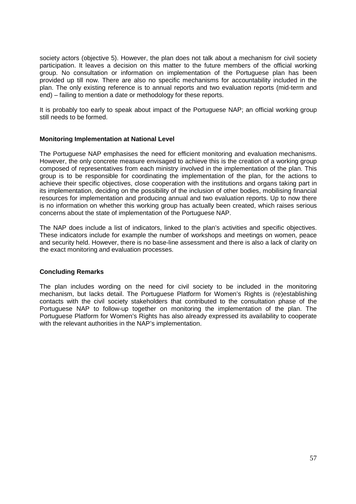society actors (objective 5). However, the plan does not talk about a mechanism for civil society participation. It leaves a decision on this matter to the future members of the official working group. No consultation or information on implementation of the Portuguese plan has been provided up till now. There are also no specific mechanisms for accountability included in the plan. The only existing reference is to annual reports and two evaluation reports (mid-term and end) – failing to mention a date or methodology for these reports.

It is probably too early to speak about impact of the Portuguese NAP; an official working group still needs to be formed.

### **Monitoring Implementation at National Level**

The Portuguese NAP emphasises the need for efficient monitoring and evaluation mechanisms. However, the only concrete measure envisaged to achieve this is the creation of a working group composed of representatives from each ministry involved in the implementation of the plan. This group is to be responsible for coordinating the implementation of the plan, for the actions to achieve their specific objectives, close cooperation with the institutions and organs taking part in its implementation, deciding on the possibility of the inclusion of other bodies, mobilising financial resources for implementation and producing annual and two evaluation reports. Up to now there is no information on whether this working group has actually been created, which raises serious concerns about the state of implementation of the Portuguese NAP.

The NAP does include a list of indicators, linked to the plan's activities and specific objectives. These indicators include for example the number of workshops and meetings on women, peace and security held. However, there is no base-line assessment and there is also a lack of clarity on the exact monitoring and evaluation processes.

#### **Concluding Remarks**

The plan includes wording on the need for civil society to be included in the monitoring mechanism, but lacks detail. The Portuguese Platform for Women's Rights is (re)establishing contacts with the civil society stakeholders that contributed to the consultation phase of the Portuguese NAP to follow-up together on monitoring the implementation of the plan. The Portuguese Platform for Women's Rights has also already expressed its availability to cooperate with the relevant authorities in the NAP's implementation.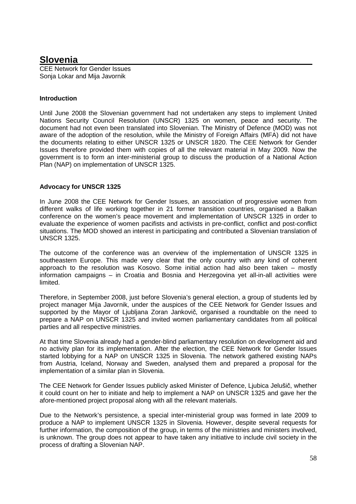# **Slovenia**

CEE Network for Gender Issues Sonja Lokar and Mija Javornik

# **Introduction**

Until June 2008 the Slovenian government had not undertaken any steps to implement United Nations Security Council Resolution (UNSCR) 1325 on women, peace and security. The document had not even been translated into Slovenian. The Ministry of Defence (MOD) was not aware of the adoption of the resolution, while the Ministry of Foreign Affairs (MFA) did not have the documents relating to either UNSCR 1325 or UNSCR 1820. The CEE Network for Gender Issues therefore provided them with copies of all the relevant material in May 2009. Now the government is to form an inter-ministerial group to discuss the production of a National Action Plan (NAP) on implementation of UNSCR 1325.

# **Advocacy for UNSCR 1325**

In June 2008 the CEE Network for Gender Issues, an association of progressive women from different walks of life working together in 21 former transition countries, organised a Balkan conference on the women's peace movement and implementation of UNSCR 1325 in order to evaluate the experience of women pacifists and activists in pre-conflict, conflict and post-conflict situations. The MOD showed an interest in participating and contributed a Slovenian translation of UNSCR 1325.

The outcome of the conference was an overview of the implementation of UNSCR 1325 in southeastern Europe. This made very clear that the only country with any kind of coherent approach to the resolution was Kosovo. Some initial action had also been taken – mostly information campaigns – in Croatia and Bosnia and Herzegovina yet all-in-all activities were limited.

Therefore, in September 2008, just before Slovenia's general election, a group of students led by project manager Mija Javornik, under the auspices of the CEE Network for Gender Issues and supported by the Mayor of Ljubljana Zoran Jankovič, organised a roundtable on the need to prepare a NAP on UNSCR 1325 and invited women parliamentary candidates from all political parties and all respective ministries.

At that time Slovenia already had a gender-blind parliamentary resolution on development aid and no activity plan for its implementation. After the election, the CEE Network for Gender Issues started lobbying for a NAP on UNSCR 1325 in Slovenia. The network gathered existing NAPs from Austria, Iceland, Norway and Sweden, analysed them and prepared a proposal for the implementation of a similar plan in Slovenia.

The CEE Network for Gender Issues publicly asked Minister of Defence, Ljubica Jelušič, whether it could count on her to initiate and help to implement a NAP on UNSCR 1325 and gave her the afore-mentioned project proposal along with all the relevant materials.

Due to the Network's persistence, a special inter-ministerial group was formed in late 2009 to produce a NAP to implement UNSCR 1325 in Slovenia. However, despite several requests for further information, the composition of the group, in terms of the ministries and ministers involved, is unknown. The group does not appear to have taken any initiative to include civil society in the process of drafting a Slovenian NAP.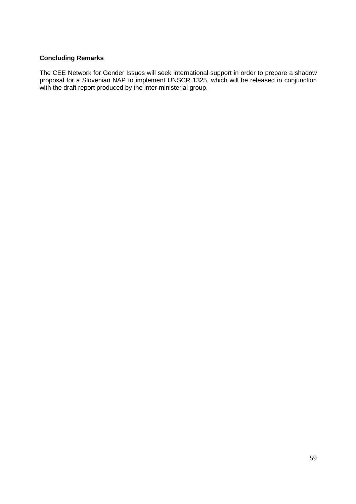# **Concluding Remarks**

The CEE Network for Gender Issues will seek international support in order to prepare a shadow proposal for a Slovenian NAP to implement UNSCR 1325, which will be released in conjunction with the draft report produced by the inter-ministerial group.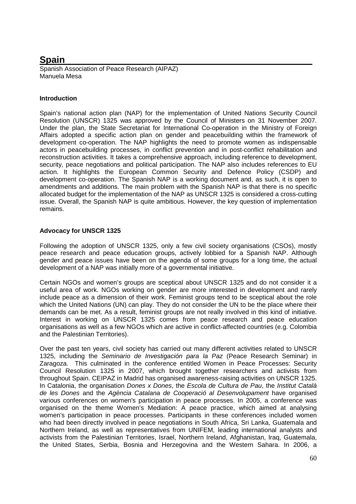# **Spain**

Spanish Association of Peace Research (AIPAZ) Manuela Mesa

# **Introduction**

Spain's national action plan (NAP) for the implementation of United Nations Security Council Resolution (UNSCR) 1325 was approved by the Council of Ministers on 31 November 2007. Under the plan, the State Secretariat for International Co-operation in the Ministry of Foreign Affairs adopted a specific action plan on gender and peacebuilding within the framework of development co-operation. The NAP highlights the need to promote women as indispensable actors in peacebuilding processes, in conflict prevention and in post-conflict rehabilitation and reconstruction activities. It takes a comprehensive approach, including reference to development, security, peace negotiations and political participation. The NAP also includes references to EU action. It highlights the European Common Security and Defence Policy (CSDP) and development co-operation. The Spanish NAP is a working document and, as such, it is open to amendments and additions. The main problem with the Spanish NAP is that there is no specific allocated budget for the implementation of the NAP as UNSCR 1325 is considered a cross-cutting issue. Overall, the Spanish NAP is quite ambitious. However, the key question of implementation remains.

# **Advocacy for UNSCR 1325**

Following the adoption of UNSCR 1325, only a few civil society organisations (CSOs), mostly peace research and peace education groups, actively lobbied for a Spanish NAP. Although gender and peace issues have been on the agenda of some groups for a long time, the actual development of a NAP was initially more of a governmental initiative.

Certain NGOs and women's groups are sceptical about UNSCR 1325 and do not consider it a useful area of work. NGOs working on gender are more interested in development and rarely include peace as a dimension of their work. Feminist groups tend to be sceptical about the role which the United Nations (UN) can play. They do not consider the UN to be the place where their demands can be met. As a result, feminist groups are not really involved in this kind of initiative. Interest in working on UNSCR 1325 comes from peace research and peace education organisations as well as a few NGOs which are active in conflict-affected countries (e.g. Colombia and the Palestinian Territories).

Over the past ten years, civil society has carried out many different activities related to UNSCR 1325, including the Seminario de Investigación para la Paz (Peace Research Seminar) in Zaragoza. This culminated in the conference entitled Women in Peace Processes: Security Council Resolution 1325 in 2007, which brought together researchers and activists from throughout Spain. CEIPAZ in Madrid has organised awareness-raising activities on UNSCR 1325. In Catalonia, the organisation Dones x Dones, the Escola de Cultura de Pau, the Institut Català de les Dones and the Agència Catalana de Cooperació al Desenvolupament have organised various conferences on women's participation in peace processes. In 2005, a conference was organised on the theme Women's Mediation: A peace practice, which aimed at analysing women's participation in peace processes. Participants in these conferences included women who had been directly involved in peace negotiations in South Africa, Sri Lanka, Guatemala and Northern Ireland, as well as representatives from UNIFEM, leading international analysts and activists from the Palestinian Territories, Israel, Northern Ireland, Afghanistan, Iraq, Guatemala, the United States, Serbia, Bosnia and Herzegovina and the Western Sahara. In 2006, a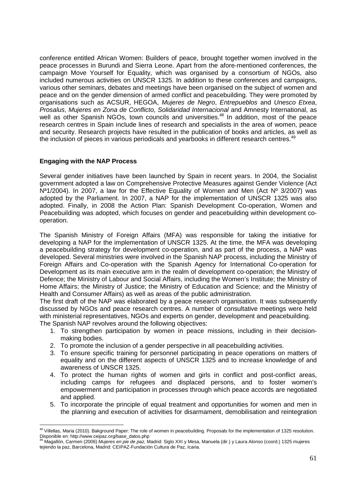conference entitled African Women: Builders of peace, brought together women involved in the peace processes in Burundi and Sierra Leone. Apart from the afore-mentioned conferences, the campaign Move Yourself for Equality, which was organised by a consortium of NGOs, also included numerous activities on UNSCR 1325. In addition to these conferences and campaigns, various other seminars, debates and meetings have been organised on the subject of women and peace and on the gender dimension of armed conflict and peacebuilding. They were promoted by organisations such as ACSUR, HEGOA, Mujeres de Negro, Entrepueblos and Unesco Etxea, Prosalus, Mujeres en Zona de Conflicto, Solidaridad Internacional and Amnesty International, as well as other Spanish NGOs, town councils and universities.<sup>48</sup> In addition, most of the peace research centres in Spain include lines of research and specialists in the area of women, peace and security. Research projects have resulted in the publication of books and articles, as well as the inclusion of pieces in various periodicals and yearbooks in different research centres.<sup>49</sup>

### **Engaging with the NAP Process**

Several gender initiatives have been launched by Spain in recent years. In 2004, the Socialist government adopted a law on Comprehensive Protective Measures against Gender Violence (Act N<sup>a</sup>1/2004). In 2007, a law for the Effective Equality of Women and Men (Act Nº 3/2007) was adopted by the Parliament. In 2007, a NAP for the implementation of UNSCR 1325 was also adopted. Finally, in 2008 the Action Plan: Spanish Development Co-operation, Women and Peacebuilding was adopted, which focuses on gender and peacebuilding within development cooperation.

The Spanish Ministry of Foreign Affairs (MFA) was responsible for taking the initiative for developing a NAP for the implementation of UNSCR 1325. At the time, the MFA was developing a peacebuilding strategy for development co-operation, and as part of the process, a NAP was developed. Several ministries were involved in the Spanish NAP process, including the Ministry of Foreign Affairs and Co-operation with the Spanish Agency for International Co-operation for Development as its main executive arm in the realm of development co-operation; the Ministry of Defence; the Ministry of Labour and Social Affairs, including the Women's Institute; the Ministry of Home Affairs; the Ministry of Justice; the Ministry of Education and Science; and the Ministry of Health and Consumer Affairs) as well as areas of the public administration.

The first draft of the NAP was elaborated by a peace research organisation. It was subsequently discussed by NGOs and peace research centres. A number of consultative meetings were held with ministerial representatives, NGOs and experts on gender, development and peacebuilding. The Spanish NAP revolves around the following objectives:

- 1. To strengthen participation by women in peace missions, including in their decisionmaking bodies.
- 2. To promote the inclusion of a gender perspective in all peacebuilding activities.
- 3. To ensure specific training for personnel participating in peace operations on matters of equality and on the different aspects of UNSCR 1325 and to increase knowledge of and awareness of UNSCR 1325.
- 4. To protect the human rights of women and girls in conflict and post-conflict areas, including camps for refugees and displaced persons, and to foster women's empowerment and participation in processes through which peace accords are negotiated and applied.
- 5. To incorporate the principle of equal treatment and opportunities for women and men in the planning and execution of activities for disarmament, demobilisation and reintegration

<sup>-</sup><sup>48</sup> Villellas, Maria (2010). Bakground Paper: The role of women in peacebuilding. Proposals for the implementation of 1325 resolution. Disponible en: http://www.ceipaz.org/base\_datos.php

Magallón, Carmen (2006) Mujeres en pie de paz, Madrid: Siglo XXI y Mesa, Manuela (dir.) y Laura Alonso (coord.) 1325 mujeres tejiendo la paz, Barcelona, Madrid: CEIPAZ-Fundación Cultura de Paz, Icaria.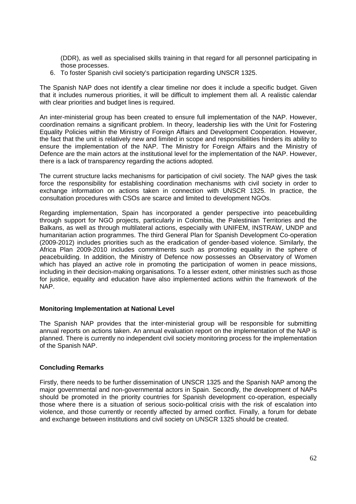(DDR), as well as specialised skills training in that regard for all personnel participating in those processes.

6. To foster Spanish civil society's participation regarding UNSCR 1325.

The Spanish NAP does not identify a clear timeline nor does it include a specific budget. Given that it includes numerous priorities, it will be difficult to implement them all. A realistic calendar with clear priorities and budget lines is required.

An inter-ministerial group has been created to ensure full implementation of the NAP. However, coordination remains a significant problem. In theory, leadership lies with the Unit for Fostering Equality Policies within the Ministry of Foreign Affairs and Development Cooperation. However, the fact that the unit is relatively new and limited in scope and responsibilities hinders its ability to ensure the implementation of the NAP. The Ministry for Foreign Affairs and the Ministry of Defence are the main actors at the institutional level for the implementation of the NAP. However, there is a lack of transparency regarding the actions adopted.

The current structure lacks mechanisms for participation of civil society. The NAP gives the task force the responsibility for establishing coordination mechanisms with civil society in order to exchange information on actions taken in connection with UNSCR 1325. In practice, the consultation procedures with CSOs are scarce and limited to development NGOs.

Regarding implementation, Spain has incorporated a gender perspective into peacebuilding through support for NGO projects, particularly in Colombia, the Palestinian Territories and the Balkans, as well as through multilateral actions, especially with UNIFEM, INSTRAW, UNDP and humanitarian action programmes. The third General Plan for Spanish Development Co-operation (2009-2012) includes priorities such as the eradication of gender-based violence. Similarly, the Africa Plan 2009-2010 includes commitments such as promoting equality in the sphere of peacebuilding. In addition, the Ministry of Defence now possesses an Observatory of Women which has played an active role in promoting the participation of women in peace missions, including in their decision-making organisations. To a lesser extent, other ministries such as those for justice, equality and education have also implemented actions within the framework of the NAP.

# **Monitoring Implementation at National Level**

The Spanish NAP provides that the inter-ministerial group will be responsible for submitting annual reports on actions taken. An annual evaluation report on the implementation of the NAP is planned. There is currently no independent civil society monitoring process for the implementation of the Spanish NAP.

# **Concluding Remarks**

Firstly, there needs to be further dissemination of UNSCR 1325 and the Spanish NAP among the major governmental and non-governmental actors in Spain. Secondly, the development of NAPs should be promoted in the priority countries for Spanish development co-operation, especially those where there is a situation of serious socio-political crisis with the risk of escalation into violence, and those currently or recently affected by armed conflict. Finally, a forum for debate and exchange between institutions and civil society on UNSCR 1325 should be created.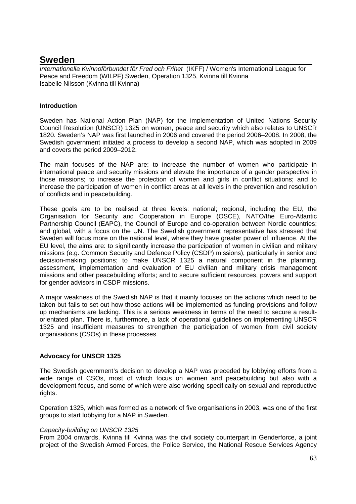# **Sweden**

Internationella Kvinnoförbundet för Fred och Frihet (IKFF) / Women's International League for Peace and Freedom (WILPF) Sweden, Operation 1325, Kvinna till Kvinna Isabelle Nilsson (Kvinna till Kvinna)

# **Introduction**

Sweden has National Action Plan (NAP) for the implementation of United Nations Security Council Resolution (UNSCR) 1325 on women, peace and security which also relates to UNSCR 1820. Sweden's NAP was first launched in 2006 and covered the period 2006–2008. In 2008, the Swedish government initiated a process to develop a second NAP, which was adopted in 2009 and covers the period 2009–2012.

The main focuses of the NAP are: to increase the number of women who participate in international peace and security missions and elevate the importance of a gender perspective in those missions; to increase the protection of women and girls in conflict situations; and to increase the participation of women in conflict areas at all levels in the prevention and resolution of conflicts and in peacebuilding.

These goals are to be realised at three levels: national; regional, including the EU, the Organisation for Security and Cooperation in Europe (OSCE), NATO/the Euro-Atlantic Partnership Council (EAPC), the Council of Europe and co-operation between Nordic countries; and global, with a focus on the UN. The Swedish government representative has stressed that Sweden will focus more on the national level, where they have greater power of influence. At the EU level, the aims are: to significantly increase the participation of women in civilian and military missions (e.g. Common Security and Defence Policy (CSDP) missions), particularly in senior and decision-making positions; to make UNSCR 1325 a natural component in the planning, assessment, implementation and evaluation of EU civilian and military crisis management missions and other peacebuilding efforts; and to secure sufficient resources, powers and support for gender advisors in CSDP missions.

A major weakness of the Swedish NAP is that it mainly focuses on the actions which need to be taken but fails to set out how those actions will be implemented as funding provisions and follow up mechanisms are lacking. This is a serious weakness in terms of the need to secure a resultorientated plan. There is, furthermore, a lack of operational guidelines on implementing UNSCR 1325 and insufficient measures to strengthen the participation of women from civil society organisations (CSOs) in these processes.

# **Advocacy for UNSCR 1325**

The Swedish government's decision to develop a NAP was preceded by lobbying efforts from a wide range of CSOs, most of which focus on women and peacebuilding but also with a development focus, and some of which were also working specifically on sexual and reproductive rights.

Operation 1325, which was formed as a network of five organisations in 2003, was one of the first groups to start lobbying for a NAP in Sweden.

# Capacity-building on UNSCR 1325

From 2004 onwards, Kvinna till Kvinna was the civil society counterpart in Genderforce, a joint project of the Swedish Armed Forces, the Police Service, the National Rescue Services Agency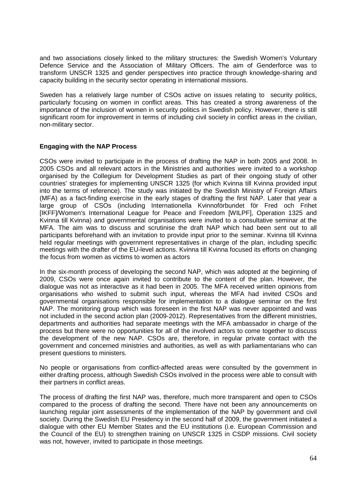and two associations closely linked to the military structures: the Swedish Women's Voluntary Defence Service and the Association of Military Officers. The aim of Genderforce was to transform UNSCR 1325 and gender perspectives into practice through knowledge-sharing and capacity building in the security sector operating in international missions.

Sweden has a relatively large number of CSOs active on issues relating to security politics, particularly focusing on women in conflict areas. This has created a strong awareness of the importance of the inclusion of women in security politics in Swedish policy. However, there is still significant room for improvement in terms of including civil society in conflict areas in the civilian, non-military sector.

### **Engaging with the NAP Process**

CSOs were invited to participate in the process of drafting the NAP in both 2005 and 2008. In 2005 CSOs and all relevant actors in the Ministries and authorities were invited to a workshop organised by the Collegium for Development Studies as part of their ongoing study of other countries' strategies for implementing UNSCR 1325 (for which Kvinna till Kvinna provided input into the terms of reference). The study was initiated by the Swedish Ministry of Foreign Affairs (MFA) as a fact-finding exercise in the early stages of drafting the first NAP. Later that year a large group of CSOs (including Internationella Kvinnoförbundet för Fred och Frihet [IKFF]/Women's International League for Peace and Freedom [WILPF], Operation 1325 and Kvinna till Kvinna) and governmental organisations were invited to a consultative seminar at the MFA. The aim was to discuss and scrutinise the draft NAP which had been sent out to all participants beforehand with an invitation to provide input prior to the seminar. Kvinna till Kvinna held regular meetings with government representatives in charge of the plan, including specific meetings with the drafter of the EU-level actions. Kvinna till Kvinna focused its efforts on changing the focus from women as victims to women as actors

In the six-month process of developing the second NAP, which was adopted at the beginning of 2009, CSOs were once again invited to contribute to the content of the plan. However, the dialogue was not as interactive as it had been in 2005. The MFA received written opinions from organisations who wished to submit such input, whereas the MFA had invited CSOs and governmental organisations responsible for implementation to a dialogue seminar on the first NAP. The monitoring group which was foreseen in the first NAP was never appointed and was not included in the second action plan (2009-2012). Representatives from the different ministries, departments and authorities had separate meetings with the MFA ambassador in charge of the process but there were no opportunities for all of the involved actors to come together to discuss the development of the new NAP. CSOs are, therefore, in regular private contact with the government and concerned ministries and authorities, as well as with parliamentarians who can present questions to ministers.

No people or organisations from conflict-affected areas were consulted by the government in either drafting process, although Swedish CSOs involved in the process were able to consult with their partners in conflict areas.

The process of drafting the first NAP was, therefore, much more transparent and open to CSOs compared to the process of drafting the second. There have not been any announcements on launching regular joint assessments of the implementation of the NAP by government and civil society. During the Swedish EU Presidency in the second half of 2009, the government initiated a dialogue with other EU Member States and the EU institutions (i.e. European Commission and the Council of the EU) to strengthen training on UNSCR 1325 in CSDP missions. Civil society was not, however, invited to participate in those meetings.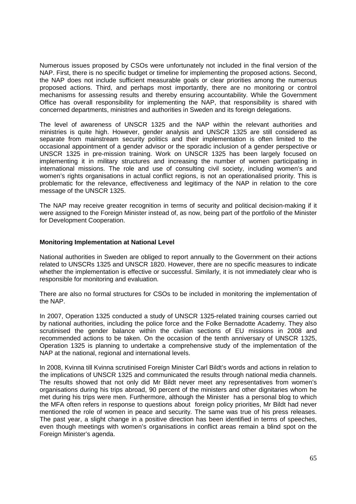Numerous issues proposed by CSOs were unfortunately not included in the final version of the NAP. First, there is no specific budget or timeline for implementing the proposed actions. Second, the NAP does not include sufficient measurable goals or clear priorities among the numerous proposed actions. Third, and perhaps most importantly, there are no monitoring or control mechanisms for assessing results and thereby ensuring accountability. While the Government Office has overall responsibility for implementing the NAP, that responsibility is shared with concerned departments, ministries and authorities in Sweden and its foreign delegations.

The level of awareness of UNSCR 1325 and the NAP within the relevant authorities and ministries is quite high. However, gender analysis and UNSCR 1325 are still considered as separate from mainstream security politics and their implementation is often limited to the occasional appointment of a gender advisor or the sporadic inclusion of a gender perspective or UNSCR 1325 in pre-mission training. Work on UNSCR 1325 has been largely focused on implementing it in military structures and increasing the number of women participating in international missions. The role and use of consulting civil society, including women's and women's rights organisations in actual conflict regions, is not an operationalised priority. This is problematic for the relevance, effectiveness and legitimacy of the NAP in relation to the core message of the UNSCR 1325.

The NAP may receive greater recognition in terms of security and political decision-making if it were assigned to the Foreign Minister instead of, as now, being part of the portfolio of the Minister for Development Cooperation.

#### **Monitoring Implementation at National Level**

National authorities in Sweden are obliged to report annually to the Government on their actions related to UNSCRs 1325 and UNSCR 1820. However, there are no specific measures to indicate whether the implementation is effective or successful. Similarly, it is not immediately clear who is responsible for monitoring and evaluation.

There are also no formal structures for CSOs to be included in monitoring the implementation of the NAP.

In 2007, Operation 1325 conducted a study of UNSCR 1325-related training courses carried out by national authorities, including the police force and the Folke Bernadotte Academy. They also scrutinised the gender balance within the civilian sections of EU missions in 2008 and recommended actions to be taken. On the occasion of the tenth anniversary of UNSCR 1325, Operation 1325 is planning to undertake a comprehensive study of the implementation of the NAP at the national, regional and international levels.

In 2008, Kvinna till Kvinna scrutinised Foreign Minister Carl Bildt's words and actions in relation to the implications of UNSCR 1325 and communicated the results through national media channels. The results showed that not only did Mr Bildt never meet any representatives from women's organisations during his trips abroad, 90 percent of the ministers and other dignitaries whom he met during his trips were men. Furthermore, although the Minister has a personal blog to which the MFA often refers in response to questions about foreign policy priorities, Mr Bildt had never mentioned the role of women in peace and security. The same was true of his press releases. The past year, a slight change in a positive direction has been identified in terms of speeches, even though meetings with women's organisations in conflict areas remain a blind spot on the Foreign Minister's agenda.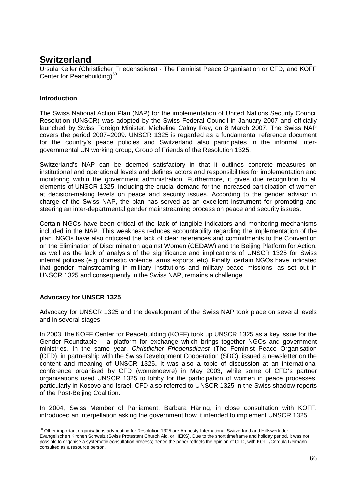# **Switzerland**

Ursula Keller (Christlicher Friedensdienst - The Feminist Peace Organisation or CFD, and KOFF Center for Peacebuilding) $50$ 

# **Introduction**

The Swiss National Action Plan (NAP) for the implementation of United Nations Security Council Resolution (UNSCR) was adopted by the Swiss Federal Council in January 2007 and officially launched by Swiss Foreign Minister, Micheline Calmy Rey, on 8 March 2007. The Swiss NAP covers the period 2007–2009. UNSCR 1325 is regarded as a fundamental reference document for the country's peace policies and Switzerland also participates in the informal intergovernmental UN working group, Group of Friends of the Resolution 1325.

Switzerland's NAP can be deemed satisfactory in that it outlines concrete measures on institutional and operational levels and defines actors and responsibilities for implementation and monitoring within the government administration. Furthermore, it gives due recognition to all elements of UNSCR 1325, including the crucial demand for the increased participation of women at decision-making levels on peace and security issues. According to the gender advisor in charge of the Swiss NAP, the plan has served as an excellent instrument for promoting and steering an inter-departmental gender mainstreaming process on peace and security issues.

Certain NGOs have been critical of the lack of tangible indicators and monitoring mechanisms included in the NAP. This weakness reduces accountability regarding the implementation of the plan. NGOs have also criticised the lack of clear references and commitments to the Convention on the Elimination of Discrimination against Women (CEDAW) and the Beijing Platform for Action, as well as the lack of analysis of the significance and implications of UNSCR 1325 for Swiss internal policies (e.g. domestic violence, arms exports, etc). Finally, certain NGOs have indicated that gender mainstreaming in military institutions and military peace missions, as set out in UNSCR 1325 and consequently in the Swiss NAP, remains a challenge.

# **Advocacy for UNSCR 1325**

Advocacy for UNSCR 1325 and the development of the Swiss NAP took place on several levels and in several stages.

In 2003, the KOFF Center for Peacebuilding (KOFF) took up UNSCR 1325 as a key issue for the Gender Roundtable – a platform for exchange which brings together NGOs and government ministries. In the same year, Christlicher Friedensdienst (The Feminist Peace Organisation (CFD), in partnership with the Swiss Development Cooperation (SDC), issued a newsletter on the content and meaning of UNSCR 1325. It was also a topic of discussion at an international conference organised by CFD (womenoevre) in May 2003, while some of CFD's partner organisations used UNSCR 1325 to lobby for the participation of women in peace processes, particularly in Kosovo and Israel. CFD also referred to UNSCR 1325 in the Swiss shadow reports of the Post-Beijing Coalition.

In 2004, Swiss Member of Parliament, Barbara Häring, in close consultation with KOFF, introduced an interpellation asking the government how it intended to implement UNSCR 1325.

<sup>-</sup> $^{50}$  Other important organisations advocating for Resolution 1325 are Amnesty International Switzerland and Hilfswerk der Evangelischen Kirchen Schweiz (Swiss Protestant Church Aid, or HEKS). Due to the short timeframe and holiday period, it was not possible to organise a systematic consultation process; hence the paper reflects the opinion of CFD, with KOFF/Cordula Reimann consulted as a resource person.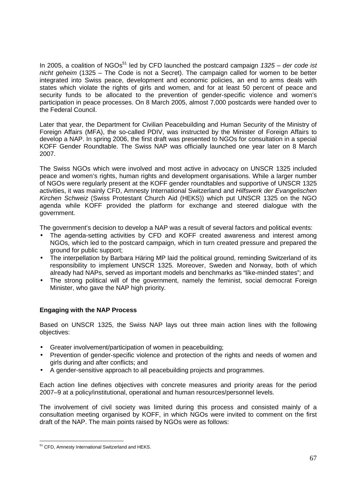In 2005, a coalition of NGOs<sup>51</sup> led by CFD launched the postcard campaign  $1325 -$  der code ist nicht geheim (1325 – The Code is not a Secret). The campaign called for women to be better integrated into Swiss peace, development and economic policies, an end to arms deals with states which violate the rights of girls and women, and for at least 50 percent of peace and security funds to be allocated to the prevention of gender-specific violence and women's participation in peace processes. On 8 March 2005, almost 7,000 postcards were handed over to the Federal Council.

Later that year, the Department for Civilian Peacebuilding and Human Security of the Ministry of Foreign Affairs (MFA), the so-called PDIV, was instructed by the Minister of Foreign Affairs to develop a NAP. In spring 2006, the first draft was presented to NGOs for consultation in a special KOFF Gender Roundtable. The Swiss NAP was officially launched one year later on 8 March 2007.

The Swiss NGOs which were involved and most active in advocacy on UNSCR 1325 included peace and women's rights, human rights and development organisations. While a larger number of NGOs were regularly present at the KOFF gender roundtables and supportive of UNSCR 1325 activities, it was mainly CFD, Amnesty International Switzerland and Hilfswerk der Evangelischen Kirchen Schweiz (Swiss Protestant Church Aid (HEKS)) which put UNSCR 1325 on the NGO agenda while KOFF provided the platform for exchange and steered dialogue with the government.

The government's decision to develop a NAP was a result of several factors and political events:

- The agenda-setting activities by CFD and KOFF created awareness and interest among NGOs, which led to the postcard campaign, which in turn created pressure and prepared the ground for public support;
- The interpellation by Barbara Häring MP laid the political ground, reminding Switzerland of its responsibility to implement UNSCR 1325. Moreover, Sweden and Norway, both of which already had NAPs, served as important models and benchmarks as "like-minded states"; and
- The strong political will of the government, namely the feminist, social democrat Foreign Minister, who gave the NAP high priority.

# **Engaging with the NAP Process**

Based on UNSCR 1325, the Swiss NAP lays out three main action lines with the following objectives:

- Greater involvement/participation of women in peacebuilding;
- Prevention of gender-specific violence and protection of the rights and needs of women and girls during and after conflicts; and
- A gender-sensitive approach to all peacebuilding projects and programmes.

Each action line defines objectives with concrete measures and priority areas for the period 2007–9 at a policy/institutional, operational and human resources/personnel levels.

The involvement of civil society was limited during this process and consisted mainly of a consultation meeting organised by KOFF, in which NGOs were invited to comment on the first draft of the NAP. The main points raised by NGOs were as follows:

<sup>-</sup><sup>51</sup> CFD, Amnesty International Switzerland and HEKS.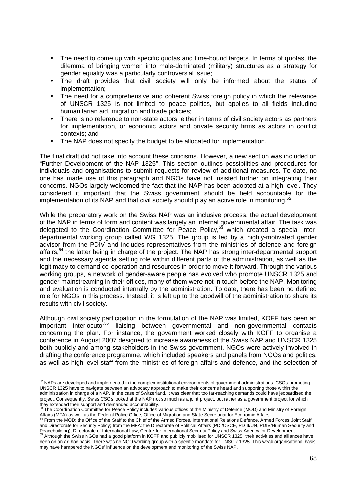- The need to come up with specific quotas and time-bound targets. In terms of quotas, the dilemma of bringing women into male-dominated (military) structures as a strategy for gender equality was a particularly controversial issue;
- The draft provides that civil society will only be informed about the status of implementation;
- The need for a comprehensive and coherent Swiss foreign policy in which the relevance of UNSCR 1325 is not limited to peace politics, but applies to all fields including humanitarian aid, migration and trade policies;
- There is no reference to non-state actors, either in terms of civil society actors as partners for implementation, or economic actors and private security firms as actors in conflict contexts; and
- The NAP does not specify the budget to be allocated for implementation.

The final draft did not take into account these criticisms. However, a new section was included on "Further Development of the NAP 1325". This section outlines possibilities and procedures for individuals and organisations to submit requests for review of additional measures. To date, no one has made use of this paragraph and NGOs have not insisted further on integrating their concerns. NGOs largely welcomed the fact that the NAP has been adopted at a high level. They considered it important that the Swiss government should be held accountable for the implementation of its NAP and that civil society should play an active role in monitoring.<sup>52</sup>

While the preparatory work on the Swiss NAP was an inclusive process, the actual development of the NAP in terms of form and content was largely an internal governmental affair. The task was delegated to the Coordination Committee for Peace Policy,<sup>53</sup> which created a special interdepartmental working group called WG 1325. The group is led by a highly-motivated gender advisor from the PDIV and includes representatives from the ministries of defence and foreign affairs,<sup>54</sup> the latter being in charge of the project. The NAP has strong inter-departmental support and the necessary agenda setting role within different parts of the administration, as well as the legitimacy to demand co-operation and resources in order to move it forward. Through the various working groups, a network of gender-aware people has evolved who promote UNSCR 1325 and gender mainstreaming in their offices, many of them were not in touch before the NAP. Monitoring and evaluation is conducted internally by the administration. To date, there has been no defined role for NGOs in this process. Instead, it is left up to the goodwill of the administration to share its results with civil society.

Although civil society participation in the formulation of the NAP was limited, KOFF has been an important interlocutor<sup>55</sup> liaising between governmental and non-governmental contacts concerning the plan. For instance, the government worked closely with KOFF to organise a conference in August 2007 designed to increase awareness of the Swiss NAP and UNSCR 1325 both publicly and among stakeholders in the Swiss government. NGOs were actively involved in drafting the conference programme, which included speakers and panels from NGOs and politics, as well as high-level staff from the ministries of foreign affairs and defence, and the selection of

-

 $52$  NAPs are developed and implemented in the complex institutional environments of government administrations. CSOs promoting UNSCR 1325 have to navigate between an advocacy approach to make their concerns heard and supporting those within the administration in charge of a NAP. In the case of Switzerland, it was clear that too far-reaching demands could have jeopardised the project. Consequently, Swiss CSOs looked at the NAP not so much as a joint project, but rather as a government project for which

they extended their support and demanded accountability.<br><sup>53</sup> The Coordination Committee for Peace Policy includes various offices of the Ministry of Defence (MOD) and Ministry of Foreign Affairs (MFA) as well as the Federal Police Office, Office of Migration and State Secretariat for Economic Affairs.<br><sup>54</sup> From the MOD: the Office of the State Secretariat for Chief of the Armod Faxces International Delatio

<sup>54</sup> From the MOD: the Office of the Staff to the Chief of the Armed Forces, International Relations Defence, Armed Forces Joint Staff and Directorate for Security Policy; from the MFA: the Directorate of Political Affairs (PDI/OSCE, PDIII/UN, PDIV/Human Security and Peacebuilding), Directorate of International Law, Centre for International Security Policy and Swiss Agency for Development.<br><sup>55</sup> Although the Swiss NGOs had a good platform in KOFF and publicly mobilised for UNSCR 1325, t

been on an ad hoc basis. There was no NGO working group with a specific mandate for UNSCR 1325. This weak organisational basis may have hampered the NGOs' influence on the development and monitoring of the Swiss NAP.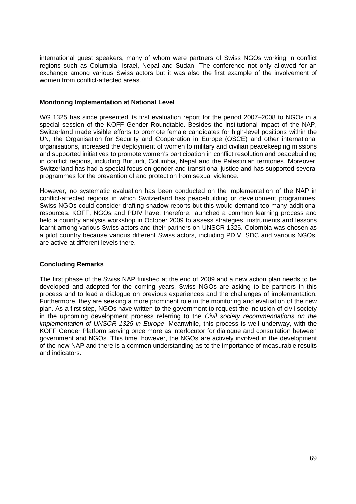international guest speakers, many of whom were partners of Swiss NGOs working in conflict regions such as Columbia, Israel, Nepal and Sudan. The conference not only allowed for an exchange among various Swiss actors but it was also the first example of the involvement of women from conflict-affected areas.

#### **Monitoring Implementation at National Level**

WG 1325 has since presented its first evaluation report for the period 2007–2008 to NGOs in a special session of the KOFF Gender Roundtable. Besides the institutional impact of the NAP, Switzerland made visible efforts to promote female candidates for high-level positions within the UN, the Organisation for Security and Cooperation in Europe (OSCE) and other international organisations, increased the deployment of women to military and civilian peacekeeping missions and supported initiatives to promote women's participation in conflict resolution and peacebuilding in conflict regions, including Burundi, Columbia, Nepal and the Palestinian territories. Moreover, Switzerland has had a special focus on gender and transitional justice and has supported several programmes for the prevention of and protection from sexual violence.

However, no systematic evaluation has been conducted on the implementation of the NAP in conflict-affected regions in which Switzerland has peacebuilding or development programmes. Swiss NGOs could consider drafting shadow reports but this would demand too many additional resources. KOFF, NGOs and PDIV have, therefore, launched a common learning process and held a country analysis workshop in October 2009 to assess strategies, instruments and lessons learnt among various Swiss actors and their partners on UNSCR 1325. Colombia was chosen as a pilot country because various different Swiss actors, including PDIV, SDC and various NGOs, are active at different levels there.

# **Concluding Remarks**

The first phase of the Swiss NAP finished at the end of 2009 and a new action plan needs to be developed and adopted for the coming years. Swiss NGOs are asking to be partners in this process and to lead a dialogue on previous experiences and the challenges of implementation. Furthermore, they are seeking a more prominent role in the monitoring and evaluation of the new plan. As a first step, NGOs have written to the government to request the inclusion of civil society in the upcoming development process referring to the Civil society recommendations on the implementation of UNSCR 1325 in Europe. Meanwhile, this process is well underway, with the KOFF Gender Platform serving once more as interlocutor for dialogue and consultation between government and NGOs. This time, however, the NGOs are actively involved in the development of the new NAP and there is a common understanding as to the importance of measurable results and indicators.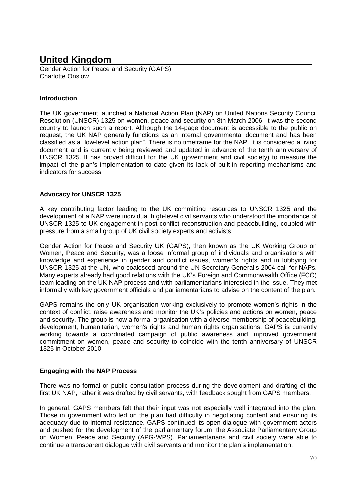# **United Kingdom**

Gender Action for Peace and Security (GAPS) Charlotte Onslow

# **Introduction**

The UK government launched a National Action Plan (NAP) on United Nations Security Council Resolution (UNSCR) 1325 on women, peace and security on 8th March 2006. It was the second country to launch such a report. Although the 14-page document is accessible to the public on request, the UK NAP generally functions as an internal governmental document and has been classified as a "low-level action plan". There is no timeframe for the NAP. It is considered a living document and is currently being reviewed and updated in advance of the tenth anniversary of UNSCR 1325. It has proved difficult for the UK (government and civil society) to measure the impact of the plan's implementation to date given its lack of built-in reporting mechanisms and indicators for success.

# **Advocacy for UNSCR 1325**

A key contributing factor leading to the UK committing resources to UNSCR 1325 and the development of a NAP were individual high-level civil servants who understood the importance of UNSCR 1325 to UK engagement in post-conflict reconstruction and peacebuilding, coupled with pressure from a small group of UK civil society experts and activists.

Gender Action for Peace and Security UK (GAPS), then known as the UK Working Group on Women, Peace and Security, was a loose informal group of individuals and organisations with knowledge and experience in gender and conflict issues, women's rights and in lobbying for UNSCR 1325 at the UN, who coalesced around the UN Secretary General's 2004 call for NAPs. Many experts already had good relations with the UK's Foreign and Commonwealth Office (FCO) team leading on the UK NAP process and with parliamentarians interested in the issue. They met informally with key government officials and parliamentarians to advise on the content of the plan.

GAPS remains the only UK organisation working exclusively to promote women's rights in the context of conflict, raise awareness and monitor the UK's policies and actions on women, peace and security. The group is now a formal organisation with a diverse membership of peacebuilding, development, humanitarian, women's rights and human rights organisations. GAPS is currently working towards a coordinated campaign of public awareness and improved government commitment on women, peace and security to coincide with the tenth anniversary of UNSCR 1325 in October 2010.

# **Engaging with the NAP Process**

There was no formal or public consultation process during the development and drafting of the first UK NAP, rather it was drafted by civil servants, with feedback sought from GAPS members.

In general, GAPS members felt that their input was not especially well integrated into the plan. Those in government who led on the plan had difficulty in negotiating content and ensuring its adequacy due to internal resistance. GAPS continued its open dialogue with government actors and pushed for the development of the parliamentary forum, the Associate Parliamentary Group on Women, Peace and Security (APG-WPS). Parliamentarians and civil society were able to continue a transparent dialogue with civil servants and monitor the plan's implementation.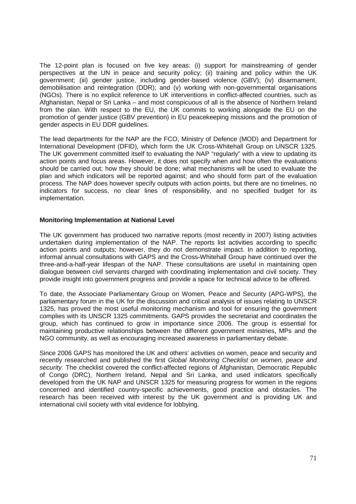The 12-point plan is focused on five key areas: (i) support for mainstreaming of gender perspectives at the UN in peace and security policy; (ii) training and policy within the UK government; (iii) gender justice, including gender-based violence (GBV); (iv) disarmament, demobilisation and reintegration (DDR); and (v) working with non-governmental organisations (NGOs). There is no explicit reference to UK interventions in conflict-affected countries, such as Afghanistan, Nepal or Sri Lanka – and most conspicuous of all is the absence of Northern Ireland from the plan. With respect to the EU, the UK commits to working alongside the EU on the promotion of gender justice (GBV prevention) in EU peacekeeping missions and the promotion of gender aspects in EU DDR guidelines.

The lead departments for the NAP are the FCO, Ministry of Defence (MOD) and Department for International Development (DFID), which form the UK Cross-Whitehall Group on UNSCR 1325. The UK government committed itself to evaluating the NAP "regularly" with a view to updating its action points and focus areas. However, it does not specify when and how often the evaluations should be carried out; how they should be done; what mechanisms will be used to evaluate the plan and which indicators will be reported against; and who should form part of the evaluation process. The NAP does however specify outputs with action points, but there are no timelines, no indicators for success, no clear lines of responsibility, and no specified budget for its implementation.

### **Monitoring Implementation at National Level**

The UK government has produced two narrative reports (most recently in 2007) listing activities undertaken during implementation of the NAP. The reports list activities according to specific action points and outputs; however, they do not demonstrate impact. In addition to reporting, informal annual consultations with GAPS and the Cross-Whitehall Group have continued over the three-and-a-half-year lifespan of the NAP. These consultations are useful in maintaining open dialogue between civil servants charged with coordinating implementation and civil society. They provide insight into government progress and provide a space for technical advice to be offered.

To date, the Associate Parliamentary Group on Women, Peace and Security (APG-WPS), the parliamentary forum in the UK for the discussion and critical analysis of issues relating to UNSCR 1325, has proved the most useful monitoring mechanism and tool for ensuring the government complies with its UNSCR 1325 commitments. GAPS provides the secretariat and coordinates the group, which has continued to grow in importance since 2006. The group is essential for maintaining productive relationships between the different government ministries, MPs and the NGO community, as well as encouraging increased awareness in parliamentary debate.

Since 2006 GAPS has monitored the UK and others' activities on women, peace and security and recently researched and published the first Global Monitoring Checklist on women, peace and security. The checklist covered the conflict-affected regions of Afghanistan, Democratic Republic of Congo (DRC), Northern Ireland, Nepal and Sri Lanka, and used indicators specifically developed from the UK NAP and UNSCR 1325 for measuring progress for women in the regions concerned and identified country-specific achievements, good practice and obstacles. The research has been received with interest by the UK government and is providing UK and international civil society with vital evidence for lobbying.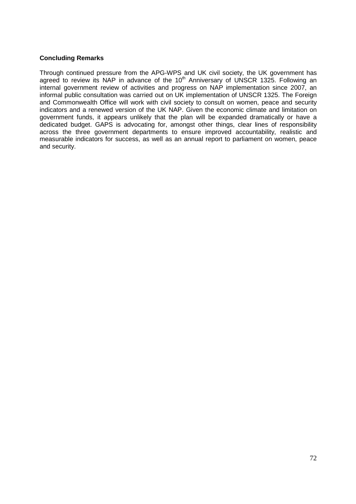## **Concluding Remarks**

Through continued pressure from the APG-WPS and UK civil society, the UK government has agreed to review its NAP in advance of the  $10<sup>th</sup>$  Anniversary of UNSCR 1325. Following an internal government review of activities and progress on NAP implementation since 2007, an informal public consultation was carried out on UK implementation of UNSCR 1325. The Foreign and Commonwealth Office will work with civil society to consult on women, peace and security indicators and a renewed version of the UK NAP. Given the economic climate and limitation on government funds, it appears unlikely that the plan will be expanded dramatically or have a dedicated budget. GAPS is advocating for, amongst other things, clear lines of responsibility across the three government departments to ensure improved accountability, realistic and measurable indicators for success, as well as an annual report to parliament on women, peace and security.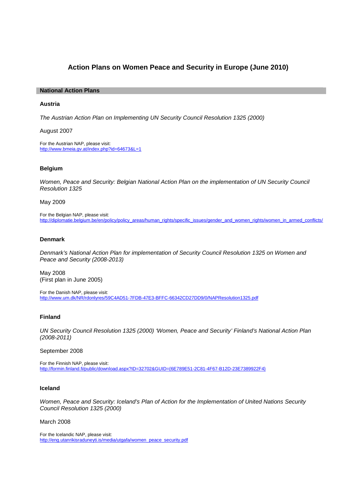# **Action Plans on Women Peace and Security in Europe (June 2010)**

#### **National Action Plans**

## **Austria**

The Austrian Action Plan on Implementing UN Security Council Resolution 1325 (2000)

August 2007

For the Austrian NAP, please visit: http://www.bmeia.gv.at/index.php?id=64673&L=1

#### **Belgium**

Women, Peace and Security: Belgian National Action Plan on the implementation of UN Security Council Resolution 1325

May 2009

For the Belgian NAP, please visit: http://diplomatie.belgium.be/en/policy/policy\_areas/human\_rights/specific\_issues/gender\_and\_women\_rights/women\_in\_armed\_conflicts/

# **Denmark**

Denmark's National Action Plan for implementation of Security Council Resolution 1325 on Women and Peace and Security (2008-2013)

May 2008 (First plan in June 2005)

For the Danish NAP, please visit: http://www.um.dk/NR/rdonlyres/59C4AD51-7FDB-47E3-BFFC-66342CD27DD9/0/NAPResolution1325.pdf

# **Finland**

UN Security Council Resolution 1325 (2000) 'Women, Peace and Security' Finland's National Action Plan (2008-2011)

September 2008

For the Finnish NAP, please visit: http://formin.finland.fi/public/download.aspx?ID=32702&GUID={6E789E51-2C81-4F67-B12D-23E7389922F4}

#### **Iceland**

Women, Peace and Security: Iceland's Plan of Action for the Implementation of United Nations Security Council Resolution 1325 (2000)

March 2008

For the Icelandic NAP, please visit: http://eng.utanrikisraduneyti.is/media/utgafa/women\_peace\_security.pdf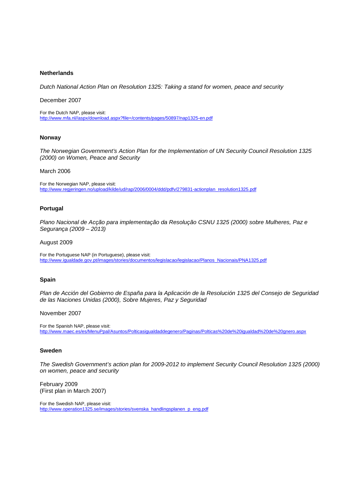#### **Netherlands**

Dutch National Action Plan on Resolution 1325: Taking a stand for women, peace and security

#### December 2007

For the Dutch NAP, please visit: http://www.mfa.nl//aspx/download.aspx?file=/contents/pages/50897/nap1325-en.pdf

#### **Norway**

The Norwegian Government's Action Plan for the Implementation of UN Security Council Resolution 1325 (2000) on Women, Peace and Security

#### March 2006

For the Norwegian NAP, please visit: http://www.regjeringen.no/upload/kilde/ud/rap/2006/0004/ddd/pdfv/279831-actionplan\_resolution1325.pdf

#### **Portugal**

Plano Nacional de Acção para implementação da Resolução CSNU 1325 (2000) sobre Mulheres, Paz e Segurança (2009 – 2013)

#### August 2009

For the Portuguese NAP (in Portuguese), please visit: http://www.igualdade.gov.pt/images/stories/documentos/legislacao/legislacao/Planos\_Nacionais/PNA1325.pdf

## **Spain**

Plan de Acción del Gobierno de España para la Aplicación de la Resolución 1325 del Consejo de Seguridad de las Naciones Unidas (2000), Sobre Mujeres, Paz y Seguridad

#### November 2007

For the Spanish NAP, please visit: http://www.maec.es/es/MenuPpal/Asuntos/Polticasigualdaddegenero/Paginas/Polticas%20de%20igualdad%20de%20gnero.aspx

## **Sweden**

The Swedish Government's action plan for 2009-2012 to implement Security Council Resolution 1325 (2000) on women, peace and security

February 2009 (First plan in March 2007)

For the Swedish NAP, please visit: http://www.operation1325.se/images/stories/svenska\_handlingsplanen\_p\_eng.pdf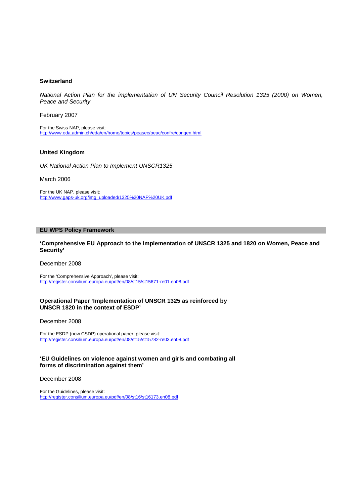#### **Switzerland**

National Action Plan for the implementation of UN Security Council Resolution 1325 (2000) on Women, Peace and Security

February 2007

For the Swiss NAP, please visit: http://www.eda.admin.ch/eda/en/home/topics/peasec/peac/confre/congen.html

#### **United Kingdom**

UK National Action Plan to Implement UNSCR1325

March 2006

For the UK NAP, please visit: http://www.gaps-uk.org/img\_uploaded/1325%20NAP%20UK.pdf

#### **EU WPS Policy Framework**

**'Comprehensive EU Approach to the Implementation of UNSCR 1325 and 1820 on Women, Peace and Security'** 

December 2008

For the 'Comprehensive Approach', please visit: http://register.consilium.europa.eu/pdf/en/08/st15/st15671-re01.en08.pdf

#### **Operational Paper 'Implementation of UNSCR 1325 as reinforced by UNSCR 1820 in the context of ESDP'**

December 2008

For the ESDP (now CSDP) operational paper, please visit: http://register.consilium.europa.eu/pdf/en/08/st15/st15782-re03.en08.pdf

#### **'EU Guidelines on violence against women and girls and combating all forms of discrimination against them'**

December 2008

For the Guidelines, please visit: http://register.consilium.europa.eu/pdf/en/08/st16/st16173.en08.pdf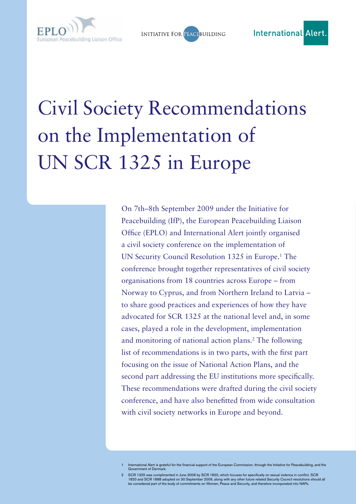

**INITIATIVE FOR PEACEBUILDING** 

# Civil Society Recommendations on the Implementation of UN SCR 1325 in Europe

On 7th–8th September 2009 under the Initiative for Peacebuilding (IfP), the European Peacebuilding Liaison Office (EPLO) and International Alert jointly organised a civil society conference on the implementation of UN Security Council Resolution 1325 in Europe.<sup>1</sup> The conference brought together representatives of civil society organisations from 18 countries across Europe – from Norway to Cyprus, and from Northern Ireland to Latvia – to share good practices and experiences of how they have advocated for SCR 1325 at the national level and, in some cases, played a role in the development, implementation and monitoring of national action plans.<sup>2</sup> The following list of recommendations is in two parts, with the first part focusing on the issue of National Action Plans, and the second part addressing the EU institutions more specifically. These recommendations were drafted during the civil society conference, and have also benefitted from wide consultation with civil society networks in Europe and beyond.

International Alert is grateful for the financial support of the European Commission, through the Initiative for Peacebuilding, and the Government of Denmark.

<sup>2</sup> SCR 1325 was complimented in June 2008 by SCR 1820, which focuses for specifically on sexual violence in conflict. SCR 1820 and SCR 1888 adopted on 30 September 2009, along with any other future related Security Council resolutions should all<br>be considered part of the body of commitments on Women, Peace and Security, and therefore incorpor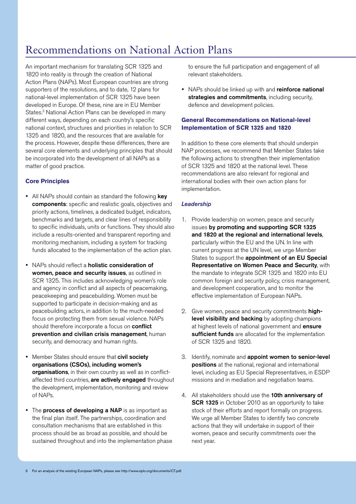# Recommendations on National Action Plans

An important mechanism for translating SCR 1325 and 1820 into reality is through the creation of National Action Plans (NAPs). Most European countries are strong supporters of the resolutions, and to date, 12 plans for national-level implementation of SCR 1325 have been developed in Europe. Of these, nine are in EU Member States.<sup>3</sup> National Action Plans can be developed in many different ways, depending on each country's specific national context, structures and priorities in relation to SCR 1325 and 1820, and the resources that are available for the process. However, despite these differences, there are several core elements and underlying principles that should be incorporated into the development of all NAPs as a matter of good practice.

# **Core Principles**

- All NAPs should contain as standard the following key components: specific and realistic goals, objectives and priority actions, timelines, a dedicated budget, indicators, benchmarks and targets, and clear lines of responsibility to specific individuals, units or functions. They should also include a results-oriented and transparent reporting and monitoring mechanism, including a system for tracking funds allocated to the implementation of the action plan.
- NAPs should reflect a holistic consideration of women, peace and security issues, as outlined in SCR 1325. This includes acknowledging women's role and agency in conflict and all aspects of peacemaking, peacekeeping and peacebuilding. Women must be supported to participate in decision-making and as peacebuilding actors, in addition to the much-needed focus on protecting them from sexual violence. NAPs should therefore incorporate a focus on **conflict** prevention and civilian crisis management, human security, and democracy and human rights.
- Member States should ensure that civil society organisations (CSOs), including women's organisations, in their own country as well as in conflictaffected third countries, are actively engaged throughout the development, implementation, monitoring and review of NAPs.
- The process of developing a NAP is as important as the final plan itself. The partnerships, coordination and consultation mechanisms that are established in this process should be as broad as possible, and should be sustained throughout and into the implementation phase

to ensure the full participation and engagement of all relevant stakeholders.

• NAPs should be linked up with and reinforce national strategies and commitments, including security, defence and development policies.

# **General Recommendations on National-level Implementation of SCR 1325 and 1820**

In addition to these core elements that should underpin NAP processes, we recommend that Member States take the following actions to strengthen their implementation of SCR 1325 and 1820 at the national level. These recommendations are also relevant for regional and international bodies with their own action plans for implementation.

# *Leadership*

- 1. Provide leadership on women, peace and security issues by promoting and supporting SCR 1325 and 1820 at the regional and international levels, particularly within the EU and the UN. In line with current progress at the UN level, we urge Member States to support the appointment of an EU Special Representative on Women Peace and Security, with the mandate to integrate SCR 1325 and 1820 into EU common foreign and security policy, crisis management, and development cooperation, and to monitor the effective implementation of European NAPs.
- 2. Give women, peace and security commitments highlevel visibility and backing by adopting champions at highest levels of national government and ensure sufficient funds are allocated for the implementation of SCR 1325 and 1820.
- 3. Identify, nominate and appoint women to senior-level positions at the national, regional and international level, including as EU Special Representatives, in ESDP missions and in mediation and negotiation teams.
- 4. All stakeholders should use the **10th anniversary of** SCR 1325 in October 2010 as an opportunity to take stock of their efforts and report formally on progress. We urge all Member States to identify two concrete actions that they will undertake in support of their women, peace and security commitments over the next year.

<sup>3</sup> For an analysis of the existing European NAPs, please see http://www.eplo.org/documents/CT.pdf.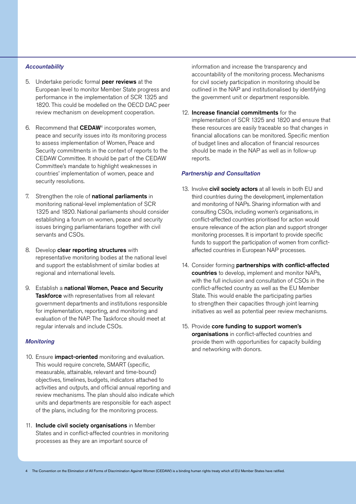# *Accountability*

- 5. Undertake periodic formal peer reviews at the European level to monitor Member State progress and performance in the implementation of SCR 1325 and 1820. This could be modelled on the OECD DAC peer review mechanism on development cooperation.
- 6. Recommend that CEDAW4 incorporates women, peace and security issues into its monitoring process to assess implementation of Women, Peace and Security commitments in the context of reports to the CEDAW Committee. It should be part of the CEDAW Committee's mandate to highlight weaknesses in countries' implementation of women, peace and security resolutions.
- 7. Strengthen the role of **national parliaments** in monitoring national-level implementation of SCR 1325 and 1820. National parliaments should consider establishing a forum on women, peace and security issues bringing parliamentarians together with civil servants and CSOs.
- 8. Develop clear reporting structures with representative monitoring bodies at the national level and support the establishment of similar bodies at regional and international levels.
- 9. Establish a national Women, Peace and Security Taskforce with representatives from all relevant government departments and institutions responsible for implementation, reporting, and monitoring and evaluation of the NAP. The Taskforce should meet at regular intervals and include CSOs.

# *Monitoring*

- 10. Ensure *impact-oriented* monitoring and evaluation. This would require concrete, SMART (specific, measurable, attainable, relevant and time-bound) objectives, timelines, budgets, indicators attached to activities and outputs, and official annual reporting and review mechanisms. The plan should also indicate which units and departments are responsible for each aspect of the plans, including for the monitoring process.
- 11. Include civil society organisations in Member States and in conflict-affected countries in monitoring processes as they are an important source of

information and increase the transparency and accountability of the monitoring process. Mechanisms for civil society participation in monitoring should be outlined in the NAP and institutionalised by identifying the government unit or department responsible.

12. Increase financial commitments for the implementation of SCR 1325 and 1820 and ensure that these resources are easily traceable so that changes in financial allocations can be monitored. Specific mention of budget lines and allocation of financial resources should be made in the NAP as well as in follow-up reports.

# *Partnership and Consultation*

- 13. Involve civil society actors at all levels in both EU and third countries during the development, implementation and monitoring of NAPs. Sharing information with and consulting CSOs, including women's organisations, in conflict-affected countries prioritised for action would ensure relevance of the action plan and support stronger monitoring processes. It is important to provide specific funds to support the participation of women from conflictaffected countries in European NAP processes.
- 14. Consider forming partnerships with conflict-affected countries to develop, implement and monitor NAPs, with the full inclusion and consultation of CSOs in the conflict-affected country as well as the EU Member State. This would enable the participating parties to strengthen their capacities through joint learning initiatives as well as potential peer review mechanisms.
- 15. Provide core funding to support women's organisations in conflict-affected countries and provide them with opportunities for capacity building and networking with donors.

<sup>4</sup> The Convention on the Elimination of All Forms of Discrimination Against Women (CEDAW) is a binding human rights treaty which all EU Member States have ratified.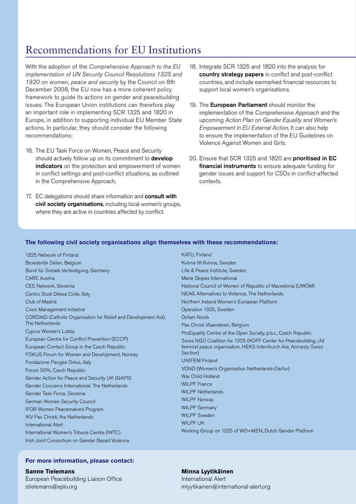# Recommendations for EU Institutions

With the adoption of the *Comprehensive Approach to the EU implementation of UN Security Council Resolutions 1325 and 1820 on women, peace and security* by the Council on 8th December 2008, the EU now has a more coherent policy framework to guide its actions on gender and peacebuilding issues. The European Union institutions can therefore play an important role in implementing SCR 1325 and 1820 in Europe, in addition to supporting individual EU Member State actions. In particular, they should consider the following recommendations:

- 16. The EU Task Force on Women, Peace and Security should actively follow up on its commitment to **develop** indicators on the protection and empowerment of women in conflict settings and post-conflict situations, as outlined in the Comprehensive Approach.
- 17. EC delegations should share information and **consult with** civil society organisations, including local women's groups, where they are active in countries affected by conflict.
- 18. Integrate SCR 1325 and 1820 into the analysis for country strategy papers in conflict and post-conflict countries, and include earmarked financial resources to support local women's organisations.
- 19. The European Parliament should monitor the implementation of the *Comprehensive Approach* and the upcoming *Action Plan on Gender Equality and Women's Empowerment in EU External Action*. It can also help to ensure the implementation of the EU Guidelines on Violence Against Women and Girls.
- 20. Ensure that SCR 1325 and 1820 are prioritised in EC financial instruments to ensure adequate funding for gender issues and support for CSOs in conflict-affected contexts.

# **The following civil society organisations align themselves with these recommendations:**

1325 Network of Finland Broederlijk Delen, Belgium Bund für Soziale Verteidigung, Germany CARE Austria CEE Network, Slovenia Centro Studi Difesa Civile, Italy Club of Madrid Crisis Management Initiative CORDAID (Catholic Organization for Relief and Development Aid), The Netherlands Cyprus Women's Lobby European Centre for Conflict Prevention (ECCP) European Contact Group in the Czech Republic FOKUS Forum for Women and Development, Norway Fondazione Pangea Onlus, Italy Forum 50%, Czech Republic Gender Action for Peace and Security UK (GAPS) Gender Concerns International, The Netherlands Gender Task Force, Slovenia German Women Security Council IFOR Women Peacemakers Program IKV Pax Christi, the Netherlands International Alert International Women's Tribune Centre (IWTC) Irish Joint Consortium on Gender Based Violence

KATU, Finland Kvinna till Kvinna, Sweden Life & Peace Institute, Sweden Marie Stopes International National Council of Women of Republic of Macedonia (UWOM) NEAG Alternatives to Violence, The Netherlands Northern Ireland Women's European Platform Operation 1325, Sweden Oxfam Novib Pax Christi Vlaanderen, Belgium ProEquality Centre of the Open Society, p.b.c., Czech Republic Swiss NGO Coalition for 1325 (KOFF Center for Peacebuilding, cfd feminist peace organisation, HEKS Interchurch Aid, Amnesty Swiss Section) UNIFEM Finland VOND (Women's Organisation Netherlands-Darfur) War Child Holland WILPF France WILPF Netherlands WILPF Norway WILPF Germany WILPF Sweden WILPF UK Working Group on 1325 of WO=MEN, Dutch Gender Platform

# **For more information, please contact:**

**Sanne Tielemans** European Peacebuilding Liaison Office stielemans@eplo.org

## **Minna Lyytikäinen** International Alert

mlyytikainen@international-alert.org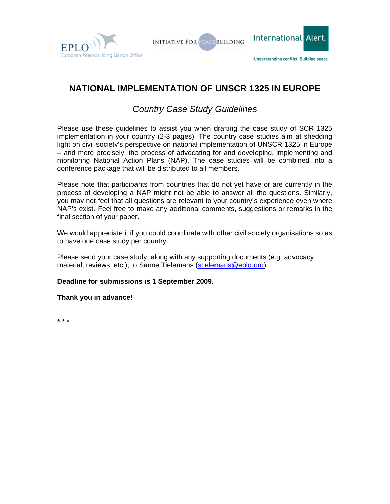



# **NATIONAL IMPLEMENTATION OF UNSCR 1325 IN EUROPE**

# *Country Case Study Guidelines*

Please use these guidelines to assist you when drafting the case study of SCR 1325 implementation in your country (2-3 pages). The country case studies aim at shedding light on civil society's perspective on national implementation of UNSCR 1325 in Europe – and more precisely, the process of advocating for and developing, implementing and monitoring National Action Plans (NAP). The case studies will be combined into a conference package that will be distributed to all members.

Please note that participants from countries that do not yet have or are currently in the process of developing a NAP might not be able to answer all the questions. Similarly, you may not feel that all questions are relevant to your country's experience even where NAP's exist. Feel free to make any additional comments, suggestions or remarks in the final section of your paper.

We would appreciate it if you could coordinate with other civil society organisations so as to have one case study per country.

Please send your case study, along with any supporting documents (e.g. advocacy material, reviews, etc.), to Sanne Tielemans ([stielemans@eplo.org](mailto:stielemans@eplo.org)).

# **Deadline for submissions is 1 September 2009.**

# **Thank you in advance!**

\* \* \*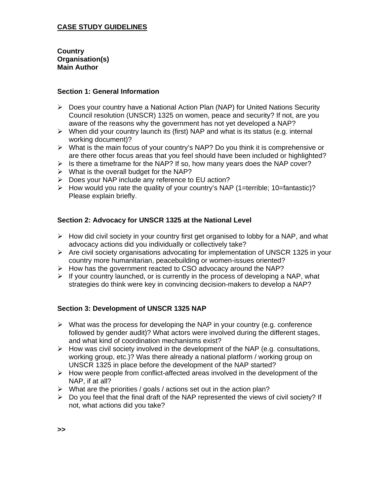# **CASE STUDY GUIDELINES**

**Country Organisation(s) Main Author** 

# **Section 1: General Information**

- $\triangleright$  Does your country have a National Action Plan (NAP) for United Nations Security Council resolution (UNSCR) 1325 on women, peace and security? If not, are you aware of the reasons why the government has not yet developed a NAP?
- $\triangleright$  When did your country launch its (first) NAP and what is its status (e.g. internal working document)?
- $\triangleright$  What is the main focus of your country's NAP? Do you think it is comprehensive or are there other focus areas that you feel should have been included or highlighted?
- $\triangleright$  Is there a timeframe for the NAP? If so, how many years does the NAP cover?
- $\triangleright$  What is the overall budget for the NAP?
- ▶ Does your NAP include any reference to EU action?
- $\triangleright$  How would you rate the quality of your country's NAP (1=terrible; 10=fantastic)? Please explain briefly.

# **Section 2: Advocacy for UNSCR 1325 at the National Level**

- $\triangleright$  How did civil society in your country first get organised to lobby for a NAP, and what advocacy actions did you individually or collectively take?
- $\triangleright$  Are civil society organisations advocating for implementation of UNSCR 1325 in your country more humanitarian, peacebuilding or women-issues oriented?
- $\triangleright$  How has the government reacted to CSO advocacy around the NAP?
- $\triangleright$  If your country launched, or is currently in the process of developing a NAP, what strategies do think were key in convincing decision-makers to develop a NAP?

# **Section 3: Development of UNSCR 1325 NAP**

- $\triangleright$  What was the process for developing the NAP in your country (e.g. conference followed by gender audit)? What actors were involved during the different stages, and what kind of coordination mechanisms exist?
- $\triangleright$  How was civil society involved in the development of the NAP (e.g. consultations, working group, etc.)? Was there already a national platform / working group on UNSCR 1325 in place before the development of the NAP started?
- $\triangleright$  How were people from conflict-affected areas involved in the development of the NAP, if at all?
- $\triangleright$  What are the priorities / goals / actions set out in the action plan?
- $\triangleright$  Do you feel that the final draft of the NAP represented the views of civil society? If not, what actions did you take?